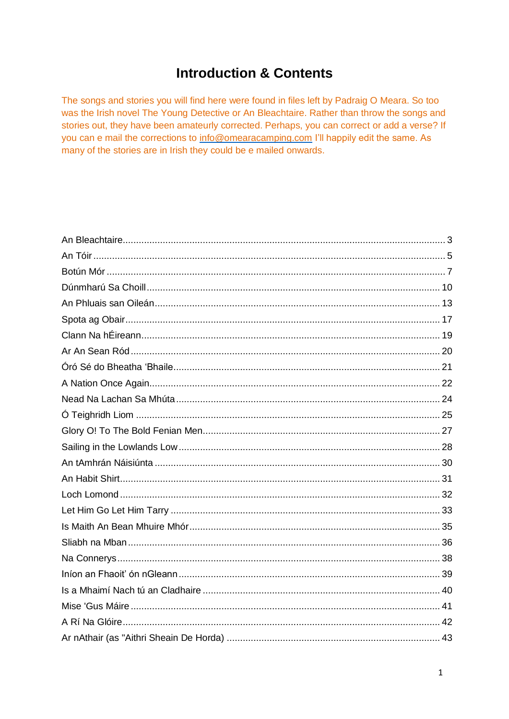# **Introduction & Contents**

The songs and stories you will find here were found in files left by Padraig O Meara. So too was the Irish novel The Young Detective or An Bleachtaire. Rather than throw the songs and stories out, they have been amateurly corrected. Perhaps, you can correct or add a verse? If you can e mail the corrections to info@omearacamping.com I'll happily edit the same. As many of the stories are in Irish they could be e mailed onwards.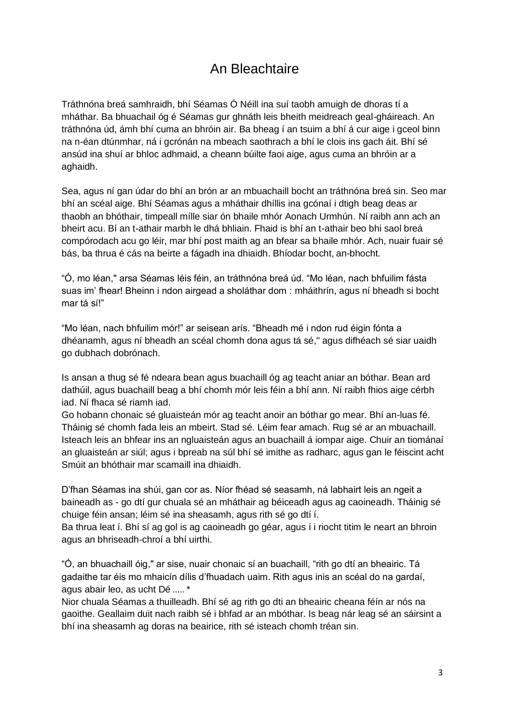# An Bleachtaire

<span id="page-2-0"></span>Tráthnóna breá samhraidh, bhí Séamas Ó Néill ina suí taobh amuigh de dhoras tí a mháthar. Ba bhuachail óg é Séamas gur ghnáth leis bheith meidreach geal-gháireach. An tráthnóna úd, ámh bhí cuma an bhróin air. Ba bheag í an tsuim a bhí á cur aige i gceol binn na n-éan dtúnmhar, ná i gcrónán na mbeach saothrach a bhí le clois ins gach áit. Bhí sé ansúd ina shuí ar bhloc adhmaid, a cheann búilte faoi aige, agus cuma an bhróin ar a aghaidh.

Sea, agus ní gan údar do bhí an brón ar an mbuachaill bocht an tráthnóna breá sin. Seo mar bhí an scéal aige. Bhí Séamas agus a mháthair dhíllis ina gcónaí i dtigh beag deas ar thaobh an bhóthair, timpeall mílle siar ón bhaile mhór Aonach Urmhún. Ní raibh ann ach an bheirt acu. Bí an t-athair marbh le dhá bhliain. Fhaid is bhí an t-athair beo bhi saol breá compórodach acu go léir, mar bhí post maith ag an bfear sa bhaile mhór. Ach, nuair fuair sé bás, ba thrua é cás na beirte a fágadh ina dhiaidh. Bhíodar bocht, an-bhocht.

"Ó, mo léan," arsa Séamas léis féin, an tráthnóna breá úd. "Mo léan, nach bhfuilim fásta suas im' fhear! Bheinn i ndon airgead a sholáthar dom : mháithrín, agus ní bheadh si bocht mar tá sí!"

"Mo léan, nach bhfuilim mór!" ar seisean arís. "Bheadh mé i ndon rud éigin fónta a dhéanamh, agus ní bheadh an scéal chomh dona agus tá sé," agus difhéach sé siar uaidh go dubhach dobrónach.

Is ansan a thug sé fé ndeara bean agus buachaill óg ag teacht aniar an bóthar. Bean ard dathúil, agus buachaill beag a bhí chomh mór leis féin a bhí ann. Ní raibh fhios aige cérbh iad. Ní fhaca sé riamh iad.

Go hobann chonaic sé gluaisteán mór ag teacht anoir an bóthar go mear. Bhí an-luas fé. Tháinig sé chomh fada leis an mbeirt. Stad sé. Léim fear amach. Rug sé ar an mbuachaill. Isteach leis an bhfear ins an ngluaisteán agus an buachaill á iompar aige. Chuir an tiománaí an gluaisteán ar siúl; agus i bpreab na súl bhí sé imithe as radharc, agus gan le féiscint acht Smúit an bhóthair mar scamaill ina dhiaidh.

D'fhan Séamas ina shúi, gan cor as. Níor fhéad sé seasamh, ná labhairt leis an ngeit a baineadh as - go dtí gur chuala sé an mháthair ag béiceadh agus ag caoineadh. Tháinig sé chuige féin ansan; léim sé ina sheasamh, agus rith sé go dtí í.

Ba thrua leat í. Bhí sí ag gol is ag caoineadh go géar, agus í i riocht titim le neart an bhroin agus an bhriseadh-chroí a bhí uirthi.

"Ó, an bhuachaill óig," ar sise, nuair chonaic sí an buachaill, "rith go dtí an bheairic. Tá gadaithe tar éis mo mhaicín dílis d'fhuadach uaim. Rith agus inis an scéal do na gardaí, agus abair leo, as ucht Dé .....\*

Nior chuala Séamas a thuilleadh. Bhí sé ag rith go dti an bheairic cheana féín ar nós na gaoithe. Geallaim duit nach raibh sé i bhfad ar an mbóthar. Is beag nár leag sé an sáirsint a bhí ina sheasamh ag doras na beairice, rith sé isteach chomh tréan sin.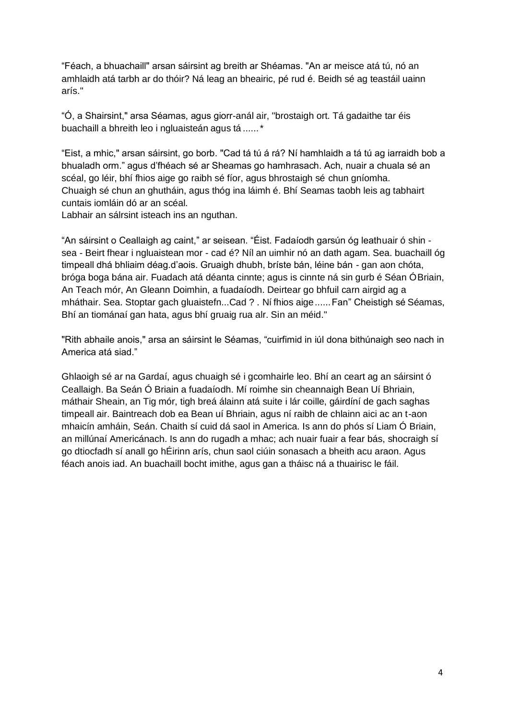"Féach, a bhuachaill" arsan sáirsint ag breith ar Shéamas. "An ar meisce atá tú, nó an amhlaidh atá tarbh ar do thóir? Ná leag an bheairic, pé rud é. Beidh sé ag teastáil uainn arís."

"Ó, a Shairsint," arsa Séamas, agus giorr-anál air, "brostaigh ort. Tá gadaithe tar éis buachaill a bhreith leo i ngluaisteán agus tá ......\*

"Eist, a mhic," arsan sáirsint, go borb. "Cad tá tú á rá? Ní hamhlaidh a tá tú ag iarraidh bob a bhualadh orm." agus d'fhéach sé ar Sheamas go hamhrasach. Ach, nuair a chuala sé an scéal, go léir, bhí fhios aige go raibh sé fíor, agus bhrostaigh sé chun gníomha. Chuaigh sé chun an ghutháin, agus thóg ina láimh é. Bhí Seamas taobh leis ag tabhairt cuntais iomláin dó ar an scéal.

Labhair an sálrsint isteach ins an nguthan.

"An sáirsint o Ceallaigh ag caint," ar seisean. "Éist. Fadaíodh garsún óg leathuair ó shin sea - Beirt fhear i ngluaistean mor - cad é? Níl an uimhir nó an dath agam. Sea. buachaill óg timpeall dhá bhliaim déag.d'aois. Gruaigh dhubh, bríste bán, léine bán - gan aon chóta, bróga boga bána air. Fuadach atá déanta cinnte; agus is cinnte ná sin gurb é Séan ÓBriain, An Teach mór, An Gleann Doimhin, a fuadaíodh. Deirtear go bhfuil carn airgid ag a mháthair. Sea. Stoptar gach gluaistefn...Cad ? . Ní fhios aige......Fan" Cheistigh sé Séamas, Bhí an tiománaí gan hata, agus bhí gruaig rua alr. Sin an méid."

"Rith abhaile anois," arsa an sáirsint le Séamas, "cuirfimid in iúl dona bithúnaigh seo nach in America atá siad."

Ghlaoigh sé ar na Gardaí, agus chuaigh sé i gcomhairle leo. Bhí an ceart ag an sáirsint ó Ceallaigh. Ba Seán Ó Briain a fuadaíodh. Mí roimhe sin cheannaigh Bean Uí Bhriain, máthair Sheain, an Tig mór, tigh breá álainn atá suite i lár coille, gáirdíní de gach saghas timpeall air. Baintreach dob ea Bean uí Bhriain, agus ní raibh de chlainn aici ac an t-aon mhaicín amháin, Seán. Chaith sí cuid dá saol in America. Is ann do phós sí Liam Ó Briain, an millúnaí Americánach. Is ann do rugadh a mhac; ach nuair fuair a fear bás, shocraigh sí go dtiocfadh sí anall go hÉirinn arís, chun saol ciúin sonasach a bheith acu araon. Agus féach anois iad. An buachaill bocht imithe, agus gan a tháisc ná a thuairisc le fáil.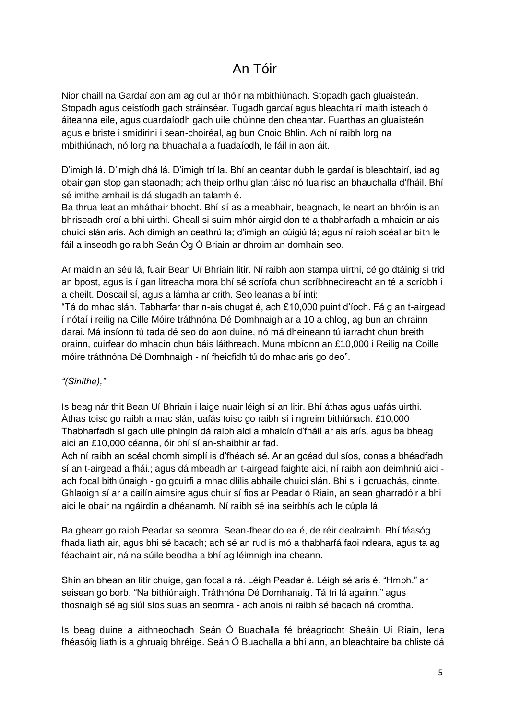# An Tóir

<span id="page-4-0"></span>Nior chaill na Gardaí aon am ag dul ar thóir na mbithiúnach. Stopadh gach gluaisteán. Stopadh agus ceistíodh gach stráinséar. Tugadh gardaí agus bleachtairí maith isteach ó áiteanna eile, agus cuardaíodh gach uile chúinne den cheantar. Fuarthas an gluaisteán agus e briste i smidirini i sean-choiréal, ag bun Cnoic Bhlin. Ach ní raibh lorg na mbithiúnach, nó lorg na bhuachalla a fuadaíodh, le fáil in aon áit.

D'imigh lá. D'imigh dhá lá. D'imigh trí la. Bhí an ceantar dubh le gardaí is bleachtairí, iad ag obair gan stop gan staonadh; ach theip orthu glan táisc nó tuairisc an bhauchalla d'fháil. Bhí sé imithe amhail is dá slugadh an talamh é.

Ba thrua leat an mháthair bhocht. Bhí sí as a meabhair, beagnach, le neart an bhróin is an bhriseadh croí a bhi uirthi. Gheall si suim mhór airgid don té a thabharfadh a mhaicin ar ais chuici slán aris. Ach dimigh an ceathrú la; d'imigh an cúigiú lá; agus ní raibh scéal ar bith le fáil a inseodh go raibh Seán Óg Ó Briain ar dhroim an domhain seo.

Ar maidin an séú lá, fuair Bean Uí Bhriain litir. Ní raibh aon stampa uirthi, cé go dtáinig si trid an bpost, agus is í gan litreacha mora bhí sé scríofa chun scríbhneoireacht an té a scríobh í a cheilt. Doscail sí, agus a lámha ar crith. Seo leanas a bí inti:

"Tá do mhac slán. Tabharfar thar n-ais chugat é, ach £10,000 puint d'íoch. Fá g an t-airgead í nótaí i reilig na Cille Móire tráthnóna Dé Domhnaigh ar a 10 a chlog, ag bun an chrainn darai. Má insíonn tú tada dé seo do aon duine, nó má dheineann tú iarracht chun breith orainn, cuirfear do mhacín chun báis láithreach. Muna mbíonn an £10,000 i Reilig na Coille móire tráthnóna Dé Domhnaigh - ní fheicfidh tú do mhac aris go deo".

### *"(Sinithe),"*

Is beag nár thit Bean Uí Bhriain i laige nuair léigh sí an litir. Bhí áthas agus uafás uirthi. Áthas toisc go raibh a mac slán, uafás toisc go raibh sí i ngreim bithiúnach. £10,000 Thabharfadh sí gach uile phingin dá raibh aici a mhaicín d'fháil ar ais arís, agus ba bheag aici an £10,000 céanna, óir bhí sí an-shaibhir ar fad.

Ach ní raibh an scéal chomh simplí is d'fhéach sé. Ar an gcéad dul síos, conas a bhéadfadh sí an t-airgead a fhái.; agus dá mbeadh an t-airgead faighte aici, ní raibh aon deimhniú aici ach focal bithiúnaigh - go gcuirfi a mhac dlílis abhaile chuici slán. Bhi si i gcruachás, cinnte. Ghlaoigh sí ar a cailín aimsire agus chuir sí fios ar Peadar ó Riain, an sean gharradóir a bhi aici le obair na ngáirdín a dhéanamh. Ní raibh sé ina seirbhís ach le cúpla lá.

Ba ghearr go raibh Peadar sa seomra. Sean-fhear do ea é, de réir dealraimh. Bhí féasóg fhada liath air, agus bhi sé bacach; ach sé an rud is mó a thabharfá faoi ndeara, agus ta ag féachaint air, ná na súile beodha a bhí ag léimnigh ina cheann.

Shín an bhean an litir chuige, gan focal a rá. Léigh Peadar é. Léigh sé aris é. "Hmph." ar seisean go borb. "Na bithiúnaigh. Tráthnóna Dé Domhanaig. Tá tri lá againn." agus thosnaigh sé ag siúl síos suas an seomra - ach anois ni raibh sé bacach ná cromtha.

Is beag duine a aithneochadh Seán Ó Buachalla fé bréagriocht Sheáin Uí Riain, lena fhéasóig liath is a ghruaig bhréige. Seán Ó Buachalla a bhí ann, an bleachtaire ba chliste dá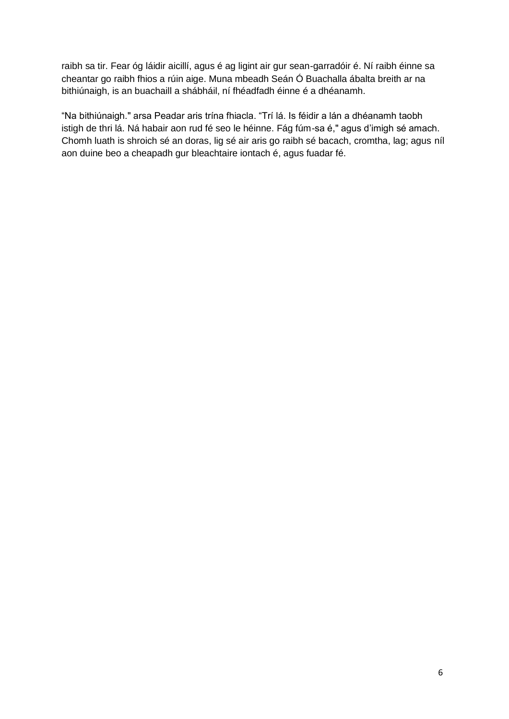raibh sa tir. Fear óg láidir aicillí, agus é ag ligint air gur sean-garradóir é. Ní raibh éinne sa cheantar go raibh fhios a rúin aige. Muna mbeadh Seán Ó Buachalla ábalta breith ar na bithiúnaigh, is an buachaill a shábháil, ní fhéadfadh éinne é a dhéanamh.

"Na bithiúnaigh." arsa Peadar aris trína fhiacla. "Trí lá. Is féidir a lán a dhéanamh taobh istigh de thri lá. Ná habair aon rud fé seo le héinne. Fág fúm-sa é," agus d'imigh sé amach. Chomh luath is shroich sé an doras, lig sé air aris go raibh sé bacach, cromtha, lag; agus níl aon duine beo a cheapadh gur bleachtaire iontach é, agus fuadar fé.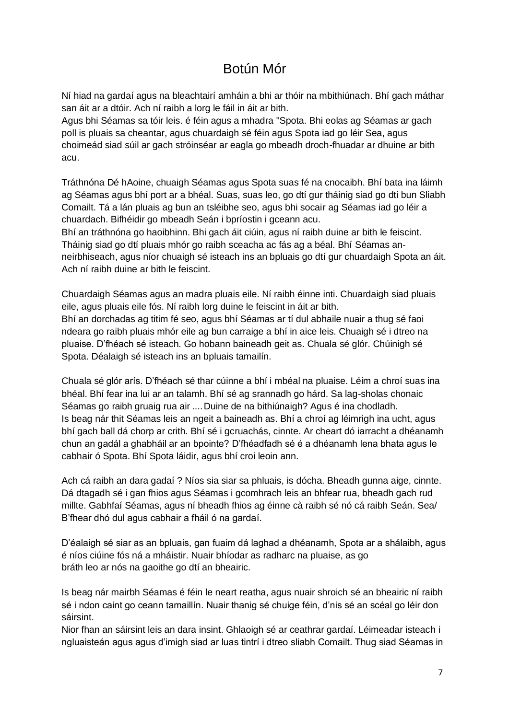# Botún Mór

<span id="page-6-0"></span>Ní hiad na gardaí agus na bleachtairí amháin a bhi ar thóir na mbithiúnach. Bhí gach máthar san áit ar a dtóir. Ach ní raibh a lorg le fáil in áit ar bith.

Agus bhi Séamas sa tóir leis. é féin agus a mhadra "Spota. Bhi eolas ag Séamas ar gach poll is pluais sa cheantar, agus chuardaigh sé féin agus Spota iad go léir Sea, agus choimeád siad súil ar gach stróinséar ar eagla go mbeadh droch-fhuadar ar dhuine ar bith acu.

Tráthnóna Dé hAoine, chuaigh Séamas agus Spota suas fé na cnocaibh. Bhí bata ina láimh ag Séamas agus bhí port ar a bhéal. Suas, suas leo, go dtí gur tháinig siad go dti bun Sliabh Comailt. Tá a lán pluais ag bun an tsléibhe seo, agus bhi socair ag Séamas iad go léir a chuardach. Bifhéidir go mbeadh Seán i bpríostin i gceann acu.

Bhí an tráthnóna go haoibhinn. Bhi gach áit ciúin, agus ní raibh duine ar bith le feiscint. Tháinig siad go dtí pluais mhór go raibh sceacha ac fás ag a béal. Bhí Séamas anneirbhiseach, agus níor chuaigh sé isteach ins an bpluais go dtí gur chuardaigh Spota an áit. Ach ní raibh duine ar bith le feiscint.

Chuardaigh Séamas agus an madra pluais eile. Ní raibh éinne inti. Chuardaigh siad pluais eile, agus pluais eile fós. Ní raibh lorg duine le feiscint in áit ar bith.

Bhí an dorchadas ag titim fé seo, agus bhí Séamas ar tí dul abhaile nuair a thug sé faoi ndeara go raibh pluais mhór eile ag bun carraige a bhí in aice leis. Chuaigh sé i dtreo na pluaise. D'fhéach sé isteach. Go hobann baineadh geit as. Chuala sé glór. Chúinigh sé Spota. Déalaigh sé isteach ins an bpluais tamailín.

Chuala sé glór arís. D'fhéach sé thar cúinne a bhí i mbéal na pluaise. Léim a chroí suas ina bhéal. Bhí fear ina lui ar an talamh. Bhí sé ag srannadh go hárd. Sa lag-sholas chonaic Séamas go raibh gruaig rua air ....Duine de na bithiúnaigh? Agus é ina chodladh. Is beag nár thit Séamas leis an ngeit a baineadh as. Bhí a chroí ag léimrigh ina ucht, agus bhí gach ball dá chorp ar crith. Bhí sé i gcruachás, cinnte. Ar cheart dó iarracht a dhéanamh chun an gadál a ghabháil ar an bpointe? D'fhéadfadh sé é a dhéanamh lena bhata agus le cabhair ó Spota. Bhí Spota láidir, agus bhí croi leoin ann.

Ach cá raibh an dara gadaí ? Níos sia siar sa phluais, is dócha. Bheadh gunna aige, cinnte. Dá dtagadh sé i gan fhios agus Séamas i gcomhrach leis an bhfear rua, bheadh gach rud millte. Gabhfaí Séamas, agus ní bheadh fhios ag éinne cà raibh sé nó cá raibh Seán. Sea/ B'fhear dhó dul agus cabhair a fháil ó na gardaí.

D'éalaigh sé siar as an bpluais, gan fuaim dá laghad a dhéanamh, Spota ar a shálaibh, agus é níos ciúine fós ná a mháistir. Nuair bhíodar as radharc na pluaise, as go bráth leo ar nós na gaoithe go dtí an bheairic.

Is beag nár mairbh Séamas é féin le neart reatha, agus nuair shroich sé an bheairic ní raibh sé i ndon caint go ceann tamaillín. Nuair thanig sé chuige féin, d'nis sé an scéal go léir don sáirsint.

Nior fhan an sáirsint leis an dara insint. Ghlaoigh sé ar ceathrar gardaí. Léimeadar isteach i ngluaisteán agus agus d'imigh siad ar luas tintrí i dtreo sliabh Comailt. Thug siad Séamas in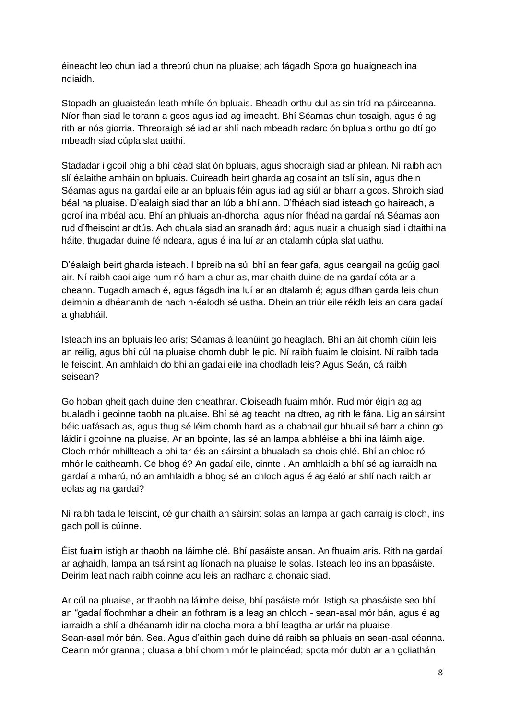éineacht leo chun iad a threorú chun na pluaise; ach fágadh Spota go huaigneach ina ndiaidh.

Stopadh an gluaisteán leath mhíle ón bpluais. Bheadh orthu dul as sin tríd na páirceanna. Níor fhan siad le torann a gcos agus iad ag imeacht. Bhí Séamas chun tosaigh, agus é ag rith ar nós giorria. Threoraigh sé iad ar shlí nach mbeadh radarc ón bpluais orthu go dtí go mbeadh siad cúpla slat uaithi.

Stadadar i gcoil bhig a bhí céad slat ón bpluais, agus shocraigh siad ar phlean. Ní raibh ach slí éalaithe amháin on bpluais. Cuireadh beirt gharda ag cosaint an tslí sin, agus dhein Séamas agus na gardaí eile ar an bpluais féin agus iad ag siúl ar bharr a gcos. Shroich siad béal na pluaise. D'ealaigh siad thar an lúb a bhí ann. D'fhéach siad isteach go haireach, a gcroí ina mbéal acu. Bhí an phluais an-dhorcha, agus níor fhéad na gardaí ná Séamas aon rud d'fheiscint ar dtús. Ach chuala siad an sranadh árd; agus nuair a chuaigh siad i dtaithi na háite, thugadar duine fé ndeara, agus é ina luí ar an dtalamh cúpla slat uathu.

D'éalaigh beirt gharda isteach. I bpreib na súl bhí an fear gafa, agus ceangail na gcúig gaol air. Ní raibh caoi aige hum nó ham a chur as, mar chaith duine de na gardaí cóta ar a cheann. Tugadh amach é, agus fágadh ina luí ar an dtalamh é; agus dfhan garda leis chun deimhin a dhéanamh de nach n-éalodh sé uatha. Dhein an triúr eile réidh leis an dara gadaí a ghabháil.

Isteach ins an bpluais leo arís; Séamas á leanúint go heaglach. Bhí an áit chomh ciúin leis an reilig, agus bhí cúl na pluaise chomh dubh le pic. Ní raibh fuaim le cloisint. Ní raibh tada le feiscint. An amhlaidh do bhi an gadai eile ina chodladh leis? Agus Seán, cá raibh seisean?

Go hoban gheit gach duine den cheathrar. Cloiseadh fuaim mhór. Rud mór éigin ag ag bualadh i geoinne taobh na pluaise. Bhí sé ag teacht ina dtreo, ag rith le fána. Lig an sáirsint béic uafásach as, agus thug sé léim chomh hard as a chabhail gur bhuail sé barr a chinn go láidir i gcoinne na pluaise. Ar an bpointe, las sé an lampa aibhléise a bhi ina láimh aige. Cloch mhór mhillteach a bhi tar éis an sáirsint a bhualadh sa chois chlé. Bhí an chloc ró mhór le caitheamh. Cé bhog é? An gadaí eile, cinnte . An amhlaidh a bhí sé ag iarraidh na gardaí a mharú, nó an amhlaidh a bhog sé an chloch agus é ag éaló ar shlí nach raibh ar eolas ag na gardai?

Ní raibh tada le feiscint, cé gur chaith an sáirsint solas an lampa ar gach carraig is cloch, ins gach poll is cúinne.

Éist fuaim istigh ar thaobh na láimhe clé. Bhí pasáiste ansan. An fhuaim arís. Rith na gardaí ar aghaidh, lampa an tsáirsint ag líonadh na pluaise le solas. Isteach leo ins an bpasáiste. Deirim leat nach raibh coinne acu leis an radharc a chonaic siad.

Ar cúl na pluaise, ar thaobh na láimhe deise, bhí pasáiste mór. Istigh sa phasáiste seo bhí an "gadaí fíochmhar a dhein an fothram is a leag an chloch - sean-asal mór bán, agus é ag iarraidh a shlí a dhéanamh idir na clocha mora a bhí leagtha ar urlár na pluaise. Sean-asal mór bán. Sea. Agus d'aithin gach duine dá raibh sa phluais an sean-asal céanna. Ceann mór granna ; cluasa a bhí chomh mór le plaincéad; spota mór dubh ar an gcliathán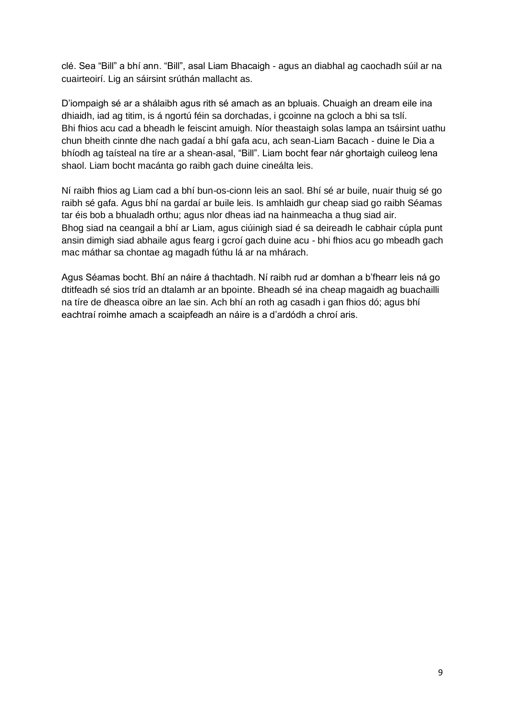clé. Sea "Bill" a bhí ann. "Bill", asal Liam Bhacaigh - agus an diabhal ag caochadh súil ar na cuairteoirí. Lig an sáirsint srúthán mallacht as.

D'iompaigh sé ar a shálaibh agus rith sé amach as an bpluais. Chuaigh an dream eile ina dhiaidh, iad ag titim, is á ngortú féin sa dorchadas, i gcoinne na gcloch a bhi sa tslí. Bhi fhios acu cad a bheadh le feiscint amuigh. Níor theastaigh solas lampa an tsáirsint uathu chun bheith cinnte dhe nach gadaí a bhí gafa acu, ach sean-Liam Bacach - duine le Dia a bhíodh ag taísteal na tíre ar a shean-asal, "Bill". Liam bocht fear nár ghortaigh cuileog lena shaol. Liam bocht macánta go raibh gach duine cineálta leis.

Ní raibh fhios ag Liam cad a bhí bun-os-cionn leis an saol. Bhí sé ar buile, nuair thuig sé go raibh sé gafa. Agus bhí na gardaí ar buile leis. Is amhlaidh gur cheap siad go raibh Séamas tar éis bob a bhualadh orthu; agus nlor dheas iad na hainmeacha a thug siad air. Bhog siad na ceangail a bhí ar Liam, agus ciúinigh siad é sa deireadh le cabhair cúpla punt ansin dimigh siad abhaile agus fearg i gcroí gach duine acu - bhi fhios acu go mbeadh gach mac máthar sa chontae ag magadh fúthu lá ar na mhárach.

Agus Séamas bocht. Bhí an náire á thachtadh. Ní raibh rud ar domhan a b'fhearr leis ná go dtitfeadh sé sios tríd an dtalamh ar an bpointe. Bheadh sé ina cheap magaidh ag buachailli na tíre de dheasca oibre an lae sin. Ach bhí an roth ag casadh i gan fhios dó; agus bhí eachtraí roimhe amach a scaipfeadh an náire is a d'ardódh a chroí aris.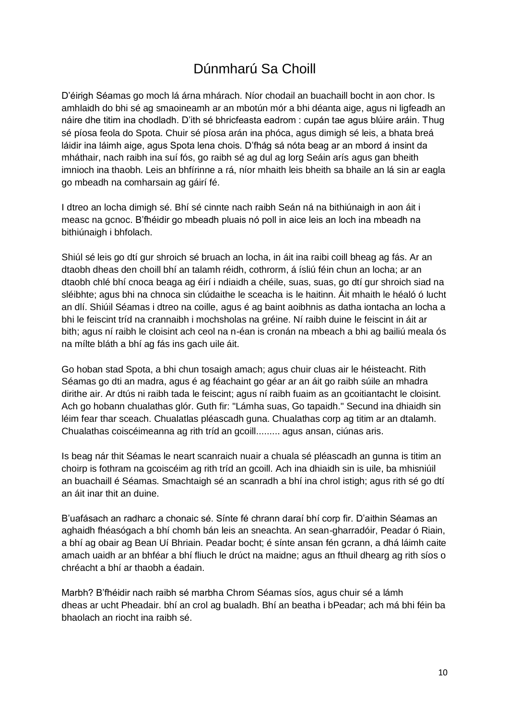# Dúnmharú Sa Choill

<span id="page-9-0"></span>D'éirigh Séamas go moch lá árna mhárach. Níor chodail an buachaill bocht in aon chor. Is amhlaidh do bhi sé ag smaoineamh ar an mbotún mór a bhi déanta aige, agus ni ligfeadh an náire dhe titim ina chodladh. D'ith sé bhricfeasta eadrom : cupán tae agus blúire aráin. Thug sé píosa feola do Spota. Chuir sé píosa arán ina phóca, agus dimigh sé leis, a bhata breá láidir ina láimh aige, agus Spota lena chois. D'fhág sá nóta beag ar an mbord á insint da mháthair, nach raibh ina suí fós, go raibh sé ag dul ag lorg Seáin arís agus gan bheith imnioch ina thaobh. Leis an bhfírinne a rá, níor mhaith leis bheith sa bhaile an lá sin ar eagla go mbeadh na comharsain ag gáirí fé.

I dtreo an locha dimigh sé. Bhí sé cinnte nach raibh Seán ná na bithiúnaigh in aon áit i measc na gcnoc. B'fhéidir go mbeadh pluais nó poll in aice leis an loch ina mbeadh na bithiúnaigh i bhfolach.

Shiúl sé leis go dtí gur shroich sé bruach an locha, in áit ina raibi coill bheag ag fás. Ar an dtaobh dheas den choill bhí an talamh réidh, cothrorm, á ísliú féin chun an locha; ar an dtaobh chlé bhí cnoca beaga ag éirí i ndiaidh a chéile, suas, suas, go dtí gur shroich siad na sléibhte; agus bhi na chnoca sin clúdaithe le sceacha is le haitinn. Áit mhaith le héaló ó lucht an dlí. Shiúil Séamas i dtreo na coille, agus é ag baint aoibhnis as datha iontacha an locha a bhi le feiscint tríd na crannaibh i mochsholas na gréine. Ní raibh duine le feiscint in áit ar bith; agus ní raibh le cloisint ach ceol na n-éan is cronán na mbeach a bhi ag bailiú meala ós na mílte bláth a bhí ag fás ins gach uile áit.

Go hoban stad Spota, a bhi chun tosaigh amach; agus chuir cluas air le héisteacht. Rith Séamas go dti an madra, agus é ag féachaint go géar ar an áit go raibh súile an mhadra dirithe air. Ar dtús ni raibh tada le feiscint; agus ní raibh fuaim as an gcoitiantacht le cloisint. Ach go hobann chualathas glór. Guth fir: "Lámha suas, Go tapaidh." Secund ina dhiaidh sin léim fear thar sceach. Chualatlas pléascadh guna. Chualathas corp ag titim ar an dtalamh. Chualathas coiscéimeanna ag rith tríd an gcoill......... agus ansan, ciúnas aris.

Is beag nár thit Séamas le neart scanraich nuair a chuala sé pléascadh an gunna is titim an choirp is fothram na gcoiscéim ag rith tríd an gcoill. Ach ina dhiaidh sin is uile, ba mhisniúil an buachaill é Séamas. Smachtaigh sé an scanradh a bhí ina chrol istigh; agus rith sé go dtí an áit inar thit an duine.

B'uafásach an radharc a chonaic sé. Sínte fé chrann daraí bhí corp fir. D'aithin Séamas an aghaidh fhéasógach a bhí chomh bán leis an sneachta. An sean-gharradóir, Peadar ó Riain, a bhí ag obair ag Bean Uí Bhriain. Peadar bocht; é sínte ansan fén gcrann, a dhá láimh caite amach uaidh ar an bhféar a bhí fliuch le drúct na maidne; agus an fthuil dhearg ag rith síos o chréacht a bhí ar thaobh a éadain.

Marbh? B'fhéidir nach raibh sé marbha Chrom Séamas síos, agus chuir sé a lámh dheas ar ucht Pheadair. bhí an crol ag bualadh. Bhí an beatha i bPeadar; ach má bhi féin ba bhaolach an riocht ina raibh sé.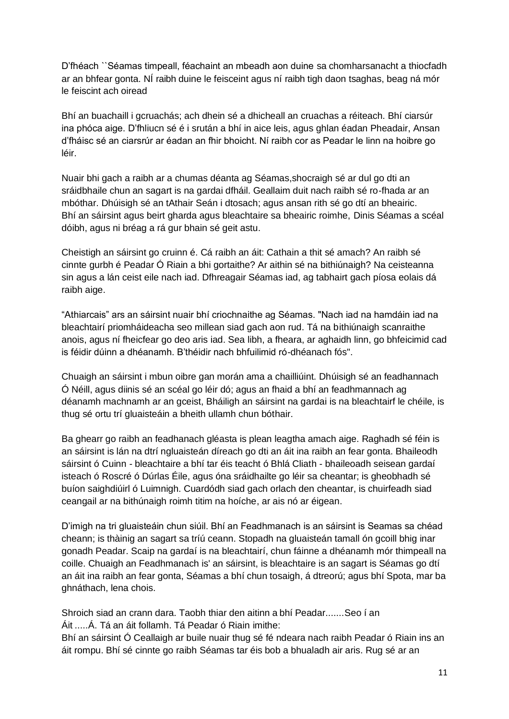D'fhéach ``Séamas timpeall, féachaint an mbeadh aon duine sa chomharsanacht a thiocfadh ar an bhfear gonta. NÍ raibh duine le feisceint agus ní raibh tigh daon tsaghas, beag ná mór le feiscint ach oiread

Bhí an buachaill i gcruachás; ach dhein sé a dhicheall an cruachas a réiteach. Bhí ciarsúr ina phóca aige. D'fhliucn sé é i srután a bhí in aice leis, agus ghlan éadan Pheadair, Ansan d'fháisc sé an ciarsrúr ar éadan an fhir bhoicht. Ní raibh cor as Peadar le linn na hoibre go léir.

Nuair bhi gach a raibh ar a chumas déanta ag Séamas,shocraigh sé ar dul go dti an sráidbhaile chun an sagart is na gardai dfháil. Geallaim duit nach raibh sé ro-fhada ar an mbóthar. Dhúisigh sé an tAthair Seán i dtosach; agus ansan rith sé go dtí an bheairic. Bhí an sáirsint agus beirt gharda agus bleachtaire sa bheairic roimhe, Dinis Séamas a scéal dóibh, agus ni bréag a rá gur bhain sé geit astu.

Cheistigh an sáirsint go cruinn é. Cá raibh an áit: Cathain a thit sé amach? An raibh sé cinnte gurbh é Peadar Ó Riain a bhi gortaithe? Ar aithin sé na bithiúnaigh? Na ceisteanna sin agus a lán ceist eile nach iad. Dfhreagair Séamas iad, ag tabhairt gach píosa eolais dá raibh aige.

"Athiarcais" ars an sáirsint nuair bhí criochnaithe ag Séamas. "Nach iad na hamdáin iad na bleachtairí priomháideacha seo millean siad gach aon rud. Tá na bithiúnaigh scanraithe anois, agus ní fheicfear go deo aris iad. Sea libh, a fheara, ar aghaidh linn, go bhfeicimid cad is féidir dúinn a dhéanamh. B'théidir nach bhfuilimid ró-dhéanach fós".

Chuaigh an sáirsint i mbun oibre gan morán ama a chailliúint. Dhúisigh sé an feadhannach Ó Néill, agus diinis sé an scéal go léir dó; agus an fhaid a bhí an feadhmannach ag déanamh machnamh ar an gceist, Bháiligh an sáirsint na gardai is na bleachtairf le chéile, is thug sé ortu trí gluaisteáin a bheith ullamh chun bóthair.

Ba ghearr go raibh an feadhanach gléasta is plean leagtha amach aige. Raghadh sé féin is an sáirsint is lán na dtrí ngluaisteán díreach go dti an áit ina raibh an fear gonta. Bhaileodh sáirsint ó Cuinn - bleachtaire a bhí tar éis teacht ó Bhlá Cliath - bhaileoadh seisean gardaí isteach ó Roscré ó Dúrlas Éile, agus óna sráidhailte go léir sa cheantar; is gheobhadh sé buíon saighdiúirl ó Luimnigh. Cuardódh siad gach orlach den cheantar, is chuirfeadh siad ceangail ar na bithúnaigh roimh titim na hoíche, ar ais nó ar éigean.

D'imigh na tri gluaisteáin chun siúil. Bhí an Feadhmanach is an sáirsint is Seamas sa chéad cheann; is thàinig an sagart sa tríú ceann. Stopadh na gluaisteán tamall ón gcoill bhig inar gonadh Peadar. Scaip na gardaí is na bleachtairí, chun fáinne a dhéanamh mór thimpeall na coille. Chuaigh an Feadhmanach is' an sáirsint, is bleachtaire is an sagart is Séamas go dtí an áit ina raibh an fear gonta, Séamas a bhí chun tosaigh, á dtreorú; agus bhí Spota, mar ba ghnáthach, lena chois.

Shroich siad an crann dara. Taobh thiar den aitinn a bhí Peadar.......Seo í an Áit .....Á. Tá an áit follamh. Tá Peadar ó Riain imithe:

Bhí an sáirsint Ó Ceallaigh ar buile nuair thug sé fé ndeara nach raibh Peadar ó Riain ins an áit rompu. Bhí sé cinnte go raibh Séamas tar éis bob a bhualadh air aris. Rug sé ar an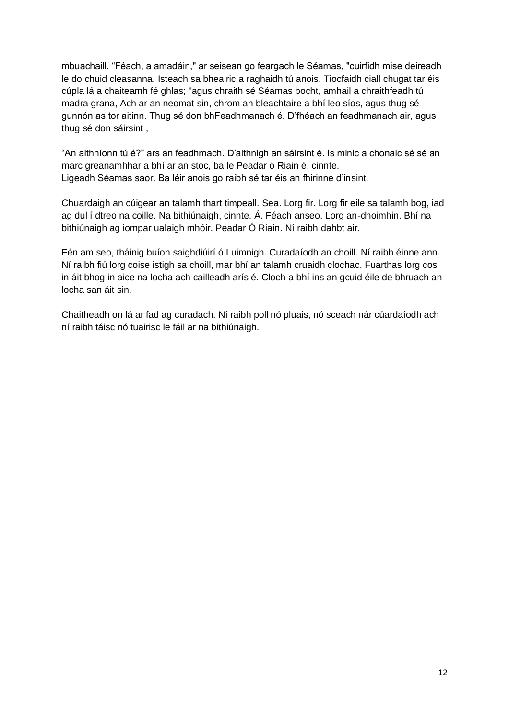mbuachaill. "Féach, a amadáin," ar seisean go feargach le Séamas, "cuirfidh mise deireadh le do chuid cleasanna. Isteach sa bheairic a raghaidh tú anois. Tiocfaidh ciall chugat tar éis cúpla lá a chaiteamh fé ghlas; "agus chraith sé Séamas bocht, amhail a chraithfeadh tú madra grana, Ach ar an neomat sin, chrom an bleachtaire a bhí leo síos, agus thug sé gunnón as tor aitinn. Thug sé don bhFeadhmanach é. D'fhéach an feadhmanach air, agus thug sé don sáirsint ,

"An aithníonn tú é?" ars an feadhmach. D'aithnigh an sáirsint é. Is minic a chonaic sé sé an marc greanamhhar a bhí ar an stoc, ba le Peadar ó Riain é, cinnte. Ligeadh Séamas saor. Ba léir anois go raibh sé tar éis an fhirinne d'insint.

Chuardaigh an cúigear an talamh thart timpeall. Sea. Lorg fir. Lorg fir eile sa talamh bog, iad ag dul í dtreo na coille. Na bithiúnaigh, cinnte. Á. Féach anseo. Lorg an-dhoimhin. Bhí na bithiúnaigh ag iompar ualaigh mhóir. Peadar Ó Riain. Ní raibh dahbt air.

Fén am seo, tháinig buíon saighdiúirí ó Luimnigh. Curadaíodh an choill. Ní raibh éinne ann. Ní raibh fiú lorg coise istigh sa choill, mar bhí an talamh cruaidh clochac. Fuarthas lorg cos in áit bhog in aice na locha ach cailleadh arís é. Cloch a bhí ins an gcuid éile de bhruach an locha san áit sin.

Chaitheadh on lá ar fad ag curadach. Ní raibh poll nó pluais, nó sceach nár cúardaíodh ach ní raibh táisc nó tuairisc le fáil ar na bithiúnaigh.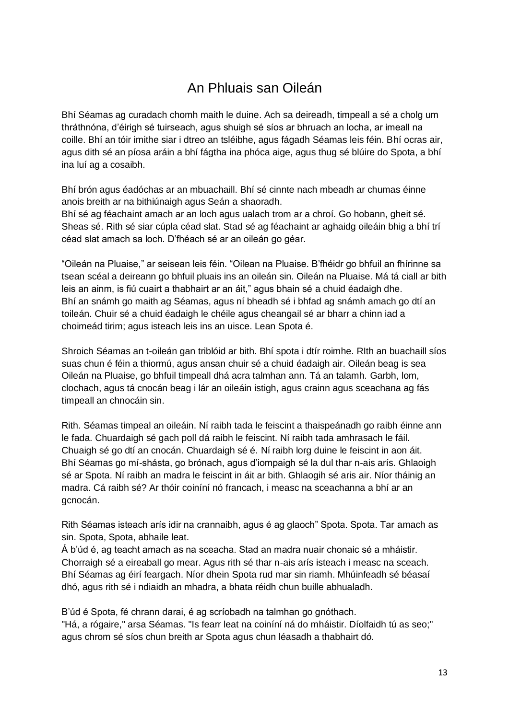# An Phluais san Oileán

<span id="page-12-0"></span>Bhí Séamas ag curadach chomh maith le duine. Ach sa deireadh, timpeall a sé a cholg um thráthnóna, d'éirigh sé tuirseach, agus shuigh sé síos ar bhruach an locha, ar imeall na coille. Bhí an tóir imithe siar i dtreo an tsléibhe, agus fágadh Séamas leis féin. Bhí ocras air, agus dith sé an píosa aráin a bhí fágtha ina phóca aige, agus thug sé blúire do Spota, a bhí ina luí ag a cosaibh.

Bhí brón agus éadóchas ar an mbuachaill. Bhí sé cinnte nach mbeadh ar chumas éinne anois breith ar na bithiúnaigh agus Seán a shaoradh.

Bhí sé ag féachaint amach ar an loch agus ualach trom ar a chroí. Go hobann, gheit sé. Sheas sé. Rith sé siar cúpla céad slat. Stad sé ag féachaint ar aghaidg oileáin bhig a bhí trí céad slat amach sa loch. D'fhéach sé ar an oileán go géar.

"Oileán na Pluaise," ar seisean leis féin. "Oilean na Pluaise. B'fhéidr go bhfuil an fhírinne sa tsean scéal a deireann go bhfuil pluais ins an oileán sin. Oileán na Pluaise. Má tá ciall ar bith leis an ainm, is fiú cuairt a thabhairt ar an áit," agus bhain sé a chuid éadaigh dhe. Bhí an snámh go maith ag Séamas, agus ní bheadh sé i bhfad ag snámh amach go dtí an toileán. Chuir sé a chuid éadaigh le chéile agus cheangail sé ar bharr a chinn iad a choimeád tirim; agus isteach leis ins an uisce. Lean Spota é.

Shroich Séamas an t-oileán gan triblóid ar bith. Bhí spota i dtír roimhe. RIth an buachaill síos suas chun é féin a thiormú, agus ansan chuir sé a chuid éadaigh air. Oileán beag is sea Oileán na Pluaise, go bhfuil timpeall dhá acra talmhan ann. Tá an talamh. Garbh, lom, clochach, agus tá cnocán beag i lár an oileáin istigh, agus crainn agus sceachana ag fás timpeall an chnocáin sin.

Rith. Séamas timpeal an oileáin. Ní raibh tada le feiscint a thaispeánadh go raibh éinne ann le fada. Chuardaigh sé gach poll dá raibh le feiscint. Ní raibh tada amhrasach le fáil. Chuaigh sé go dtí an cnocán. Chuardaigh sé é. Ní raibh lorg duine le feiscint in aon áit. Bhí Séamas go mí-shásta, go brónach, agus d'iompaigh sé la dul thar n-ais arís. Ghlaoigh sé ar Spota. Ní raibh an madra le feiscint in áit ar bith. Ghlaogih sé aris air. Níor tháinig an madra. Cá raibh sé? Ar thóir coiníní nó francach, i measc na sceachanna a bhí ar an gcnocán.

Rith Séamas isteach arís idir na crannaibh, agus é ag glaoch" Spota. Spota. Tar amach as sin. Spota, Spota, abhaile leat.

Á b'úd é, ag teacht amach as na sceacha. Stad an madra nuair chonaic sé a mháistir. Chorraigh sé a eireaball go mear. Agus rith sé thar n-ais arís isteach i measc na sceach. Bhí Séamas ag éirí feargach. Níor dhein Spota rud mar sin riamh. Mhúinfeadh sé béasaí dhó, agus rith sé i ndiaidh an mhadra, a bhata réidh chun buille abhualadh.

B'úd é Spota, fé chrann darai, é ag scríobadh na talmhan go gnóthach. "Há, a rógaire," arsa Séamas. "Is fearr leat na coiníní ná do mháistir. Díolfaidh tú as seo;" agus chrom sé síos chun breith ar Spota agus chun léasadh a thabhairt dó.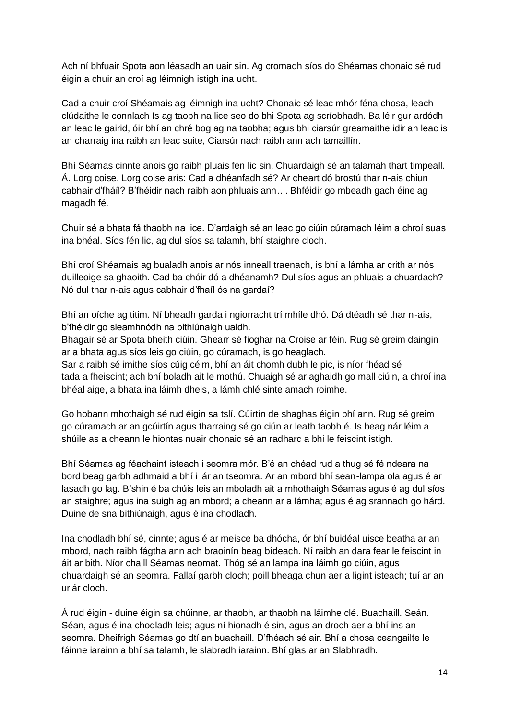Ach ní bhfuair Spota aon léasadh an uair sin. Ag cromadh síos do Shéamas chonaic sé rud éigin a chuir an croí ag léimnigh istigh ina ucht.

Cad a chuir croí Shéamais ag léimnigh ina ucht? Chonaic sé leac mhór féna chosa, leach clúdaithe le connlach Is ag taobh na lice seo do bhi Spota ag scríobhadh. Ba léir gur ardódh an leac le gairid, óir bhí an chré bog ag na taobha; agus bhi ciarsúr greamaithe idir an leac is an charraig ina raibh an leac suite, Ciarsúr nach raibh ann ach tamaillín.

Bhí Séamas cinnte anois go raibh pluais fén lic sin. Chuardaigh sé an talamah thart timpeall. Á. Lorg coise. Lorg coise arís: Cad a dhéanfadh sé? Ar cheart dó brostú thar n-ais chiun cabhair d'fháíl? B'fhéidir nach raibh aon phluais ann.... Bhféidir go mbeadh gach éine ag magadh fé.

Chuir sé a bhata fá thaobh na lice. D'ardaigh sé an leac go ciúin cúramach Iéim a chroí suas ina bhéal. Síos fén lic, ag dul síos sa talamh, bhí staighre cloch.

Bhí croí Shéamais ag bualadh anois ar nós inneall traenach, is bhí a lámha ar crith ar nós duilleoige sa ghaoith. Cad ba chóir dó a dhéanamh? Dul síos agus an phluais a chuardach? Nó dul thar n-ais agus cabhair d'fhaíl ós na gardaí?

Bhí an oíche ag titim. Ní bheadh garda i ngiorracht trí mhíle dhó. Dá dtéadh sé thar n-ais, b'fhéidir go sleamhnódh na bithiúnaigh uaidh.

Bhagair sé ar Spota bheith ciúin. Ghearr sé fioghar na Croise ar féin. Rug sé greim daingin ar a bhata agus síos leis go ciúin, go cúramach, is go heaglach.

Sar a raibh sé imithe síos cúig céim, bhí an áit chomh dubh le pic, is níor fhéad sé tada a fheiscint; ach bhí boladh ait le mothú. Chuaigh sé ar aghaidh go mall ciúin, a chroí ina bhéal aige, a bhata ina láimh dheis, a lámh chlé sinte amach roimhe.

Go hobann mhothaigh sé rud éigin sa tslí. Cúirtín de shaghas éigin bhí ann. Rug sé greim go cúramach ar an gcúirtín agus tharraing sé go ciún ar leath taobh é. Is beag nár léim a shúile as a cheann le hiontas nuair chonaic sé an radharc a bhi le feiscint istigh.

Bhí Séamas ag féachaint isteach i seomra mór. B'é an chéad rud a thug sé fé ndeara na bord beag garbh adhmaid a bhí i lár an tseomra. Ar an mbord bhí sean-lampa ola agus é ar lasadh go lag. B'shin é ba chúis leis an mboladh ait a mhothaigh Séamas agus é ag dul síos an staighre; agus ina suigh ag an mbord; a cheann ar a lámha; agus é ag srannadh go hárd. Duine de sna bithiúnaigh, agus é ina chodladh.

Ina chodladh bhí sé, cinnte; agus é ar meisce ba dhócha, ór bhí buidéal uisce beatha ar an mbord, nach raibh fágtha ann ach braoinín beag bídeach. Ní raibh an dara fear le feiscint in áit ar bith. Níor chaill Séamas neomat. Thóg sé an lampa ina láimh go ciúin, agus chuardaigh sé an seomra. Fallaí garbh cloch; poill bheaga chun aer a ligint isteach; tuí ar an urlár cloch.

Á rud éigin - duine éigin sa chúinne, ar thaobh, ar thaobh na láimhe clé. Buachaill. Seán. Séan, agus é ina chodladh leis; agus ní hionadh é sin, agus an droch aer a bhí ins an seomra. Dheifrigh Séamas go dtí an buachaill. D'fhéach sé air. Bhí a chosa ceangailte le fáinne iarainn a bhí sa talamh, le slabradh iarainn. Bhí glas ar an Slabhradh.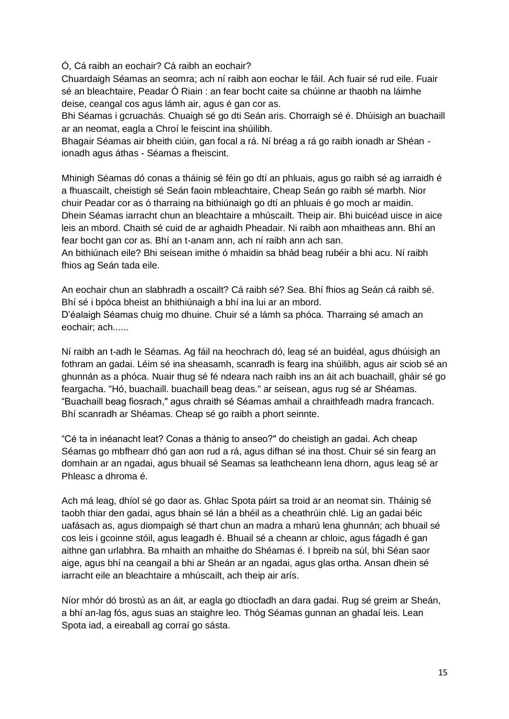Ó, Cá raibh an eochair? Cá raibh an eochair?

Chuardaigh Séamas an seomra; ach ní raibh aon eochar le fáil. Ach fuair sé rud eile. Fuair sé an bleachtaire, Peadar Ó Riain : an fear bocht caite sa chúinne ar thaobh na láimhe deise, ceangal cos agus lámh air, agus é gan cor as.

Bhi Séamas i gcruachás. Chuaigh sé go dti Seán aris. Chorraigh sé é. Dhúisigh an buachaill ar an neomat, eagla a Chroí le feiscint ina shúilibh.

Bhagair Séamas air bheith ciúin, gan focal a rá. Ní bréag a rá go raibh ionadh ar Shéan ionadh agus áthas - Séamas a fheiscint.

Mhinigh Séamas dó conas a tháinig sé féin go dtí an phluais, agus go raibh sé ag iarraidh é a fhuascailt, cheistigh sé Seán faoin mbleachtaire, Cheap Seán go raibh sé marbh. Nior chuir Peadar cor as ó tharraing na bithiúnaigh go dtí an phluais é go moch ar maidin. Dhein Séamas iarracht chun an bleachtaire a mhúscailt. Theip air. Bhi buicéad uisce in aice leis an mbord. Chaith sé cuid de ar aghaidh Pheadair. Ni raibh aon mhaitheas ann. Bhí an fear bocht gan cor as. Bhí an t-anam ann, ach ní raibh ann ach san.

An bithiúnach eile? Bhi seisean imithe ó mhaidin sa bhád beag rubéir a bhi acu. Ní raibh fhios ag Seán tada eile.

An eochair chun an slabhradh a oscailt? Cá raibh sé? Sea. Bhí fhios ag Seán cá raibh sé. Bhí sé i bpóca bheist an bhithiúnaigh a bhí ina lui ar an mbord. D'éalaigh Séamas chuig mo dhuine. Chuir sé a lámh sa phóca. Tharraing sé amach an eochair; ach......

Ní raibh an t-adh le Séamas. Ag fáil na heochrach dó, leag sé an buidéal, agus dhúisigh an fothram an gadai. Léim sé ina sheasamh, scanradh is fearg ina shúilibh, agus air sciob sé an ghunnán as a phóca. Nuair thug sé fé ndeara nach raibh ins an áit ach buachaill, gháir sé go feargacha. "Hó, buachaill. buachaill beag deas." ar seisean, agus rug sé ar Shéamas. "Buachaill beag fiosrach," agus chraith sé Séamas amhail a chraithfeadh madra francach. Bhí scanradh ar Shéamas. Cheap sé go raibh a phort seinnte.

"Cé ta in inéanacht leat? Conas a thánig to anseo?" do cheistigh an gadai. Ach cheap Séamas go mbfhearr dhó gan aon rud a rá, agus difhan sé ina thost. Chuir sé sin fearg an domhain ar an ngadai, agus bhuail sé Seamas sa leathcheann lena dhorn, agus leag sé ar Phleasc a dhroma é.

Ach má leag, dhíol sé go daor as. Ghlac Spota páirt sa troid ar an neomat sin. Tháinig sé taobh thiar den gadai, agus bhain sé lán a bhéil as a cheathrúin chlé. Lig an gadai béic uafásach as, agus diompaigh sé thart chun an madra a mharú lena ghunnán; ach bhuail sé cos leis i gcoinne stóil, agus leagadh é. Bhuail sé a cheann ar chloic, agus fágadh é gan aithne gan urlabhra. Ba mhaith an mhaithe do Shéamas é. I bpreib na súl, bhi Séan saor aige, agus bhí na ceangail a bhi ar Sheán ar an ngadai, agus glas ortha. Ansan dhein sé iarracht eile an bleachtaire a mhúscailt, ach theip air arís.

Níor mhór dó brostú as an áit, ar eagla go dtiocfadh an dara gadai. Rug sé greim ar Sheán, a bhí an-lag fós, agus suas an staighre leo. Thóg Séamas gunnan an ghadaí leis. Lean Spota iad, a eireaball ag corraí go sásta.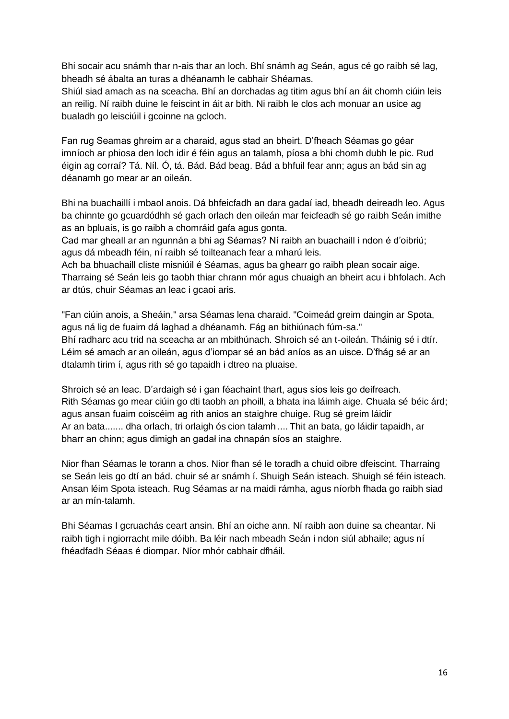Bhi socair acu snámh thar n-ais thar an loch. Bhí snámh ag Seán, agus cé go raibh sé lag, bheadh sé ábalta an turas a dhéanamh le cabhair Shéamas.

Shiúl siad amach as na sceacha. Bhí an dorchadas ag titim agus bhí an áit chomh ciúin leis an reilig. Ní raibh duine le feiscint in áit ar bith. Ni raibh le clos ach monuar an usice ag bualadh go leisciúil i gcoinne na gcloch.

Fan rug Seamas ghreim ar a charaid, agus stad an bheirt. D'fheach Séamas go géar imníoch ar phiosa den loch idir é féin agus an talamh, píosa a bhi chomh dubh le pic. Rud éigin ag corraí? Tá. Níl. Ó, tá. Bád. Bád beag. Bád a bhfuil fear ann; agus an bád sin ag déanamh go mear ar an oileán.

Bhi na buachaillí i mbaol anois. Dá bhfeicfadh an dara gadaí iad, bheadh deireadh leo. Agus ba chinnte go gcuardódhh sé gach orlach den oileán mar feicfeadh sé go raibh Seán imithe as an bpluais, is go raibh a chomráid gafa agus gonta.

Cad mar gheall ar an ngunnán a bhi ag Séamas? Ní raibh an buachaill i ndon é d'oibriú; agus dá mbeadh féin, ní raibh sé toilteanach fear a mharú leis.

Ach ba bhuachaill cliste misniúil é Séamas, agus ba ghearr go raibh plean socair aige. Tharraing sé Seán leis go taobh thiar chrann mór agus chuaigh an bheirt acu i bhfolach. Ach ar dtús, chuir Séamas an leac i gcaoi aris.

"Fan ciúin anois, a Sheáin," arsa Séamas lena charaid. "Coimeád greim daingin ar Spota, agus ná lig de fuaim dá laghad a dhéanamh. Fág an bithiúnach fúm-sa." Bhí radharc acu trid na sceacha ar an mbithúnach. Shroich sé an t-oileán. Tháinig sé i dtír. Léim sé amach ar an oileán, agus d'iompar sé an bád aníos as an uisce. D'fhág sé ar an dtalamh tirim í, agus rith sé go tapaidh i dtreo na pluaise.

Shroich sé an leac. D'ardaigh sé i gan féachaint thart, agus síos leis go deifreach. Rith Séamas go mear ciúin go dti taobh an phoill, a bhata ina láimh aige. Chuala sé béic árd; agus ansan fuaim coiscéim ag rith anios an staighre chuige. Rug sé greim láidir Ar an bata....... dha orlach, tri orlaigh ós cion talamh .... Thit an bata, go láidir tapaidh, ar bharr an chinn; agus dimigh an gadał ina chnapán síos an staighre.

Nior fhan Séamas le torann a chos. Nior fhan sé le toradh a chuid oibre dfeiscint. Tharraing se Seán leis go dtí an bád. chuir sé ar snámh í. Shuigh Seán isteach. Shuigh sé féin isteach. Ansan léim Spota isteach. Rug Séamas ar na maidi rámha, agus níorbh fhada go raibh siad ar an mín-talamh.

Bhi Séamas I gcruachás ceart ansin. Bhí an oiche ann. Ní raibh aon duine sa cheantar. Ni raibh tigh i ngiorracht mile dóibh. Ba léir nach mbeadh Seán i ndon siúl abhaile; agus ní fhéadfadh Séaas é diompar. Níor mhór cabhair dfháil.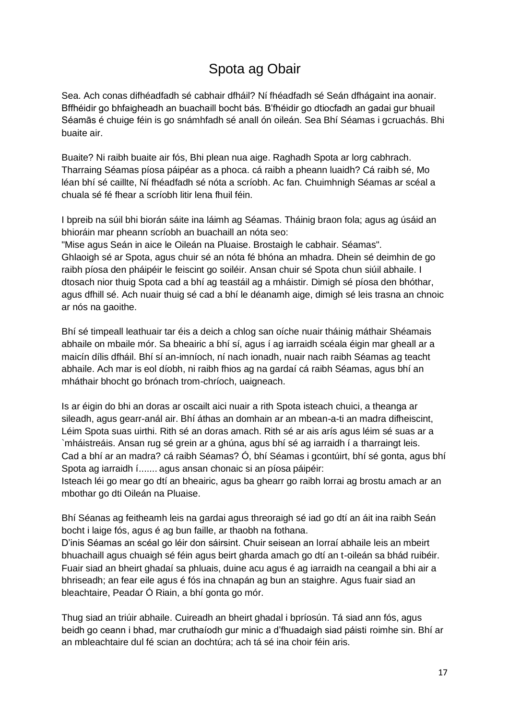# Spota ag Obair

<span id="page-16-0"></span>Sea. Ach conas difhéadfadh sé cabhair dfháil? Ní fhéadfadh sé Seán dfhágaint ina aonair. Bffhéidir go bhfaigheadh an buachaill bocht bás. B'fhéidir go dtiocfadh an gadai gur bhuail Séamās é chuige féin is go snámhfadh sé anall ón oileán. Sea Bhí Séamas i gcruachás. Bhi buaite air.

Buaite? Ni raibh buaite air fós, Bhi plean nua aige. Raghadh Spota ar lorg cabhrach. Tharraing Séamas píosa páipéar as a phoca. cá raibh a pheann luaidh? Cá raibh sé, Mo léan bhí sé caillte, Ní fhéadfadh sé nóta a scríobh. Ac fan. Chuimhnigh Séamas ar scéal a chuala sé fé fhear a scríobh litir lena fhuil féin.

I bpreib na súil bhi biorán sáite ina láimh ag Séamas. Tháinig braon fola; agus ag úsáid an bhioráin mar pheann scríobh an buachaill an nóta seo:

"Mise agus Seán in aice le Oileán na Pluaise. Brostaigh le cabhair. Séamas". Ghlaoigh sé ar Spota, agus chuir sé an nóta fé bhóna an mhadra. Dhein sé deimhin de go raibh píosa den pháipéir le feiscint go soiléir. Ansan chuir sé Spota chun siúil abhaile. I dtosach nior thuig Spota cad a bhí ag teastáil ag a mháistir. Dimigh sé píosa den bhóthar, agus dfhill sé. Ach nuair thuig sé cad a bhí le déanamh aige, dimigh sé leis trasna an chnoic ar nós na gaoithe.

Bhí sé timpeall leathuair tar éis a deich a chlog san oíche nuair tháinig máthair Shéamais abhaile on mbaile mór. Sa bheairic a bhí sí, agus í ag iarraidh scéala éigin mar gheall ar a maicín dílis dfháil. Bhí sí an-imníoch, ní nach ionadh, nuair nach raibh Séamas ag teacht abhaile. Ach mar is eol díobh, ni raibh fhios ag na gardaí cá raibh Séamas, agus bhí an mháthair bhocht go brónach trom-chríoch, uaigneach.

Is ar éigin do bhi an doras ar oscailt aici nuair a rith Spota isteach chuici, a theanga ar sileadh, agus gearr-anál air. Bhí áthas an domhain ar an mbean-a-ti an madra difheiscint, Léim Spota suas uirthi. Rith sé an doras amach. Rith sé ar ais arís agus léim sé suas ar a `mháistreáis. Ansan rug sé grein ar a ghúna, agus bhí sé ag iarraidh í a tharraingt leis. Cad a bhí ar an madra? cá raibh Séamas? Ó, bhí Séamas i gcontúirt, bhí sé gonta, agus bhí Spota ag iarraidh í....... agus ansan chonaic si an píosa páipéir:

Isteach léi go mear go dtí an bheairic, agus ba ghearr go raibh lorrai ag brostu amach ar an mbothar go dti Oileán na Pluaise.

Bhí Séanas ag feitheamh leis na gardai agus threoraigh sé iad go dtí an áit ina raibh Seán bocht i laige fós, agus é ag bun faille, ar thaobh na fothana.

D'inis Séamas an scéal go léir don sáirsint. Chuir seisean an lorraí abhaile leis an mbeirt bhuachaill agus chuaigh sé féin agus beirt gharda amach go dtí an t-oileán sa bhád ruibéir. Fuair siad an bheirt ghadaí sa phluais, duine acu agus é ag iarraidh na ceangail a bhi air a bhriseadh; an fear eile agus é fós ina chnapán ag bun an staighre. Agus fuair siad an bleachtaire, Peadar Ó Riain, a bhí gonta go mór.

Thug siad an triúir abhaile. Cuireadh an bheirt ghadal i bpríosún. Tá siad ann fós, agus beidh go ceann i bhad, mar cruthaíodh gur minic a d'fhuadaigh siad páisti roimhe sin. Bhí ar an mbleachtaire dul fé scian an dochtúra; ach tá sé ina choir féin aris.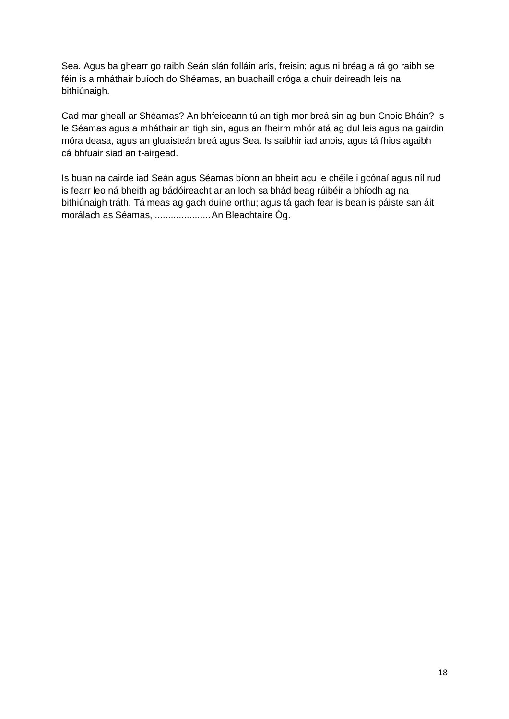Sea. Agus ba ghearr go raibh Seán slán folláin arís, freisin; agus ni bréag a rá go raibh se féin is a mháthair buíoch do Shéamas, an buachaill cróga a chuir deireadh leis na bithiúnaigh.

Cad mar gheall ar Shéamas? An bhfeiceann tú an tigh mor breá sin ag bun Cnoic Bháin? Is le Séamas agus a mháthair an tigh sin, agus an fheirm mhór atá ag dul leis agus na gairdin móra deasa, agus an gluaisteán breá agus Sea. Is saibhir iad anois, agus tá fhios agaibh cá bhfuair siad an t-airgead.

Is buan na cairde iad Seán agus Séamas bíonn an bheirt acu le chéile i gcónaí agus níl rud is fearr leo ná bheith ag bádóireacht ar an loch sa bhád beag rúibéir a bhíodh ag na bithiúnaigh tráth. Tá meas ag gach duine orthu; agus tá gach fear is bean is páiste san áit morálach as Séamas, .....................An Bleachtaire Óg.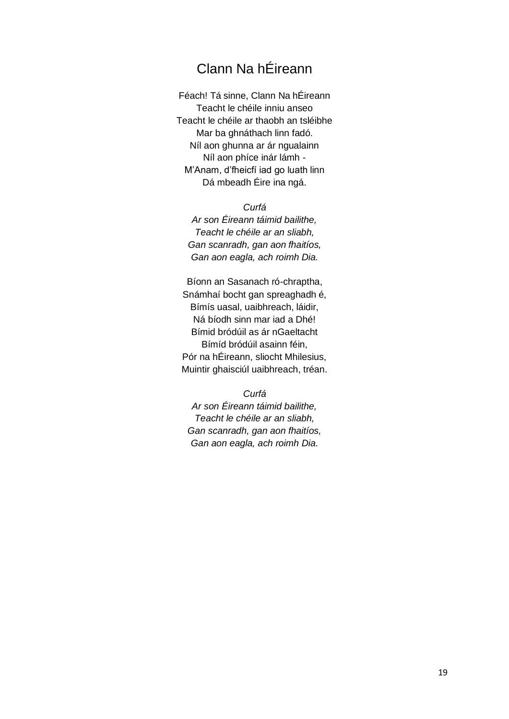# Clann Na hÉireann

<span id="page-18-0"></span>Féach! Tá sinne, Clann Na hÉireann Teacht le chéile inniu anseo Teacht le chéile ar thaobh an tsléibhe Mar ba ghnáthach linn fadó. Níl aon ghunna ar ár ngualainn Níl aon phíce inár lámh - M'Anam, d'fheicfí iad go luath linn Dá mbeadh Éire ina ngá.

### *Curfá*

*Ar son Éireann táimid bailithe, Teacht le chéile ar an sliabh, Gan scanradh, gan aon fhaitíos, Gan aon eagla, ach roimh Dia.*

Bíonn an Sasanach ró-chraptha, Snámhaí bocht gan spreaghadh é, Bímís uasal, uaibhreach, láidir, Ná bíodh sinn mar iad a Dhé! Bímid bródúil as ár nGaeltacht Bímíd bródúil asainn féin, Pór na hÉireann, sliocht Mhilesius, Muintir ghaisciúl uaibhreach, tréan.

### *Curfá*

*Ar son Éireann táimid bailithe, Teacht le chéile ar an sliabh, Gan scanradh, gan aon fhaitíos, Gan aon eagla, ach roimh Dia.*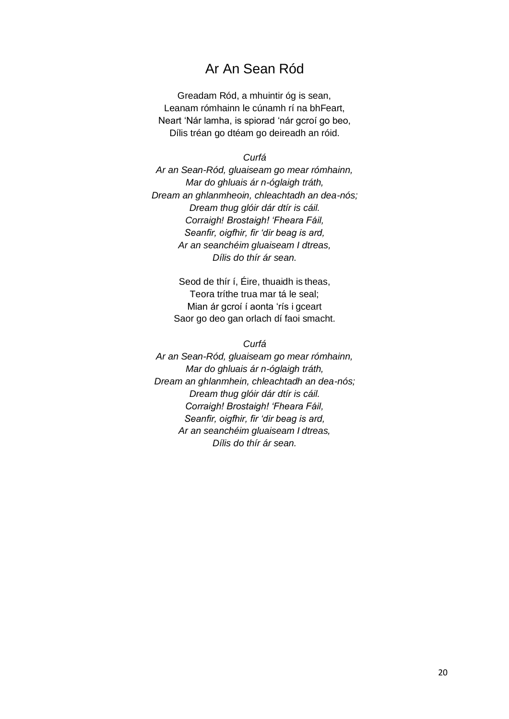## Ar An Sean Ród

<span id="page-19-0"></span>Greadam Ród, a mhuintir óg is sean, Leanam rómhainn le cúnamh rí na bhFeart, Neart 'Nár lamha, is spiorad 'nár gcroí go beo, Dílis tréan go dtéam go deireadh an róid.

### *Curfá*

*Ar an Sean-Ród, gluaiseam go mear rómhainn, Mar do ghluais ár n-óglaigh tráth, Dream an ghlanmheoin, chleachtadh an dea-nós; Dream thug glóir dár dtír is cáil. Corraigh! Brostaigh! 'Fheara Fáil, Seanfir, oigfhir, fir 'dir beag is ard, Ar an seanchéim gluaiseam I dtreas, Dílis do thír ár sean.*

> Seod de thír í, Éire, thuaidh is theas, Teora tríthe trua mar tá le seal; Mian ár gcroí í aonta 'rís i gceart Saor go deo gan orlach dí faoi smacht.

### *Curfá*

*Ar an Sean-Ród, gluaiseam go mear rómhainn, Mar do ghluais ár n-óglaigh tráth, Dream an ghlanmhein, chleachtadh an dea-nós; Dream thug glóir dár dtír is cáil. Corraigh! Brostaigh! 'Fheara Fáil, Seanfir, oigfhir, fir 'dir beag is ard, Ar an seanchéim gluaiseam I dtreas, Dílis do thír ár sean.*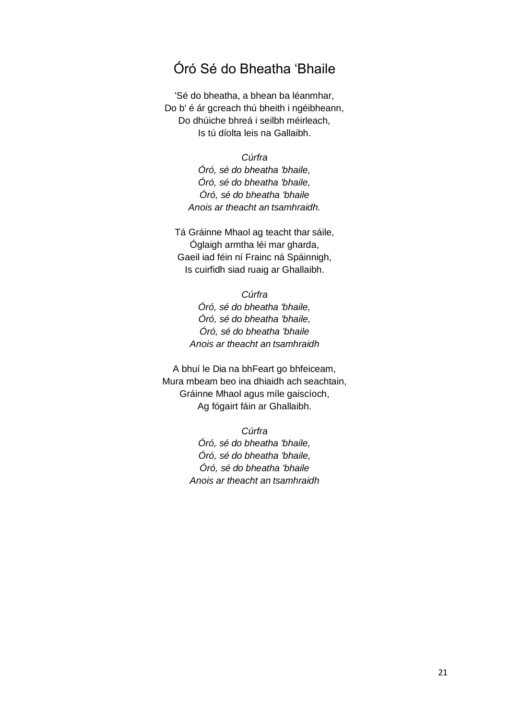## Óró Sé do Bheatha 'Bhaile

<span id="page-20-0"></span>'Sé do bheatha, a bhean ba léanmhar, Do b' é ár gcreach thú bheith i ngéibheann, Do dhúiche bhreá i seilbh méirleach, Is tú díolta leis na Gallaibh.

### *Cúrfra*

*Óró, sé do bheatha 'bhaile, Óró, sé do bheatha 'bhaile, Óró, sé do bheatha 'bhaile Anois ar theacht an tsamhraidh.*

Tá Gráinne Mhaol ag teacht thar sáile, Óglaigh armtha léi mar gharda, Gaeil iad féin ní Frainc ná Spáinnigh, Is cuirfidh siad ruaig ar Ghallaibh.

### *Cúrfra*

*Óró, sé do bheatha 'bhaile, Óró, sé do bheatha 'bhaile, Óró, sé do bheatha 'bhaile Anois ar theacht an tsamhraidh*

A bhuí le Dia na bhFeart go bhfeiceam, Mura mbeam beo ina dhiaidh ach seachtain, Gráinne Mhaol agus míle gaiscíoch, Ag fógairt fáin ar Ghallaibh.

#### *Cúrfra*

*Óró, sé do bheatha 'bhaile, Óró, sé do bheatha 'bhaile, Óró, sé do bheatha 'bhaile Anois ar theacht an tsamhraidh*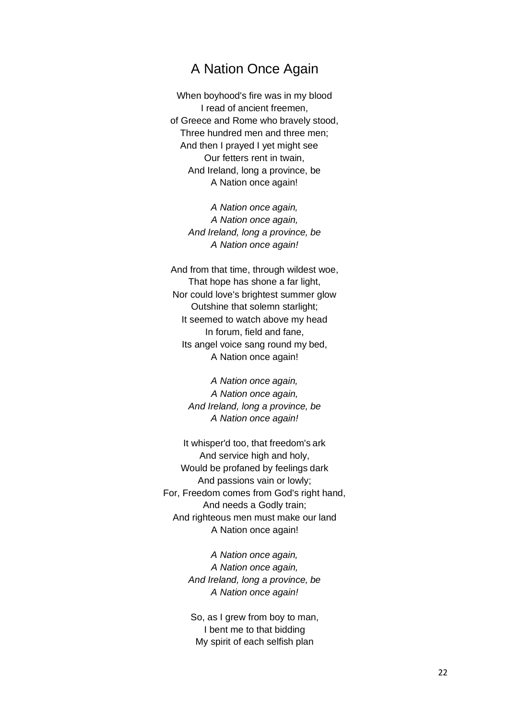### A Nation Once Again

<span id="page-21-0"></span>When boyhood's fire was in my blood I read of ancient freemen, of Greece and Rome who bravely stood, Three hundred men and three men; And then I prayed I yet might see Our fetters rent in twain, And Ireland, long a province, be A Nation once again!

> *A Nation once again, A Nation once again, And Ireland, long a province, be A Nation once again!*

And from that time, through wildest woe, That hope has shone a far light, Nor could love's brightest summer glow Outshine that solemn starlight; It seemed to watch above my head In forum, field and fane, Its angel voice sang round my bed, A Nation once again!

> *A Nation once again, A Nation once again, And Ireland, long a province, be A Nation once again!*

It whisper'd too, that freedom's ark And service high and holy, Would be profaned by feelings dark And passions vain or lowly; For, Freedom comes from God's right hand, And needs a Godly train; And righteous men must make our land A Nation once again!

> *A Nation once again, A Nation once again, And Ireland, long a province, be A Nation once again!*

So, as I grew from boy to man, I bent me to that bidding My spirit of each selfish plan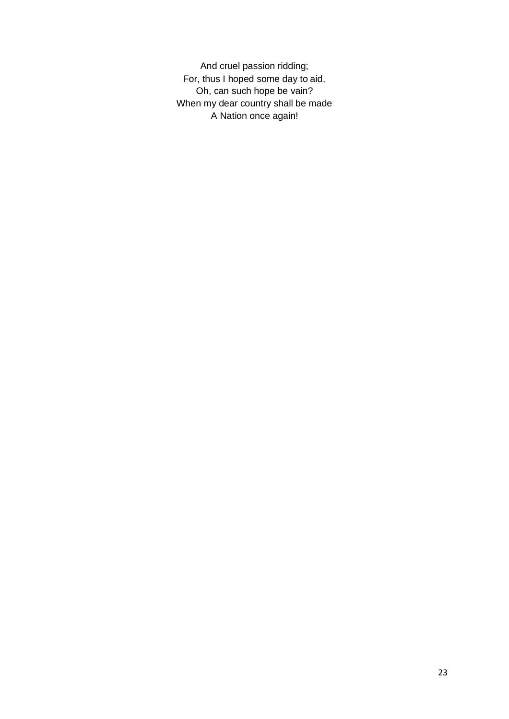And cruel passion ridding; For, thus I hoped some day to aid, Oh, can such hope be vain? When my dear country shall be made A Nation once again!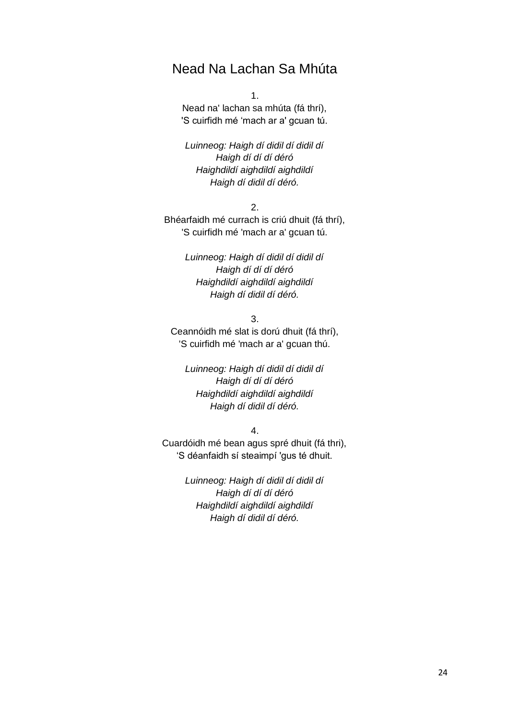## <span id="page-23-0"></span>Nead Na Lachan Sa Mhúta

1. Nead na' lachan sa mhúta (fá thrí), 'S cuirfidh mé 'mach ar a' gcuan tú.

*Luinneog: Haigh dí didil dí didil dí Haigh dí dí dí déró Haighdildí aighdildí aighdildí Haigh dí didil dí déró.*

2.

Bhéarfaidh mé currach is criú dhuit (fá thrí), 'S cuirfidh mé 'mach ar a' gcuan tú.

> *Luinneog: Haigh dí didil dí didil dí Haigh dí dí dí déró Haighdildí aighdildí aighdildí Haigh dí didil dí déró.*

3. Ceannóidh mé slat is dorú dhuit (fá thrí), 'S cuirfidh mé 'mach ar a' gcuan thú.

*Luinneog: Haigh dí didil dí didil dí Haigh dí dí dí déró Haighdildí aighdildí aighdildí Haigh dí didil dí déró.*

4.

Cuardóidh mé bean agus spré dhuit (fá thri), 'S déanfaidh sí steaimpí 'gus té dhuit.

> *Luinneog: Haigh dí didil dí didil dí Haigh dí dí dí déró Haighdildí aighdildí aighdildí Haigh dí didil dí déró.*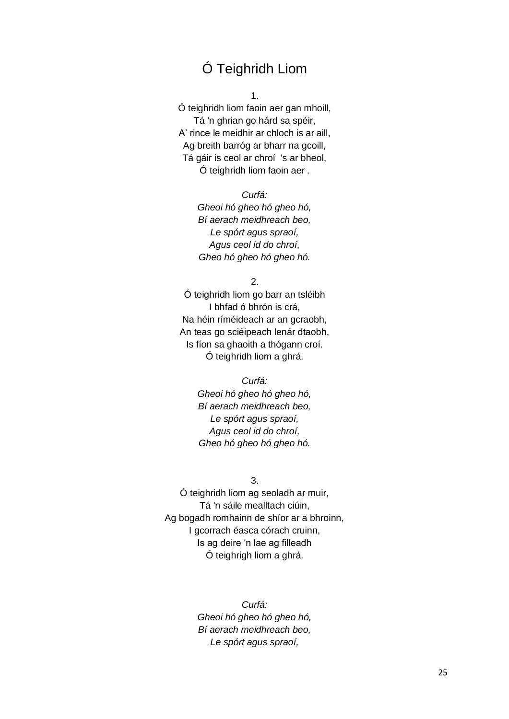## Ó Teighridh Liom

1.

<span id="page-24-0"></span>Ó teighridh liom faoin aer gan mhoill, Tá 'n ghrian go hárd sa spéir, A' rince le meidhir ar chloch is ar aill, Ag breith barróg ar bharr na gcoill, Tá gáir is ceol ar chroí 's ar bheol, Ó teighridh liom faoin aer .

> *Curfá: Gheoi hó gheo hó gheo hó, Bí aerach meidhreach beo, Le spórt agus spraoí, Agus ceol id do chroí, Gheo hó gheo hó gheo hó.*

> > 2.

Ó teighridh liom go barr an tsléibh I bhfad ó bhrón is crá, Na héin ríméideach ar an gcraobh, An teas go sciéipeach lenár dtaobh, Is fíon sa ghaoith a thógann croí. Ó teighridh liom a ghrá.

*Curfá:*

*Gheoi hó gheo hó gheo hó, Bí aerach meidhreach beo, Le spórt agus spraoí, Agus ceol id do chroí, Gheo hó gheo hó gheo hó.*

3.

Ó teighridh liom ag seoladh ar muir, Tá 'n sáile mealltach ciúin, Ag bogadh romhainn de shíor ar a bhroinn, I gcorrach éasca córach cruinn, Is ag deire 'n lae ag filleadh Ó teighrigh liom a ghrá.

> *Curfá: Gheoi hó gheo hó gheo hó, Bí aerach meidhreach beo, Le spórt agus spraoí,*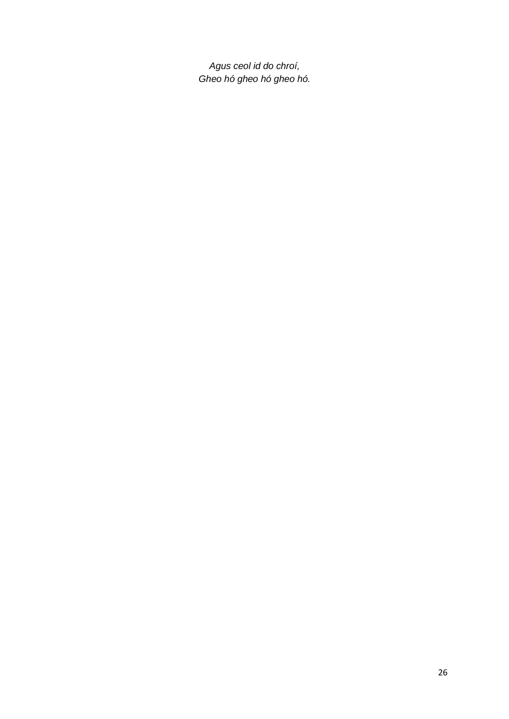*Agus ceol id do chroí, Gheo hó gheo hó gheo hó.*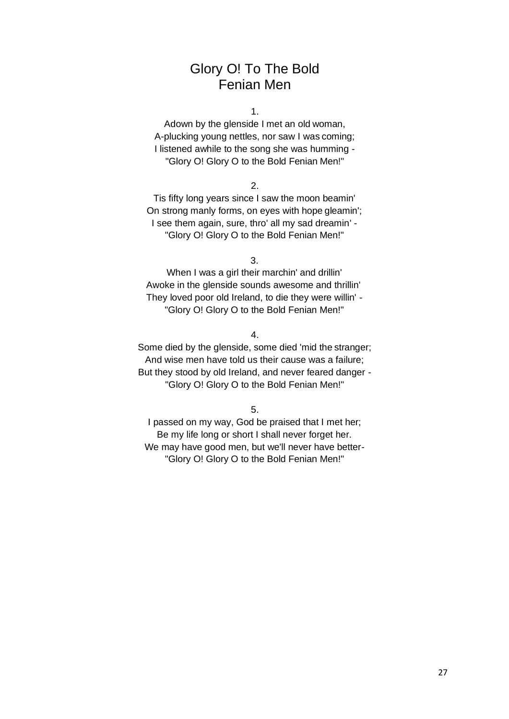## Glory O! To The Bold Fenian Men

1.

<span id="page-26-0"></span>Adown by the glenside I met an old woman, A-plucking young nettles, nor saw I was coming; I listened awhile to the song she was humming - "Glory O! Glory O to the Bold Fenian Men!"

2.

Tis fifty long years since I saw the moon beamin' On strong manly forms, on eyes with hope gleamin'; I see them again, sure, thro' all my sad dreamin' - "Glory O! Glory O to the Bold Fenian Men!"

3.

When I was a girl their marchin' and drillin' Awoke in the glenside sounds awesome and thrillin' They loved poor old Ireland, to die they were willin' - "Glory O! Glory O to the Bold Fenian Men!"

4.

Some died by the glenside, some died 'mid the stranger; And wise men have told us their cause was a failure; But they stood by old Ireland, and never feared danger - "Glory O! Glory O to the Bold Fenian Men!"

5.

I passed on my way, God be praised that I met her; Be my life long or short I shall never forget her. We may have good men, but we'll never have better- "Glory O! Glory O to the Bold Fenian Men!"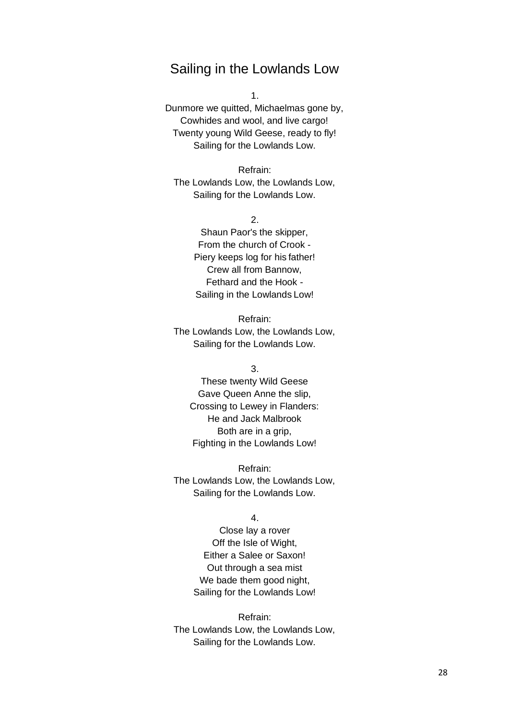## <span id="page-27-0"></span>Sailing in the Lowlands Low

1.

Dunmore we quitted, Michaelmas gone by, Cowhides and wool, and live cargo! Twenty young Wild Geese, ready to fly! Sailing for the Lowlands Low.

Refrain: The Lowlands Low, the Lowlands Low, Sailing for the Lowlands Low.

 $\mathcal{P}$ 

Shaun Paor's the skipper, From the church of Crook - Piery keeps log for his father! Crew all from Bannow, Fethard and the Hook - Sailing in the Lowlands Low!

Refrain: The Lowlands Low, the Lowlands Low, Sailing for the Lowlands Low.

3.

These twenty Wild Geese Gave Queen Anne the slip, Crossing to Lewey in Flanders: He and Jack Malbrook Both are in a grip, Fighting in the Lowlands Low!

Refrain: The Lowlands Low, the Lowlands Low, Sailing for the Lowlands Low.

4.

Close lay a rover Off the Isle of Wight, Either a Salee or Saxon! Out through a sea mist We bade them good night, Sailing for the Lowlands Low!

Refrain: The Lowlands Low, the Lowlands Low, Sailing for the Lowlands Low.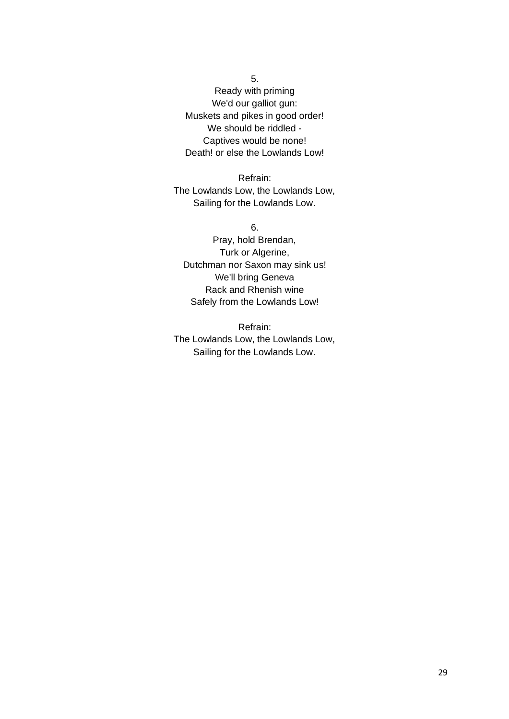5. Ready with priming We'd our galliot gun: Muskets and pikes in good order! We should be riddled - Captives would be none! Death! or else the Lowlands Low!

Refrain: The Lowlands Low, the Lowlands Low, Sailing for the Lowlands Low.

6. Pray, hold Brendan, Turk or Algerine, Dutchman nor Saxon may sink us! We'll bring Geneva Rack and Rhenish wine Safely from the Lowlands Low!

Refrain: The Lowlands Low, the Lowlands Low, Sailing for the Lowlands Low.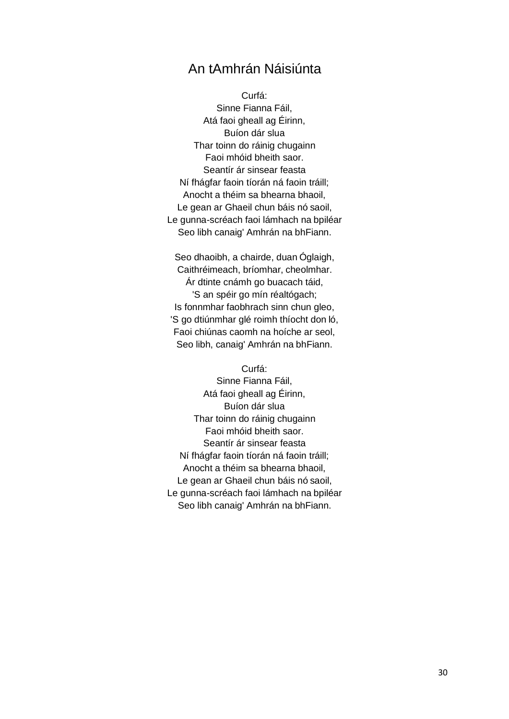## An tAmhrán Náisiúnta

<span id="page-29-0"></span>Curfá: Sinne Fianna Fáil, Atá faoi gheall ag Éirinn, Buíon dár slua Thar toinn do ráinig chugainn Faoi mhóid bheith saor. Seantír ár sinsear feasta Ní fhágfar faoin tíorán ná faoin tráill; Anocht a théim sa bhearna bhaoil, Le gean ar Ghaeil chun báis nó saoil, Le gunna-scréach faoi lámhach na bpiléar Seo libh canaig' Amhrán na bhFiann.

Seo dhaoibh, a chairde, duan Óglaigh, Caithréimeach, bríomhar, cheolmhar. Ár dtinte cnámh go buacach táid, 'S an spéir go mín réaltógach; Is fonnmhar faobhrach sinn chun gleo, 'S go dtiúnmhar glé roimh thíocht don ló, Faoi chiúnas caomh na hoíche ar seol, Seo libh, canaig' Amhrán na bhFiann.

Curfá: Sinne Fianna Fáil, Atá faoi gheall ag Éirinn, Buíon dár slua Thar toinn do ráinig chugainn Faoi mhóid bheith saor. Seantír ár sinsear feasta Ní fhágfar faoin tíorán ná faoin tráill; Anocht a théim sa bhearna bhaoil, Le gean ar Ghaeil chun báis nó saoil, Le gunna-scréach faoi lámhach na bpiléar Seo libh canaig' Amhrán na bhFiann.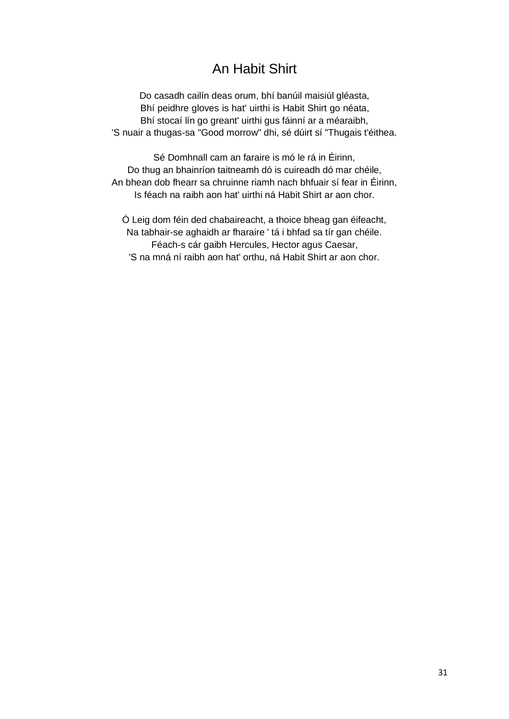## An Habit Shirt

<span id="page-30-0"></span>Do casadh cailín deas orum, bhí banúil maisiúl gléasta, Bhí peidhre gloves is hat' uirthi is Habit Shirt go néata, Bhí stocaí lín go greant' uirthi gus fáinní ar a méaraibh, 'S nuair a thugas-sa "Good morrow" dhi, sé dúirt sí "Thugais t'éithea.

Sé Domhnall cam an faraire is mó le rá in Éirinn, Do thug an bhainríon taitneamh dó is cuireadh dó mar chéile, An bhean dob fhearr sa chruinne riamh nach bhfuair sí fear in Éirinn, Is féach na raibh aon hat' uirthi ná Habit Shirt ar aon chor.

Ó Leig dom féin ded chabaireacht, a thoice bheag gan éifeacht, Na tabhair-se aghaidh ar fharaire ' tá i bhfad sa tír gan chéile. Féach-s cár gaibh Hercules, Hector agus Caesar, 'S na mná ní raibh aon hat' orthu, ná Habit Shirt ar aon chor.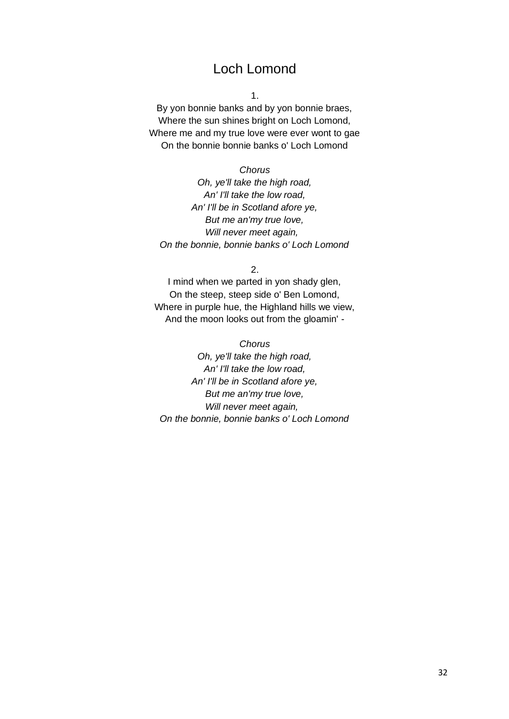## Loch Lomond

1.

<span id="page-31-0"></span>By yon bonnie banks and by yon bonnie braes, Where the sun shines bright on Loch Lomond, Where me and my true love were ever wont to gae On the bonnie bonnie banks o' Loch Lomond

*Chorus*

*Oh, ye'll take the high road, An' I'll take the low road, An' I'll be in Scotland afore ye, But me an'my true love, Will never meet again, On the bonnie, bonnie banks o' Loch Lomond*

2.

I mind when we parted in yon shady glen, On the steep, steep side o' Ben Lomond, Where in purple hue, the Highland hills we view, And the moon looks out from the gloamin' -

*Chorus*

*Oh, ye'll take the high road, An' I'll take the low road, An' I'll be in Scotland afore ye, But me an'my true love, Will never meet again, On the bonnie, bonnie banks o' Loch Lomond*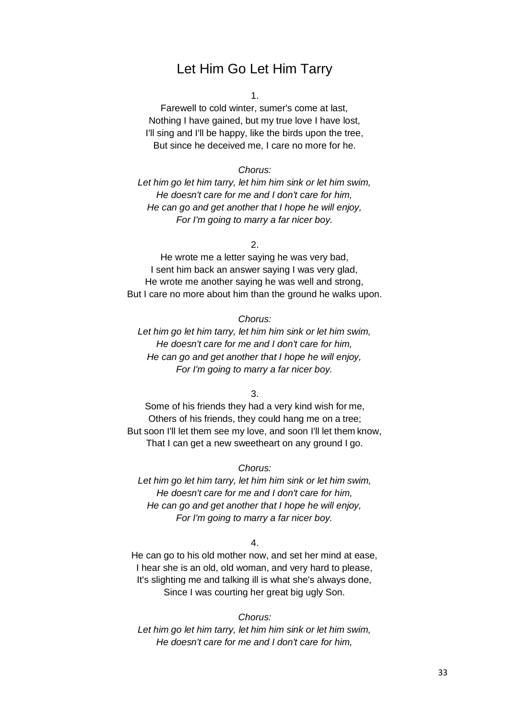### Let Him Go Let Him Tarry

1.

<span id="page-32-0"></span>Farewell to cold winter, sumer's come at last, Nothing I have gained, but my true love I have lost, I'll sing and I'll be happy, like the birds upon the tree, But since he deceived me, I care no more for he.

### *Chorus:*

*Let him go let him tarry, let him him sink or let him swim, He doesn't care for me and I don't care for him, He can go and get another that I hope he will enjoy, For I'm going to marry a far nicer boy.*

2.

He wrote me a letter saying he was very bad, I sent him back an answer saying I was very glad, He wrote me another saying he was well and strong, But I care no more about him than the ground he walks upon.

### *Chorus:*

*Let him go let him tarry, let him him sink or let him swim, He doesn't care for me and I don't care for him, He can go and get another that I hope he will enjoy, For I'm going to marry a far nicer boy.*

3.

Some of his friends they had a very kind wish for me, Others of his friends, they could hang me on a tree; But soon I'll let them see my love, and soon I'll let them know, That I can get a new sweetheart on any ground I go.

*Chorus:*

*Let him go let him tarry, let him him sink or let him swim, He doesn't care for me and I don't care for him, He can go and get another that I hope he will enjoy, For I'm going to marry a far nicer boy.*

4.

He can go to his old mother now, and set her mind at ease, I hear she is an old, old woman, and very hard to please, It's slighting me and talking ill is what she's always done, Since I was courting her great big ugly Son.

*Chorus: Let him go let him tarry, let him him sink or let him swim, He doesn't care for me and I don't care for him,*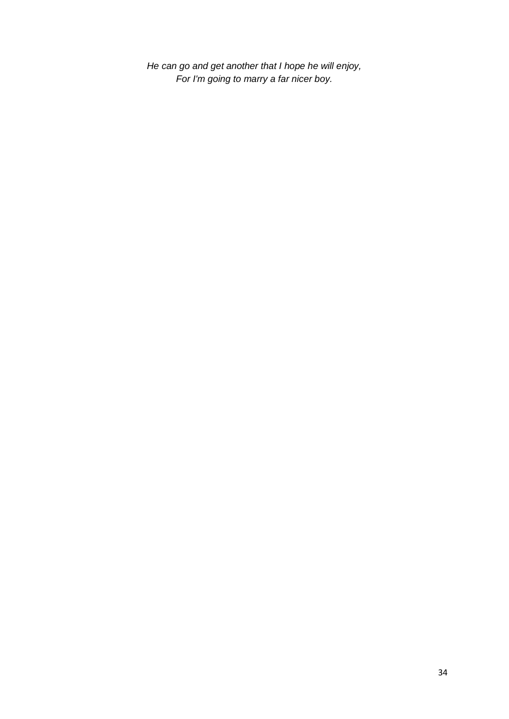*He can go and get another that I hope he will enjoy, For I'm going to marry a far nicer boy.*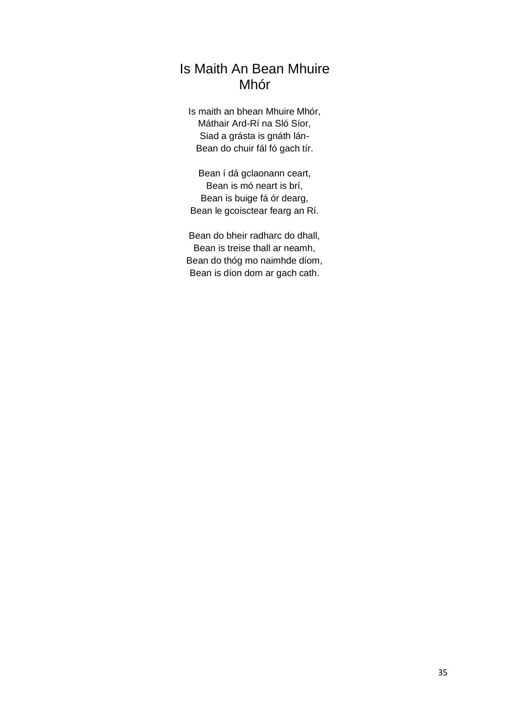# <span id="page-34-0"></span>Is Maith An Bean Mhuire Mhór

Is maith an bhean Mhuire Mhór, Máthair Ard-Rí na Sló Síor, Siad a grásta is gnáth lán-Bean do chuir fál fó gach tír.

Bean í dá gclaonann ceart, Bean is mó neart is brí, Bean is buige fá ór dearg, Bean le gcoisctear fearg an Rí.

Bean do bheir radharc do dhall, Bean is treise thall ar neamh, Bean do thóg mo naimhde díom, Bean is díon dom ar gach cath.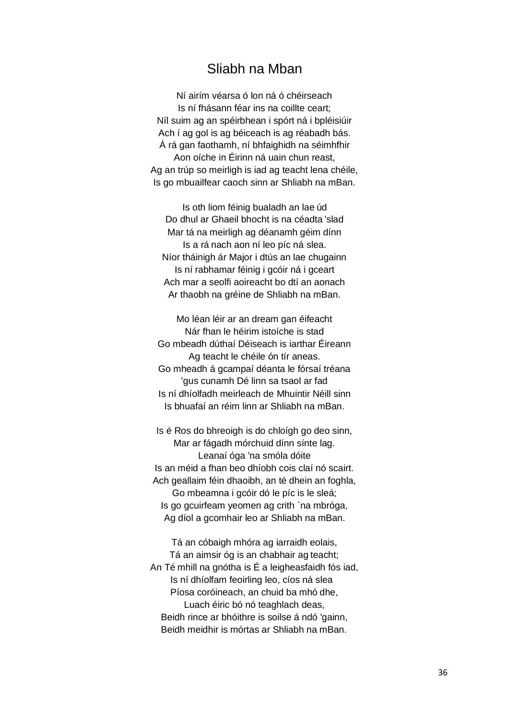### Sliabh na Mban

<span id="page-35-0"></span>Ní airím véarsa ó lon ná ó chéirseach Is ní fhásann féar ins na coillte ceart; Níl suim ag an spéirbhean i spórt ná i bpléisiúir Ach í ag gol is ag béiceach is ag réabadh bás. Á rá gan faothamh, ní bhfaighidh na séimhfhir Aon oíche in Éirinn ná uain chun reast, Ag an trúp so meirligh is iad ag teacht lena chéile, Is go mbuailfear caoch sinn ar Shliabh na mBan.

Is oth liom féinig bualadh an lae úd Do dhul ar Ghaeil bhocht is na céadta 'slad Mar tá na meirligh ag déanamh géim dínn Is a rá nach aon ní leo píc ná slea. Níor tháinigh ár Major i dtús an lae chugainn Is ní rabhamar féinig i gcóir ná i gceart Ach mar a seolfi aoireacht bo dtí an aonach Ar thaobh na gréine de Shliabh na mBan.

Mo léan léir ar an dream gan éifeacht Nár fhan le héirim istoíche is stad Go mbeadh dúthaí Déiseach is iarthar Éireann Ag teacht le chéile ón tír aneas. Go mheadh á gcampaí déanta le fórsaí tréana 'gus cunamh Dé linn sa tsaol ar fad Is ní dhíolfadh meirleach de Mhuintir Néill sinn Is bhuafaí an réim linn ar Shliabh na mBan.

Is é Ros do bhreoigh is do chloígh go deo sinn, Mar ar fágadh mórchuid dínn sínte lag. Leanaí óga 'na smóla dóite Is an méid a fhan beo dhíobh cois claí nó scairt. Ach geallaim féin dhaoibh, an té dhein an foghla, Go mbeamna i gcóir dó le píc is le sleá; Is go gcuirfeam yeomen ag crith `na mbróga, Ag díol a gcomhair leo ar Shliabh na mBan.

Tá an cóbaigh mhóra ag iarraidh eolais, Tá an aimsir óg is an chabhair ag teacht; An Té mhill na gnótha is É a leigheasfaidh fós iad, Is ní dhíolfam feoirling leo, cíos ná slea Píosa coróineach, an chuid ba mhó dhe, Luach éiric bó nó teaghlach deas, Beidh rince ar bhóithre is soilse á ndó 'gainn, Beidh meidhir is mórtas ar Shliabh na mBan.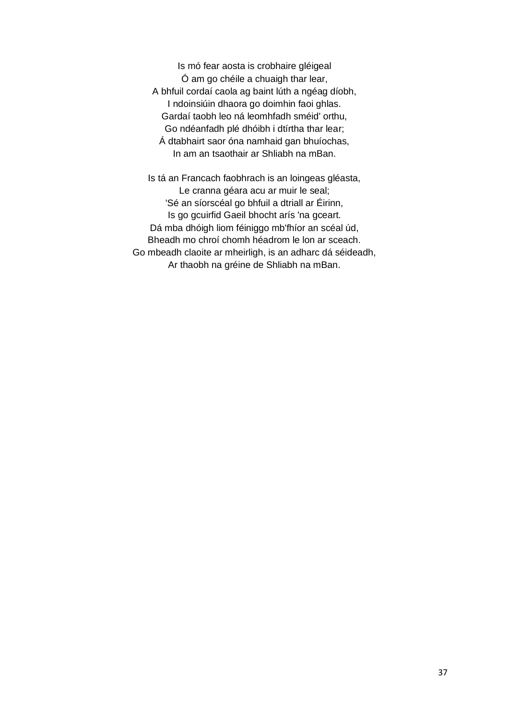Is mó fear aosta is crobhaire gléigeal Ó am go chéile a chuaigh thar lear, A bhfuil cordaí caola ag baint lúth a ngéag díobh, I ndoinsiúin dhaora go doimhin faoi ghlas. Gardaí taobh leo ná leomhfadh sméid' orthu, Go ndéanfadh plé dhóibh i dtírtha thar lear; Á dtabhairt saor óna namhaid gan bhuíochas, In am an tsaothair ar Shliabh na mBan.

Is tá an Francach faobhrach is an loingeas gléasta, Le cranna géara acu ar muir le seal; 'Sé an síorscéal go bhfuil a dtriall ar Éirinn, Is go gcuirfid Gaeil bhocht arís 'na gceart. Dá mba dhóigh liom féiniggo mb'fhíor an scéal úd, Bheadh mo chroí chomh héadrom le lon ar sceach. Go mbeadh claoite ar mheirligh, is an adharc dá séideadh, Ar thaobh na gréine de Shliabh na mBan.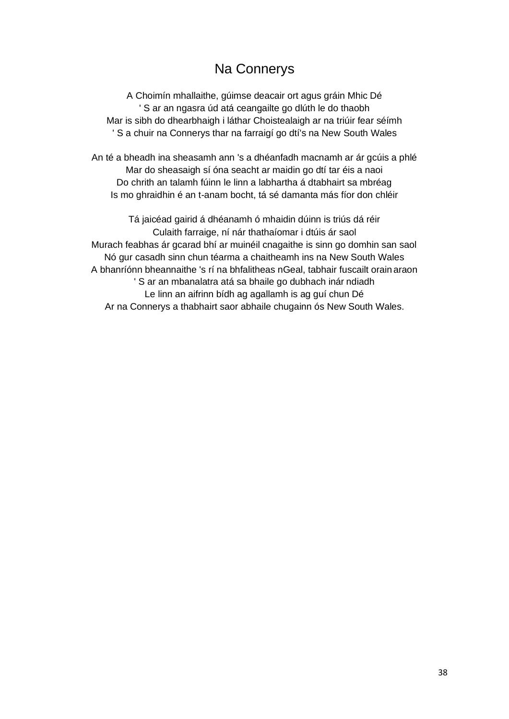# Na Connerys

A Choimín mhallaithe, gúimse deacair ort agus gráin Mhic Dé ' S ar an ngasra úd atá ceangailte go dlúth le do thaobh Mar is sibh do dhearbhaigh i láthar Choistealaigh ar na triúir fear séímh ' S a chuir na Connerys thar na farraigí go dtí's na New South Wales

An té a bheadh ina sheasamh ann 's a dhéanfadh macnamh ar ár gcúis a phlé Mar do sheasaigh sí óna seacht ar maidin go dtí tar éis a naoi Do chrith an talamh fúinn le linn a labhartha á dtabhairt sa mbréag Is mo ghraidhin é an t-anam bocht, tá sé damanta más fíor don chléir

Tá jaicéad gairid á dhéanamh ó mhaidin dúinn is triús dá réir Culaith farraige, ní nár thathaíomar i dtúis ár saol Murach feabhas ár gcarad bhí ar muinéil cnagaithe is sinn go domhin san saol Nó gur casadh sinn chun téarma a chaitheamh ins na New South Wales A bhanríónn bheannaithe 's rí na bhfalitheas nGeal, tabhair fuscailt orainaraon ' S ar an mbanalatra atá sa bhaile go dubhach inár ndiadh Le linn an aifrinn bídh ag agallamh is ag guí chun Dé Ar na Connerys a thabhairt saor abhaile chugainn ós New South Wales.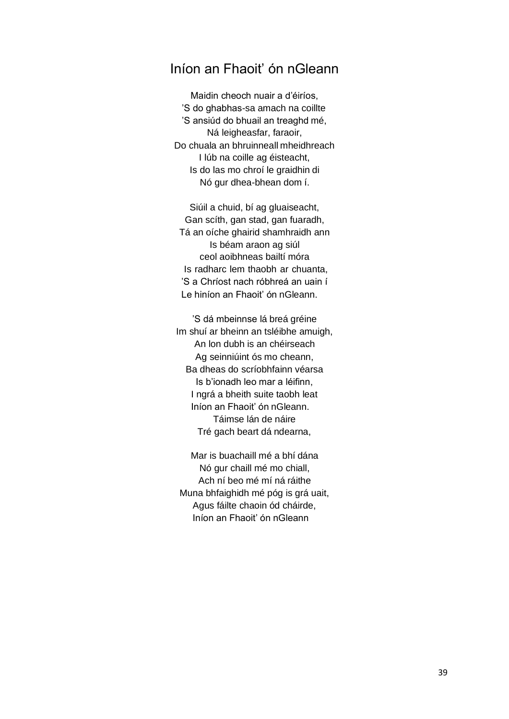# Iníon an Fhaoit' ón nGleann

Maidin cheoch nuair a d'éiríos, 'S do ghabhas-sa amach na coillte 'S ansiúd do bhuail an treaghd mé, Ná leigheasfar, faraoir, Do chuala an bhruinneall mheidhreach I lúb na coille ag éisteacht, Is do las mo chroí le graidhin di Nó gur dhea-bhean dom í.

Siúil a chuid, bí ag gluaiseacht, Gan scíth, gan stad, gan fuaradh, Tá an oíche ghairid shamhraidh ann Is béam araon ag siúl ceol aoibhneas bailtí móra Is radharc lem thaobh ar chuanta, 'S a Chríost nach róbhreá an uain í Le hiníon an Fhaoit' ón nGleann.

'S dá mbeinnse lá breá gréine Im shuí ar bheinn an tsléibhe amuigh, An lon dubh is an chéirseach Ag seinniúint ós mo cheann, Ba dheas do scríobhfainn véarsa Is b'ionadh leo mar a léifinn, I ngrá a bheith suite taobh leat Iníon an Fhaoit' ón nGleann. Táimse lán de náire Tré gach beart dá ndearna,

Mar is buachaill mé a bhí dána Nó gur chaill mé mo chiall, Ach ní beo mé mí ná ráithe Muna bhfaighidh mé póg is grá uait, Agus fáilte chaoin ód cháirde, Iníon an Fhaoit' ón nGleann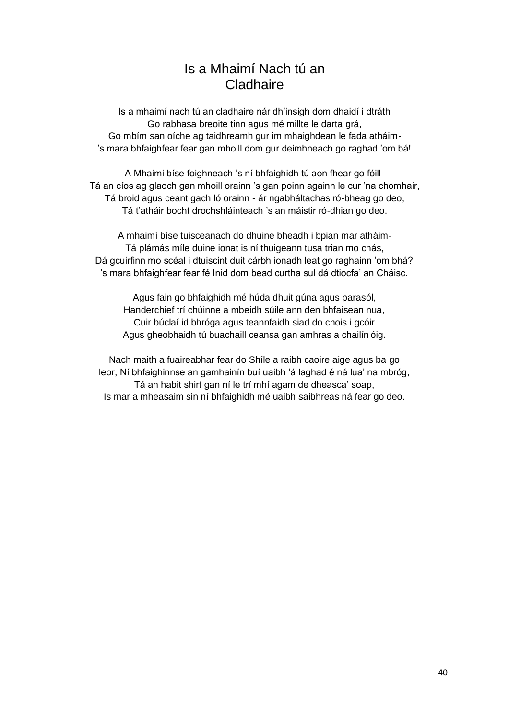# Is a Mhaimí Nach tú an **Cladhaire**

Is a mhaimí nach tú an cladhaire nár dh'insigh dom dhaidí i dtráth Go rabhasa breoite tinn agus mé millte le darta grá, Go mbím san oíche ag taidhreamh gur im mhaighdean le fada atháim- 's mara bhfaighfear fear gan mhoill dom gur deimhneach go raghad 'om bá!

A Mhaimi bíse foighneach 's ní bhfaighidh tú aon fhear go fóill-Tá an cíos ag glaoch gan mhoill orainn 's gan poinn againn le cur 'na chomhair, Tá broid agus ceant gach ló orainn - ár ngabháltachas ró-bheag go deo, Tá t'atháir bocht drochshláinteach 's an máistir ró-dhian go deo.

A mhaimí bíse tuisceanach do dhuine bheadh i bpian mar atháim-Tá plámás míle duine ionat is ní thuigeann tusa trian mo chás, Dá gcuirfinn mo scéal i dtuiscint duit cárbh ionadh leat go raghainn 'om bhá? 's mara bhfaighfear fear fé Inid dom bead curtha sul dá dtiocfa' an Cháisc.

Agus fain go bhfaighidh mé húda dhuit gúna agus parasól, Handerchief trí chúinne a mbeidh súile ann den bhfaisean nua, Cuir búclaí id bhróga agus teannfaidh siad do chois i gcóir Agus gheobhaidh tú buachaill ceansa gan amhras a chailín óig.

Nach maith a fuaireabhar fear do Shíle a raibh caoire aige agus ba go leor, Ní bhfaighinnse an gamhainín buí uaibh 'á laghad é ná lua' na mbróg, Tá an habit shirt gan ní le trí mhí agam de dheasca' soap, Is mar a mheasaim sin ní bhfaighidh mé uaibh saibhreas ná fear go deo.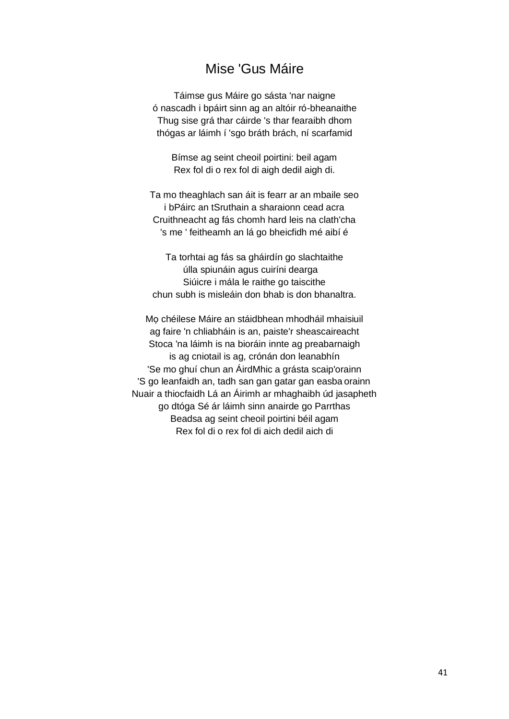### Mise 'Gus Máire

Táimse gus Máire go sásta 'nar naigne ó nascadh i bpáirt sinn ag an altóir ró-bheanaithe Thug sise grá thar cáirde 's thar fearaibh dhom thógas ar láimh í 'sgo bráth brách, ní scarfamid

Bímse ag seint cheoil poirtini: beil agam Rex fol di o rex fol di aigh dedil aigh di.

Ta mo theaghlach san áit is fearr ar an mbaile seo i bPáirc an tSruthain a sharaionn cead acra Cruithneacht ag fás chomh hard leis na clath'cha 's me ' feitheamh an lá go bheicfidh mé aibí é

Ta torhtai ag fás sa gháirdín go slachtaithe úlla spiunáin agus cuiríni dearga Siúicre i mála le raithe go taiscithe chun subh is misleáin don bhab is don bhanaltra.

Mọ chéilese Máire an stáidbhean mhodháil mhaisiuil ag faire 'n chliabháin is an, paiste'r sheascaireacht Stoca 'na láimh is na bioráin innte ag preabarnaigh is ag cniotail is ag, crónán don leanabhín 'Se mo ghuí chun an ÁirdMhic a grásta scaip'orainn 'S go leanfaidh an, tadh san gan gatar gan easba orainn Nuair a thiocfaidh Lá an Áirimh ar mhaghaibh úd jasapheth go dtóga Sé ár láimh sinn anairde go Parrthas Beadsa ag seint cheoil poirtini béil agam Rex fol di o rex fol di aich dedil aich di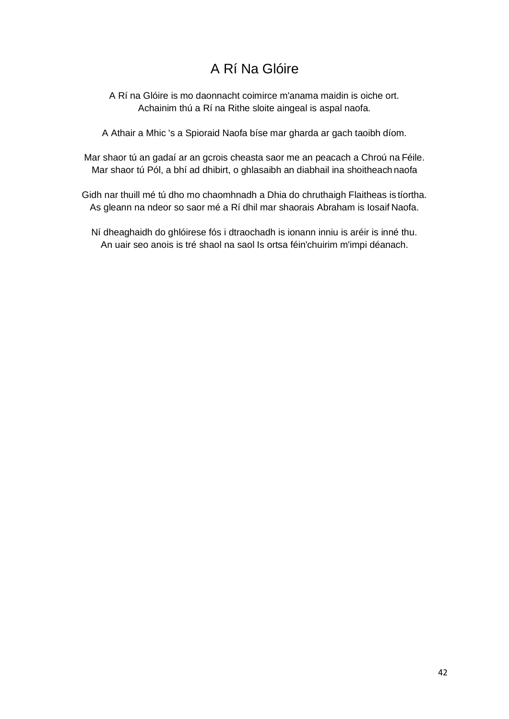# A Rí Na Glóire

A Rí na Glóire is mo daonnacht coimirce m'anama maidin is oiche ort. Achainim thú a Rí na Rithe sloite aingeal is aspal naofa.

A Athair a Mhic 's a Spioraid Naofa bíse mar gharda ar gach taoibh díom.

Mar shaor tú an gadaí ar an gcrois cheasta saor me an peacach a Chroú na Féile. Mar shaor tú Pól, a bhí ad dhibirt, o ghlasaibh an diabhail ina shoitheach naofa

Gidh nar thuill mé tú dho mo chaomhnadh a Dhia do chruthaigh Flaitheas is tíortha. As gleann na ndeor so saor mé a Rí dhil mar shaorais Abraham is Iosaif Naofa.

Ní dheaghaidh do ghlóirese fós i dtraochadh is ionann inniu is aréir is inné thu. An uair seo anois is tré shaol na saol Is ortsa féin'chuirim m'impi déanach.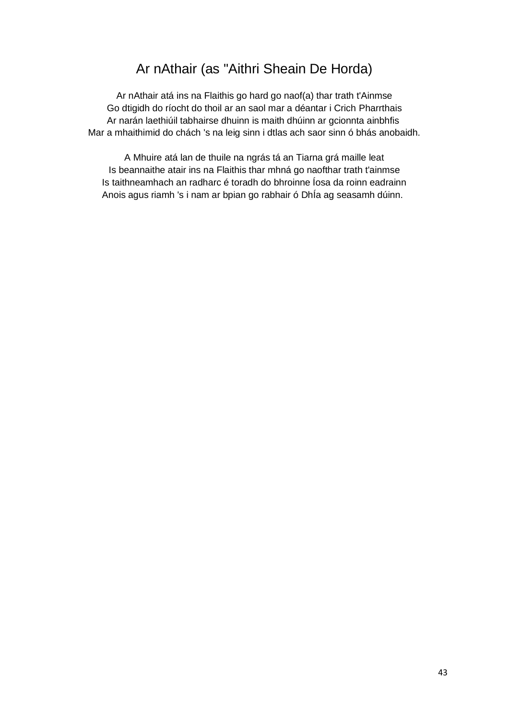# Ar nAthair (as "Aithri Sheain De Horda)

Ar nAthair atá ins na Flaithis go hard go naof(a) thar trath t'Ainmse Go dtigidh do ríocht do thoil ar an saol mar a déantar i Crich Pharrthais Ar narán laethiúil tabhairse dhuinn is maith dhúinn ar gcionnta ainbhfis Mar a mhaithimid do chách 's na leig sinn i dtlas ach saor sinn ó bhás anobaidh.

A Mhuire atá lan de thuile na ngrás tá an Tiarna grá maille leat Is beannaithe atair ins na Flaithis thar mhná go naofthar trath t'ainmse Is taithneamhach an radharc é toradh do bhroinne Íosa da roinn eadrainn Anois agus riamh 's i nam ar bpian go rabhair ó DhÍa ag seasamh dúinn.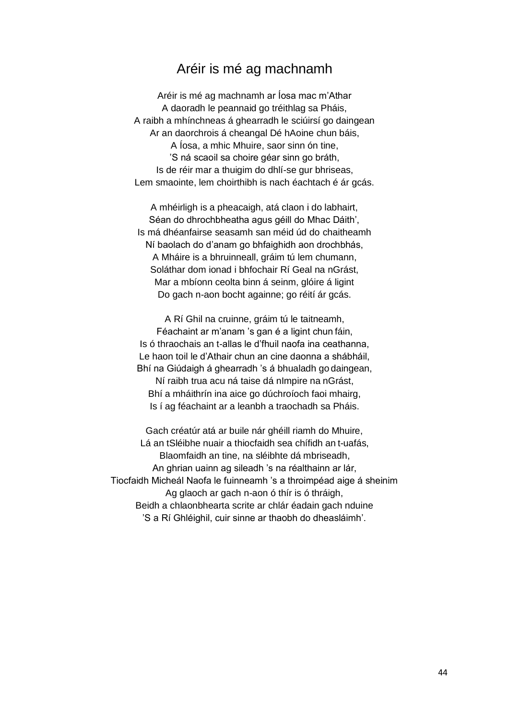### Aréir is mé ag machnamh

Aréir is mé ag machnamh ar Íosa mac m'Athar A daoradh le peannaid go tréithlag sa Pháis, A raibh a mhínchneas á ghearradh le sciúirsí go daingean Ar an daorchrois á cheangal Dé hAoine chun báis, A Íosa, a mhic Mhuire, saor sinn ón tine, 'S ná scaoil sa choire géar sinn go bráth, Is de réir mar a thuigim do dhlí-se gur bhriseas, Lem smaointe, lem choirthibh is nach éachtach é ár gcás.

A mhéirligh is a pheacaigh, atá claon i do labhairt, Séan do dhrochbheatha agus géill do Mhac Dáith', Is má dhéanfairse seasamh san méid úd do chaitheamh Ní baolach do d'anam go bhfaighidh aon drochbhás, A Mháire is a bhruinneall, gráim tú lem chumann, Soláthar dom ionad i bhfochair Rí Geal na nGrást, Mar a mbíonn ceolta binn á seinm, glóire á ligint Do gach n-aon bocht againne; go réití ár gcás.

A Rí Ghil na cruinne, gráim tú le taitneamh, Féachaint ar m'anam 's gan é a ligint chun fáin, Is ó thraochais an t-allas le d'fhuil naofa ina ceathanna, Le haon toil le d'Athair chun an cine daonna a shábháil, Bhí na Giúdaigh á ghearradh 's á bhualadh go daingean, Ní raibh trua acu ná taise dá nImpire na nGrást, Bhí a mháithrín ina aice go dúchroíoch faoi mhairg, Is í ag féachaint ar a leanbh a traochadh sa Pháis.

Gach créatúr atá ar buile nár ghéill riamh do Mhuire, Lá an tSléibhe nuair a thiocfaidh sea chífidh an t-uafás, Blaomfaidh an tine, na sléibhte dá mbriseadh, An ghrian uainn ag sileadh 's na réalthainn ar lár, Tiocfaidh Micheál Naofa le fuinneamh 's a throimpéad aige á sheinim Ag glaoch ar gach n-aon ó thír is ó thráigh, Beidh a chlaonbhearta scrite ar chlár éadain gach nduine 'S a Rí Ghléighil, cuir sinne ar thaobh do dheasláimh'.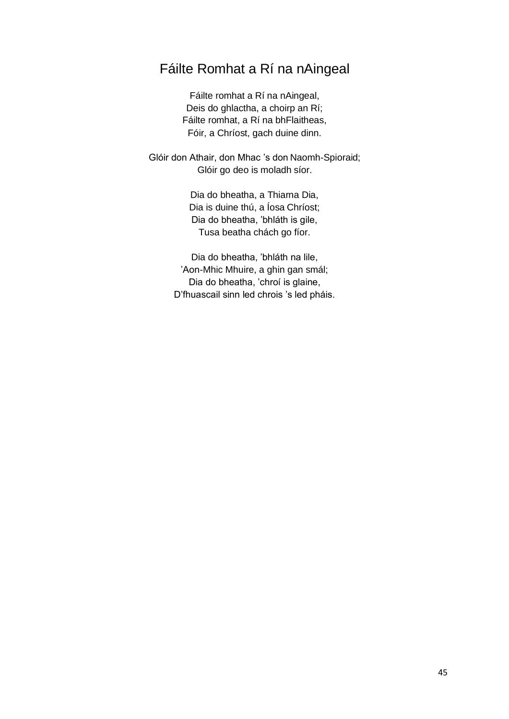# Fáilte Romhat a Rí na nAingeal

Fáilte romhat a Rí na nAingeal, Deis do ghlactha, a choirp an Rí; Fáilte romhat, a Rí na bhFlaitheas, Fóir, a Chríost, gach duine dinn.

Glóir don Athair, don Mhac 's don Naomh-Spioraid; Glóir go deo is moladh síor.

> Dia do bheatha, a Thiarna Dia, Dia is duine thú, a Íosa Chríost; Dia do bheatha, 'bhláth is gile, Tusa beatha chách go fíor.

Dia do bheatha, 'bhláth na lile, 'Aon-Mhic Mhuire, a ghin gan smál; Dia do bheatha, 'chroí is glaine, D'fhuascail sinn led chrois 's led pháis.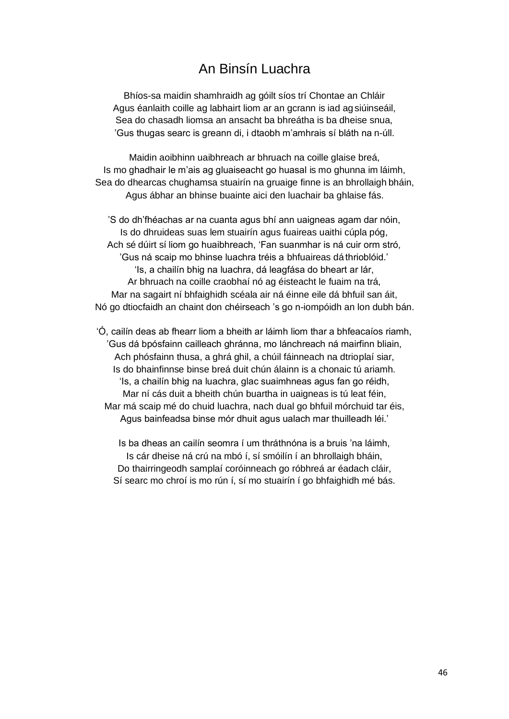# An Binsín Luachra

Bhíos-sa maidin shamhraidh ag góilt síos trí Chontae an Chláir Agus éanlaith coille ag labhairt liom ar an gcrann is iad ag siúinseáil, Sea do chasadh liomsa an ansacht ba bhreátha is ba dheise snua, 'Gus thugas searc is greann di, i dtaobh m'amhrais sí bláth na n-úll.

Maidin aoibhinn uaibhreach ar bhruach na coille glaise breá, Is mo ghadhair le m'ais ag gluaiseacht go huasal is mo ghunna im láimh, Sea do dhearcas chughamsa stuairín na gruaige finne is an bhrollaigh bháin, Agus ábhar an bhinse buainte aici den luachair ba ghlaise fás.

'S do dh'fhéachas ar na cuanta agus bhí ann uaigneas agam dar nóin, Is do dhruideas suas lem stuairín agus fuaireas uaithi cúpla póg, Ach sé dúirt sí liom go huaibhreach, 'Fan suanmhar is ná cuir orm stró, 'Gus ná scaip mo bhinse luachra tréis a bhfuaireas dá thrioblóid.' 'Is, a chailín bhig na luachra, dá leagfása do bheart ar lár, Ar bhruach na coille craobhaí nó ag éisteacht le fuaim na trá, Mar na sagairt ní bhfaighidh scéala air ná éinne eile dá bhfuil san áit, Nó go dtiocfaidh an chaint don chéirseach 's go n-iompóidh an lon dubh bán.

'Ó, cailín deas ab fhearr liom a bheith ar láimh liom thar a bhfeacaíos riamh, 'Gus dá bpósfainn cailleach ghránna, mo lánchreach ná mairfinn bliain, Ach phósfainn thusa, a ghrá ghil, a chúil fáinneach na dtrioplaí siar, Is do bhainfinnse binse breá duit chún álainn is a chonaic tú ariamh. 'Is, a chailín bhig na luachra, glac suaimhneas agus fan go réidh, Mar ní cás duit a bheith chún buartha in uaigneas is tú leat féin, Mar má scaip mé do chuid luachra, nach dual go bhfuil mórchuid tar éis, Agus bainfeadsa binse mór dhuit agus ualach mar thuilleadh léi.'

Is ba dheas an cailín seomra í um thráthnóna is a bruis 'na láimh, Is cár dheise ná crú na mbó í, sí smóilín í an bhrollaigh bháin, Do thairringeodh samplaí coróinneach go róbhreá ar éadach cláir, Sí searc mo chroí is mo rún í, sí mo stuairín í go bhfaighidh mé bás.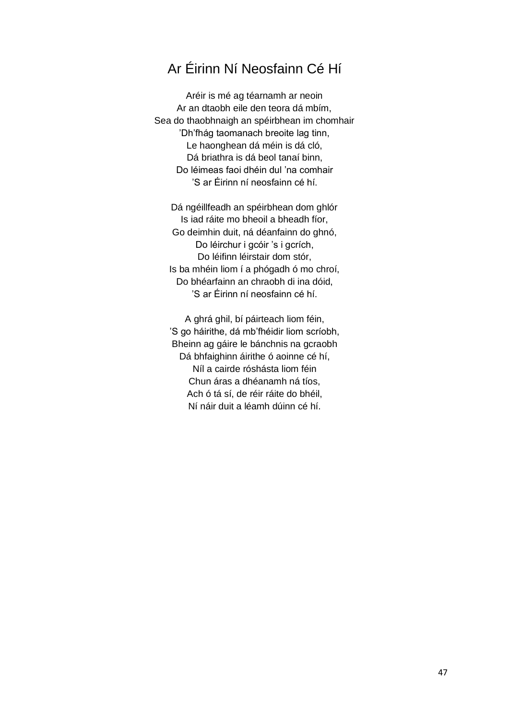# Ar Éirinn Ní Neosfainn Cé Hí

Aréir is mé ag téarnamh ar neoin Ar an dtaobh eile den teora dá mbím, Sea do thaobhnaigh an spéirbhean im chomhair 'Dh'fhág taomanach breoite lag tinn, Le haonghean dá méin is dá cló, Dá briathra is dá beol tanaí binn, Do léimeas faoi dhéin dul 'na comhair 'S ar Éirinn ní neosfainn cé hí.

Dá ngéillfeadh an spéirbhean dom ghlór Is iad ráite mo bheoil a bheadh fíor, Go deimhin duit, ná déanfainn do ghnó, Do léirchur i gcóir 's i gcrích, Do léifinn léirstair dom stór, Is ba mhéin liom í a phógadh ó mo chroí, Do bhéarfainn an chraobh di ina dóid, 'S ar Éirinn ní neosfainn cé hí.

A ghrá ghil, bí páirteach liom féin, 'S go háirithe, dá mb'fhéidir liom scríobh, Bheinn ag gáire le bánchnis na gcraobh Dá bhfaighinn áirithe ó aoinne cé hí, Níl a cairde róshásta liom féin Chun áras a dhéanamh ná tíos, Ach ó tá sí, de réir ráite do bhéil, Ní náir duit a léamh dúinn cé hí.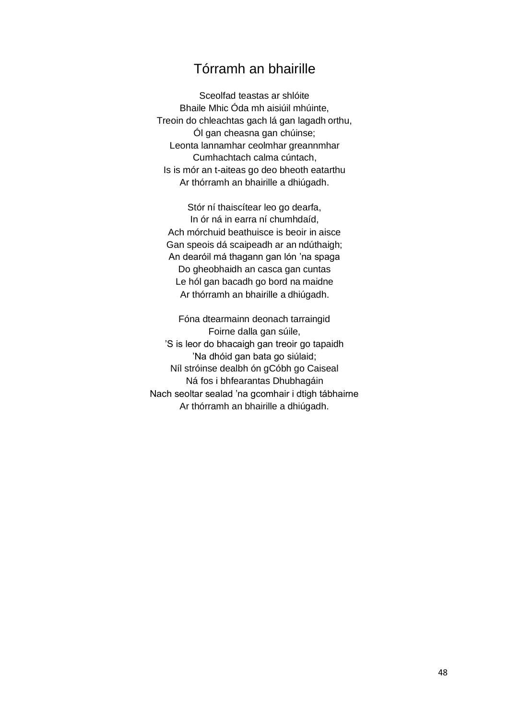## Tórramh an bhairille

Sceolfad teastas ar shlóite Bhaile Mhic Óda mh aisiúil mhúinte, Treoin do chleachtas gach lá gan lagadh orthu, Ól gan cheasna gan chúinse; Leonta lannamhar ceolmhar greannmhar Cumhachtach calma cúntach, Is is mór an t-aiteas go deo bheoth eatarthu Ar thórramh an bhairille a dhiúgadh.

Stór ní thaiscítear leo go dearfa, In ór ná in earra ní chumhdaíd, Ach mórchuid beathuisce is beoir in aisce Gan speois dá scaipeadh ar an ndúthaigh; An dearóil má thagann gan lón 'na spaga Do gheobhaidh an casca gan cuntas Le hól gan bacadh go bord na maidne Ar thórramh an bhairille a dhiúgadh.

Fóna dtearmainn deonach tarraingid Foirne dalla gan súile, 'S is leor do bhacaigh gan treoir go tapaidh 'Na dhóid gan bata go siúlaid; Níl stróinse dealbh ón gCóbh go Caiseal Ná fos i bhfearantas Dhubhagáin Nach seoltar sealad 'na gcomhair i dtigh tábhairne Ar thórramh an bhairille a dhiúgadh.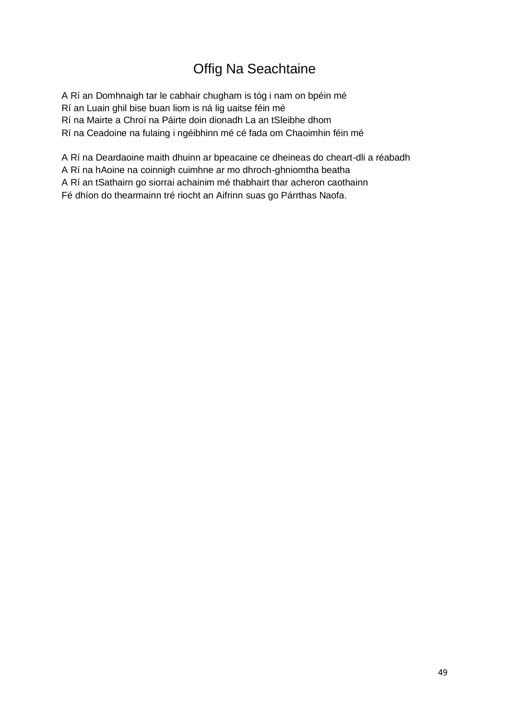# Offig Na Seachtaine

A Rí an Domhnaigh tar le cabhair chugham is tóg i nam on bpéin mé Rí an Luain ghil bise buan liom is ná lig uaitse féin mé Rí na Mairte a Chroí na Páirte doin dionadh La an tSleibhe dhom Rí na Ceadoine na fulaing i ngéibhinn mé cé fada om Chaoimhin féin mé

A Rí na Deardaoine maith dhuinn ar bpeacaine ce dheineas do cheart-dli a réabadh

A Rí na hAoine na coinnigh cuimhne ar mo dhroch-ghniomtha beatha

A Rí an tSathairn go siorrai achainim mé thabhairt thar acheron caothainn

Fé dhíon do thearmainn tré riocht an Aifrinn suas go Párrthas Naofa.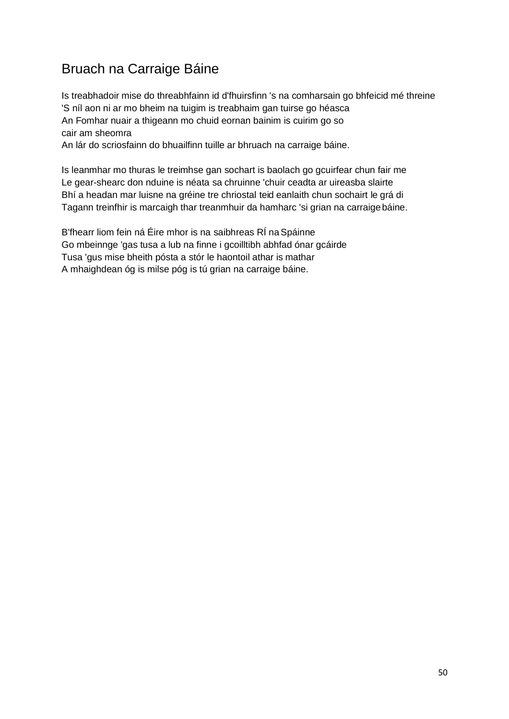# Bruach na Carraige Báine

Is treabhadoir mise do threabhfainn id d'fhuirsfinn 's na comharsain go bhfeicid mé threine 'S níl aon ni ar mo bheim na tuigim is treabhaim gan tuirse go héasca An Fomhar nuair a thigeann mo chuid eornan bainim is cuirim go so cair am sheomra An lár do scriosfainn do bhuailfinn tuille ar bhruach na carraige báine.

Is leanmhar mo thuras le treimhse gan sochart is baolach go gcuirfear chun fair me Le gear-shearc don nduine is néata sa chruinne 'chuir ceadta ar uireasba slairte Bhí a headan mar luisne na gréine tre chriostal teid eanlaith chun sochairt le grá di Tagann treinfhir is marcaigh thar treanmhuir da hamharc 'si grian na carraigebáine.

B'fhearr liom fein ná Éire mhor is na saibhreas RÍ naSpáinne Go mbeinnge 'gas tusa a lub na finne i gcoilltibh abhfad ónar gcáirde Tusa 'gus mise bheith pósta a stór le haontoil athar is mathar A mhaighdean óg is milse póg is tú grian na carraige báine.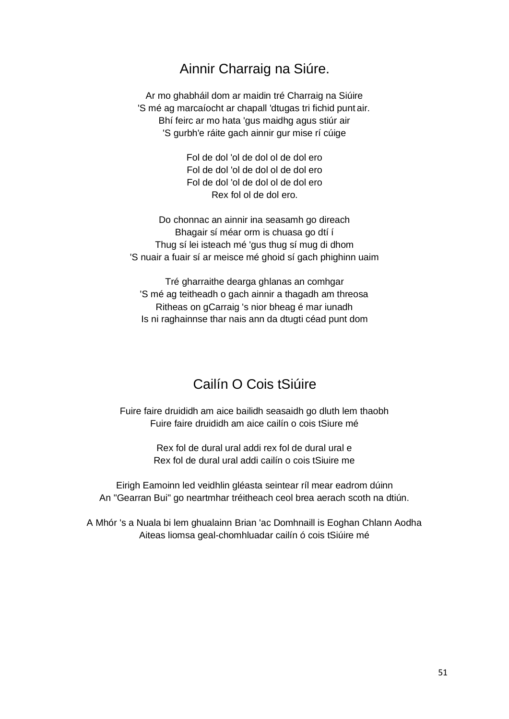# Ainnir Charraig na Siúre.

Ar mo ghabháil dom ar maidin tré Charraig na Siúire 'S mé ag marcaíocht ar chapall 'dtugas tri fichid punt air. Bhí feirc ar mo hata 'gus maidhg agus stiúr air 'S gurbh'e ráite gach ainnir gur mise rí cúige

> Fol de dol 'ol de dol ol de dol ero Fol de dol 'ol de dol ol de dol ero Fol de dol 'ol de dol ol de dol ero Rex fol ol de dol ero.

Do chonnac an ainnir ina seasamh go direach Bhagair sí méar orm is chuasa go dtí í Thug sí lei isteach mé 'gus thug sí mug di dhom 'S nuair a fuair sí ar meisce mé ghoid sí gach phighinn uaim

Tré gharraithe dearga ghlanas an comhgar 'S mé ag teitheadh o gach ainnir a thagadh am threosa Ritheas on gCarraig 's nior bheag é mar iunadh Is ni raghainnse thar nais ann da dtugti céad punt dom

# Cailín O Cois tSiúire

Fuire faire druididh am aice bailidh seasaidh go dluth lem thaobh Fuire faire druididh am aice cailín o cois tSiure mé

> Rex fol de dural ural addi rex fol de dural ural e Rex fol de dural ural addi cailín o cois tSiuire me

Eirigh Eamoinn led veidhlin gléasta seintear ríl mear eadrom dúinn An "Gearran Bui" go neartmhar tréitheach ceol brea aerach scoth na dtiún.

A Mhór 's a Nuala bi lem ghualainn Brian 'ac Domhnaill is Eoghan Chlann Aodha Aiteas liomsa geal-chomhluadar cailín ó cois tSiúire mé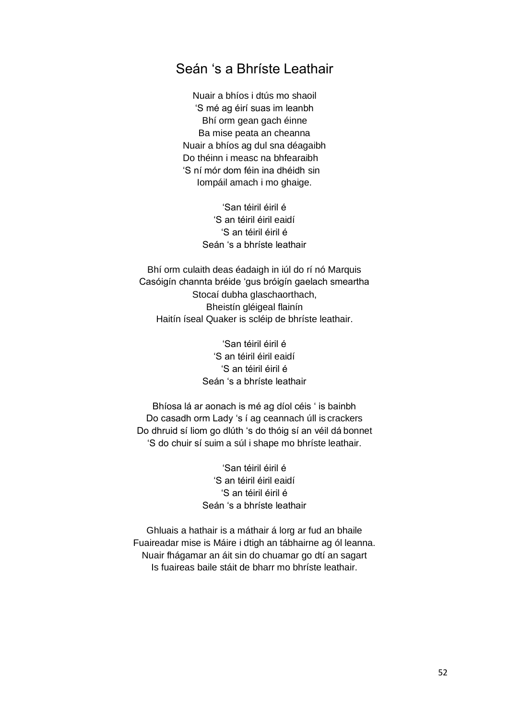### Seán 's a Bhríste Leathair

Nuair a bhíos i dtús mo shaoil 'S mé ag éirí suas im leanbh Bhí orm gean gach éinne Ba mise peata an cheanna Nuair a bhíos ag dul sna déagaibh Do théinn i measc na bhfearaibh 'S ní mór dom féin ina dhéidh sin Iompáil amach i mo ghaige.

> 'San téiril éiril é 'S an téiril éiril eaidí 'S an téiril éiril é Seán 's a bhríste leathair

Bhí orm culaith deas éadaigh in iúl do rí nó Marquis Casóigín channta bréide 'gus bróigín gaelach smeartha Stocaí dubha glaschaorthach, Bheistín gléigeal flainín Haitín íseal Quaker is scléip de bhríste leathair.

> 'San téiril éiril é 'S an téiril éiril eaidí 'S an téiril éiril é Seán 's a bhríste leathair

Bhíosa lá ar aonach is mé ag díol céis ' is bainbh Do casadh orm Lady 's í ag ceannach úll is crackers Do dhruid sí liom go dlúth 's do thóig sí an véil dá bonnet 'S do chuir sí suim a súl i shape mo bhríste leathair.

> 'San téiril éiril é 'S an téiril éiril eaidí 'S an téiril éiril é Seán 's a bhríste leathair

Ghluais a hathair is a máthair á lorg ar fud an bhaile Fuaireadar mise is Máire i dtigh an tábhairne ag ól leanna. Nuair fhágamar an áit sin do chuamar go dtí an sagart Is fuaireas baile stáit de bharr mo bhríste leathair.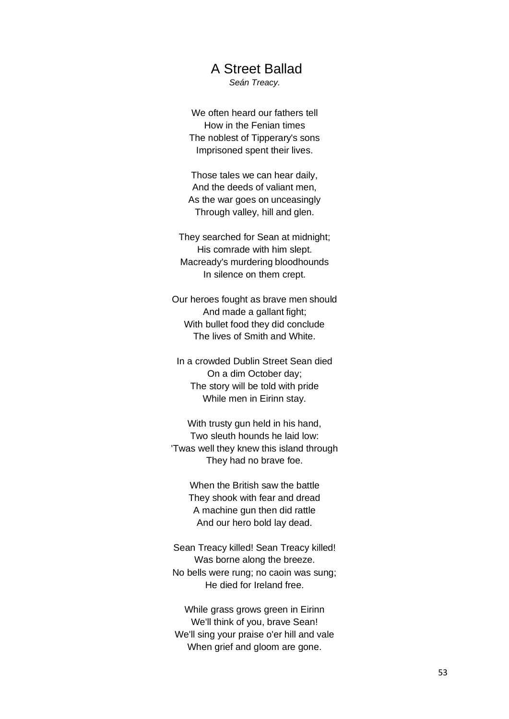#### A Street Ballad

*Seán Treacy.*

We often heard our fathers tell How in the Fenian times The noblest of Tipperary's sons Imprisoned spent their lives.

Those tales we can hear daily, And the deeds of valiant men, As the war goes on unceasingly Through valley, hill and glen.

They searched for Sean at midnight; His comrade with him slept. Macready's murdering bloodhounds In silence on them crept.

Our heroes fought as brave men should And made a gallant fight; With bullet food they did conclude The lives of Smith and White.

In a crowded Dublin Street Sean died On a dim October day; The story will be told with pride While men in Eirinn stay.

With trusty gun held in his hand, Two sleuth hounds he laid low: 'Twas well they knew this island through They had no brave foe.

> When the British saw the battle They shook with fear and dread A machine gun then did rattle And our hero bold lay dead.

Sean Treacy killed! Sean Treacy killed! Was borne along the breeze. No bells were rung; no caoin was sung; He died for Ireland free.

While grass grows green in Eirinn We'll think of you, brave Sean! We'll sing your praise o'er hill and vale When grief and gloom are gone.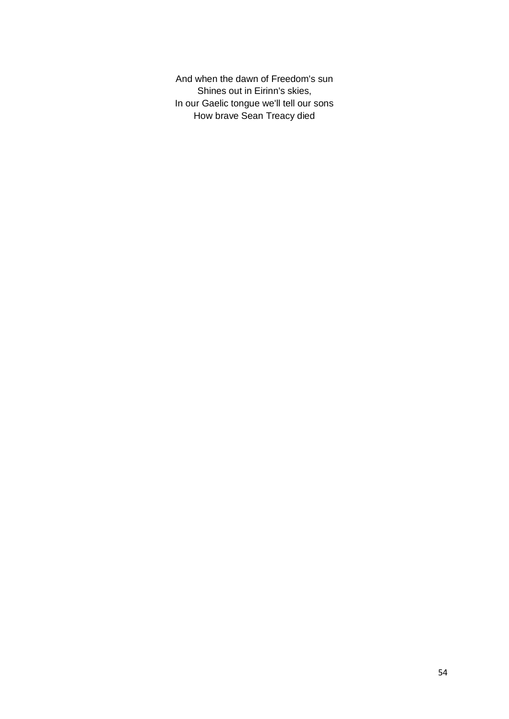And when the dawn of Freedom's sun Shines out in Eirinn's skies, In our Gaelic tongue we'll tell our sons How brave Sean Treacy died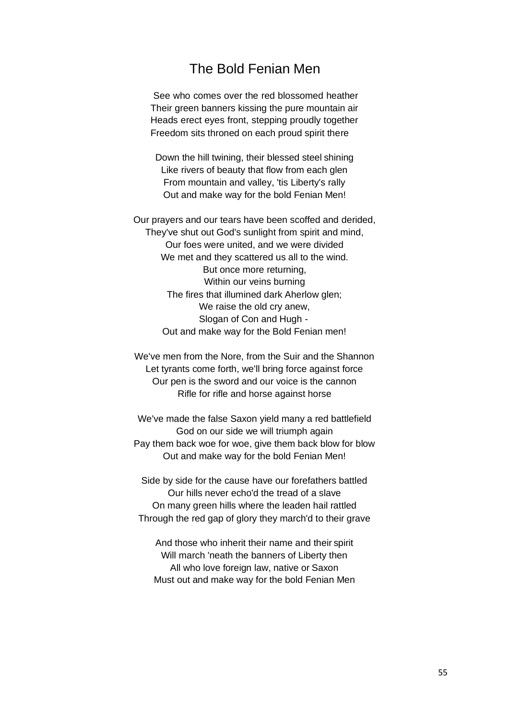# The Bold Fenian Men

See who comes over the red blossomed heather Their green banners kissing the pure mountain air Heads erect eyes front, stepping proudly together Freedom sits throned on each proud spirit there

Down the hill twining, their blessed steel shining Like rivers of beauty that flow from each glen From mountain and valley, 'tis Liberty's rally Out and make way for the bold Fenian Men!

Our prayers and our tears have been scoffed and derided, They've shut out God's sunlight from spirit and mind, Our foes were united, and we were divided We met and they scattered us all to the wind. But once more returning, Within our veins burning The fires that illumined dark Aherlow glen; We raise the old cry anew, Slogan of Con and Hugh - Out and make way for the Bold Fenian men!

We've men from the Nore, from the Suir and the Shannon Let tyrants come forth, we'll bring force against force Our pen is the sword and our voice is the cannon Rifle for rifle and horse against horse

We've made the false Saxon yield many a red battlefield God on our side we will triumph again Pay them back woe for woe, give them back blow for blow Out and make way for the bold Fenian Men!

Side by side for the cause have our forefathers battled Our hills never echo'd the tread of a slave On many green hills where the leaden hail rattled Through the red gap of glory they march'd to their grave

And those who inherit their name and their spirit Will march 'neath the banners of Liberty then All who love foreign law, native or Saxon Must out and make way for the bold Fenian Men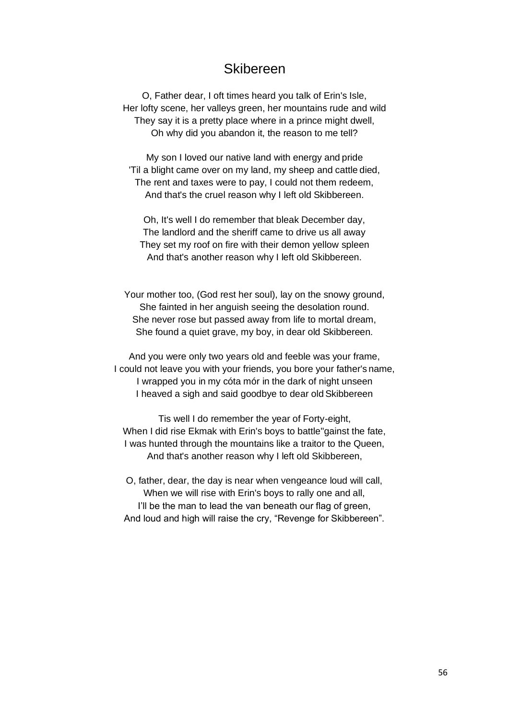#### Skibereen

O, Father dear, I oft times heard you talk of Erin's Isle, Her lofty scene, her valleys green, her mountains rude and wild They say it is a pretty place where in a prince might dwell, Oh why did you abandon it, the reason to me tell?

My son I loved our native land with energy and pride 'Til a blight came over on my land, my sheep and cattle died, The rent and taxes were to pay, I could not them redeem, And that's the cruel reason why I left old Skibbereen.

Oh, It's well I do remember that bleak December day, The landlord and the sheriff came to drive us all away They set my roof on fire with their demon yellow spleen And that's another reason why I left old Skibbereen.

Your mother too, (God rest her soul), lay on the snowy ground, She fainted in her anguish seeing the desolation round. She never rose but passed away from life to mortal dream, She found a quiet grave, my boy, in dear old Skibbereen.

And you were only two years old and feeble was your frame, I could not leave you with your friends, you bore your father's name, I wrapped you in my cóta mór in the dark of night unseen I heaved a sigh and said goodbye to dear old Skibbereen

Tis well I do remember the year of Forty-eight, When I did rise Ekmak with Erin's boys to battle''gainst the fate, I was hunted through the mountains like a traitor to the Queen, And that's another reason why I left old Skibbereen,

O, father, dear, the day is near when vengeance loud will call, When we will rise with Erin's boys to rally one and all, I'll be the man to lead the van beneath our flag of green, And loud and high will raise the cry, "Revenge for Skibbereen".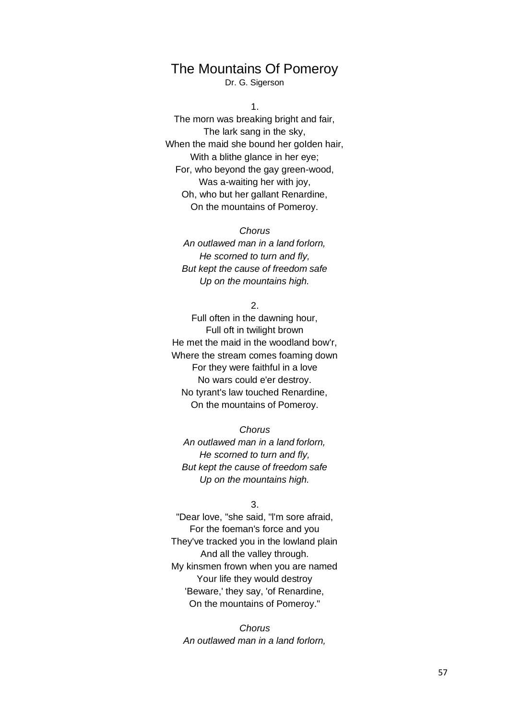### The Mountains Of Pomeroy

Dr. G. Sigerson

1.

The morn was breaking bright and fair, The lark sang in the sky, When the maid she bound her golden hair, With a blithe glance in her eye; For, who beyond the gay green-wood, Was a-waiting her with joy, Oh, who but her gallant Renardine, On the mountains of Pomeroy.

*Chorus*

*An outlawed man in a land forlorn, He scorned to turn and fly, But kept the cause of freedom safe Up on the mountains high.*

2.

Full often in the dawning hour, Full oft in twilight brown He met the maid in the woodland bow'r, Where the stream comes foaming down For they were faithful in a love No wars could e'er destroy. No tyrant's law touched Renardine, On the mountains of Pomeroy.

*Chorus*

*An outlawed man in a land forlorn, He scorned to turn and fly, But kept the cause of freedom safe Up on the mountains high.*

3.

"Dear love, "she said, "l'm sore afraid, For the foeman's force and you They've tracked you in the lowland plain And all the valley through. My kinsmen frown when you are named Your life they would destroy 'Beware,' they say, 'of Renardine, On the mountains of Pomeroy."

*Chorus An outlawed man in a land forlorn,*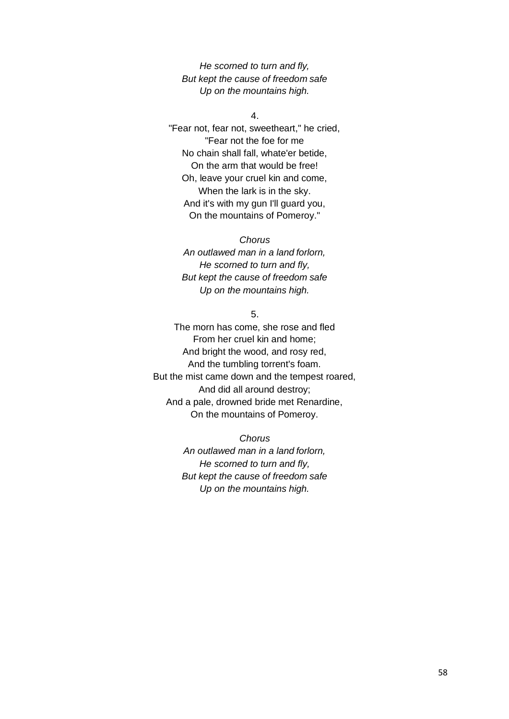*He scorned to turn and fly, But kept the cause of freedom safe Up on the mountains high.*

4.

"Fear not, fear not, sweetheart," he cried, "Fear not the foe for me No chain shall fall, whate'er betide, On the arm that would be free! Oh, leave your cruel kin and come, When the lark is in the sky. And it's with my gun I'll guard you, On the mountains of Pomeroy."

#### *Chorus*

*An outlawed man in a land forlorn, He scorned to turn and fly, But kept the cause of freedom safe Up on the mountains high.*

5.

The morn has come, she rose and fled From her cruel kin and home; And bright the wood, and rosy red, And the tumbling torrent's foam. But the mist came down and the tempest roared, And did all around destroy; And a pale, drowned bride met Renardine, On the mountains of Pomeroy.

> *Chorus An outlawed man in a land forlorn, He scorned to turn and fly, But kept the cause of freedom safe Up on the mountains high.*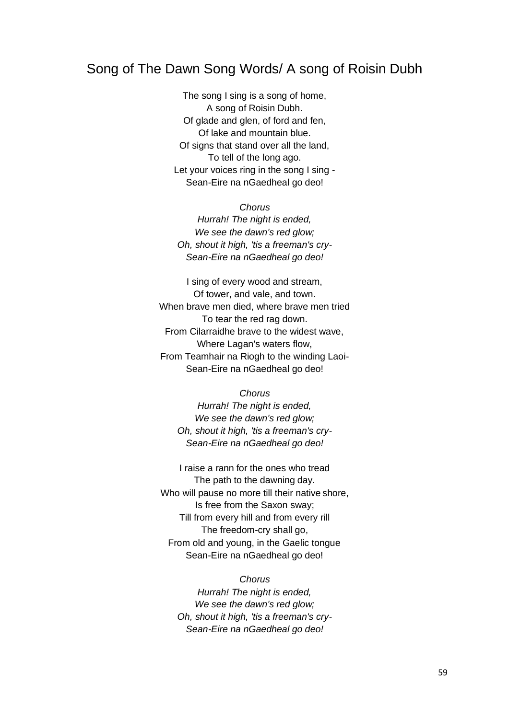### Song of The Dawn Song Words/ A song of Roisin Dubh

The song I sing is a song of home, A song of Roisin Dubh. Of glade and glen, of ford and fen, Of lake and mountain blue. Of signs that stand over all the land, To tell of the long ago. Let your voices ring in the song I sing - Sean-Eire na nGaedheal go deo!

*Chorus Hurrah! The night is ended, We see the dawn's red glow; Oh, shout it high, 'tis a freeman's cry-Sean-Eire na nGaedheal go deo!*

I sing of every wood and stream, Of tower, and vale, and town. When brave men died, where brave men tried To tear the red rag down. From Cilarraidhe brave to the widest wave, Where Lagan's waters flow, From Teamhair na Riogh to the winding Laoi-Sean-Eire na nGaedheal go deo!

*Chorus*

*Hurrah! The night is ended, We see the dawn's red glow; Oh, shout it high, 'tis a freeman's cry-Sean-Eire na nGaedheal go deo!*

I raise a rann for the ones who tread The path to the dawning day. Who will pause no more till their native shore, Is free from the Saxon sway; Till from every hill and from every rill The freedom-cry shall go, From old and young, in the Gaelic tongue Sean-Eire na nGaedheal go deo!

#### *Chorus*

*Hurrah! The night is ended, We see the dawn's red glow; Oh, shout it high, 'tis a freeman's cry-Sean-Eire na nGaedheal go deo!*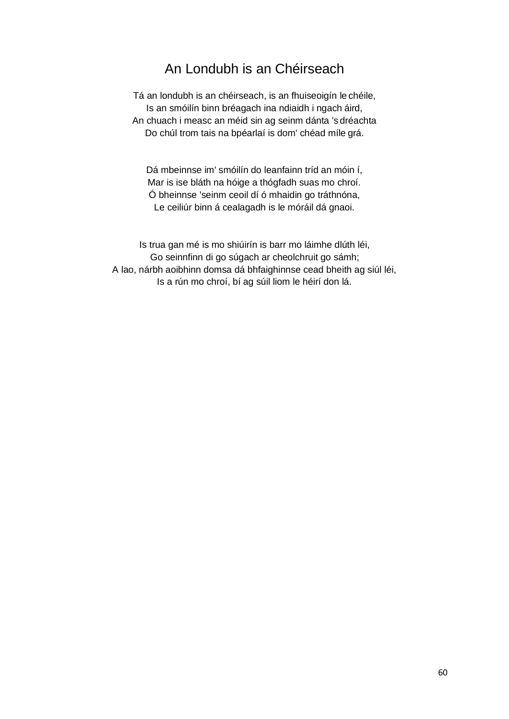# An Londubh is an Chéirseach

Tá an londubh is an chéirseach, is an fhuiseoigín le chéile, Is an smóilín binn bréagach ina ndiaidh i ngach áird, An chuach i measc an méid sin ag seinm dánta 's dréachta Do chúl trom tais na bpéarlaí is dom' chéad míle grá.

Dá mbeinnse im' smóilín do leanfainn tríd an móin í, Mar is ise bláth na hóige a thógfadh suas mo chroí. Ó bheinnse 'seinm ceoil dí ó mhaidin go tráthnóna, Le ceiliúr binn á cealagadh is le móráil dá gnaoi.

Is trua gan mé is mo shiúirín is barr mo láimhe dlúth léi, Go seinnfinn di go súgach ar cheolchruit go sámh; A lao, nárbh aoibhinn domsa dá bhfaighinnse cead bheith ag siúl léi, Is a rún mo chroí, bí ag súil liom le héirí don lá.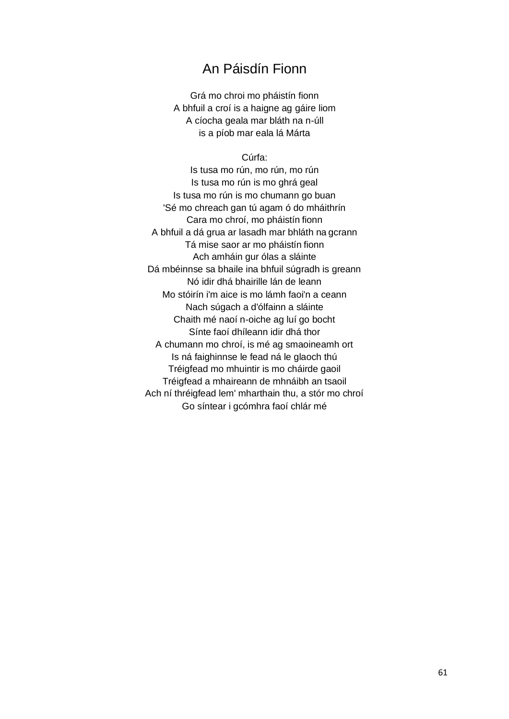## An Páisdín Fionn

Grá mo chroi mo pháistín fionn A bhfuil a croí is a haigne ag gáire liom A cíocha geala mar bláth na n-úll is a píob mar eala lá Márta

#### Cúrfa:

Is tusa mo rún, mo rún, mo rún Is tusa mo rún is mo ghrá geal Is tusa mo rún is mo chumann go buan 'Sé mo chreach gan tú agam ó do mháithrín Cara mo chroí, mo pháistín fionn A bhfuil a dá grua ar lasadh mar bhláth na gcrann Tá mise saor ar mo pháistín fionn Ach amháin gur ólas a sláinte Dá mbéinnse sa bhaile ina bhfuil súgradh is greann Nó idir dhá bhairille lán de leann Mo stóirín i'm aice is mo lámh faoi'n a ceann Nach súgach a d'ólfainn a sláinte Chaith mé naoí n-oiche ag luí go bocht Sínte faoí dhíleann idir dhá thor A chumann mo chroí, is mé ag smaoineamh ort Is ná faighinnse le fead ná le glaoch thú Tréigfead mo mhuintir is mo cháirde gaoil Tréigfead a mhaireann de mhnáibh an tsaoil Ach ní thréigfead lem' mharthain thu, a stór mo chroí Go síntear i gcómhra faoí chlár mé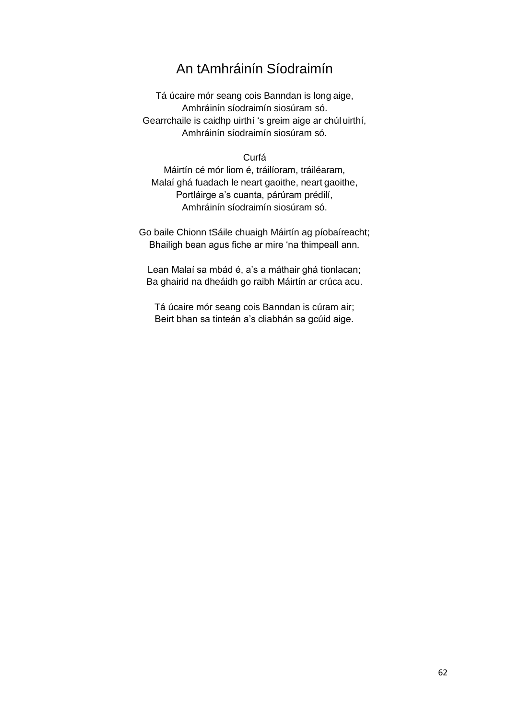# An tAmhráinín Síodraimín

Tá úcaire mór seang cois Banndan is long aige, Amhráinín síodraimín siosúram só. Gearrchaile is caidhp uirthí 's greim aige ar chúl uirthí, Amhráinín síodraimín siosúram só.

#### Curfá

Máirtín cé mór liom é, tráilíoram, tráiléaram, Malaí ghá fuadach le neart gaoithe, neart gaoithe, Portláirge a's cuanta, párúram prédilí, Amhráinín síodraimín siosúram só.

Go baile Chionn tSáile chuaigh Máirtín ag píobaíreacht; Bhailigh bean agus fiche ar mire 'na thimpeall ann.

Lean Malaí sa mbád é, a's a máthair ghá tionlacan; Ba ghairid na dheáidh go raibh Máirtín ar crúca acu.

Tá úcaire mór seang cois Banndan is cúram air; Beirt bhan sa tinteán a's cliabhán sa gcúid aige.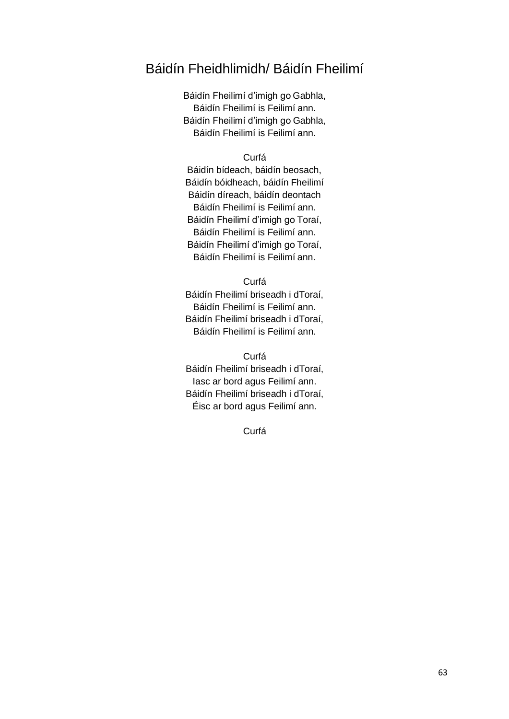# Báidín Fheidhlimidh/ Báidín Fheilimí

Báidín Fheilimí d'imigh go Gabhla, Báidín Fheilimí is Feilimí ann. Báidín Fheilimí d'imigh go Gabhla, Báidín Fheilimí is Feilimí ann.

#### Curfá

Báidín bídeach, báidín beosach, Báidín bóidheach, báidín Fheilimí Báidín díreach, báidín deontach Báidín Fheilimí is Feilimí ann. Báidín Fheilimí d'imigh go Toraí, Báidín Fheilimí is Feilimí ann. Báidín Fheilimí d'imigh go Toraí, Báidín Fheilimí is Feilimí ann.

#### Curfá

Báidín Fheilimí briseadh i dToraí, Báidín Fheilimí is Feilimí ann. Báidín Fheilimí briseadh i dToraí, Báidín Fheilimí is Feilimí ann.

Curfá

Báidín Fheilimí briseadh i dToraí, Iasc ar bord agus Feilimí ann. Báidín Fheilimí briseadh i dToraí, Éisc ar bord agus Feilimí ann.

Curfá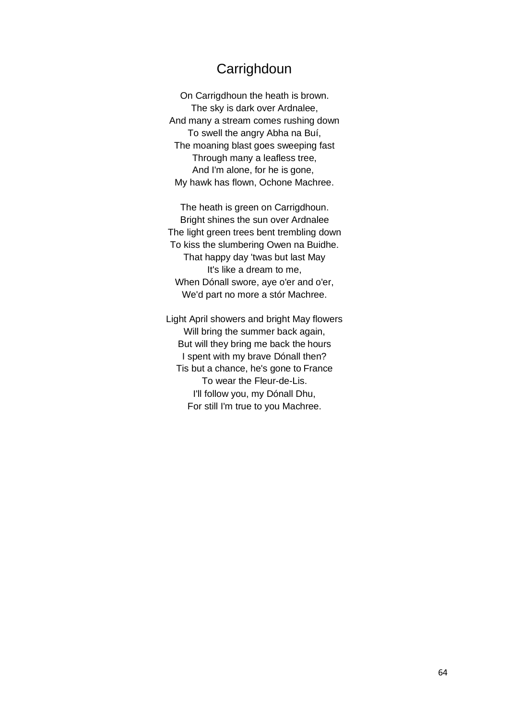## **Carrighdoun**

On Carrigdhoun the heath is brown. The sky is dark over Ardnalee, And many a stream comes rushing down To swell the angry Abha na Buí, The moaning blast goes sweeping fast Through many a leafless tree, And I'm alone, for he is gone, My hawk has flown, Ochone Machree.

The heath is green on Carrigdhoun. Bright shines the sun over Ardnalee The light green trees bent trembling down To kiss the slumbering Owen na Buidhe. That happy day 'twas but last May It's like a dream to me, When Dónall swore, aye o'er and o'er, We'd part no more a stór Machree.

Light April showers and bright May flowers Will bring the summer back again, But will they bring me back the hours I spent with my brave Dónall then? Tis but a chance, he's gone to France To wear the Fleur-de-Lis. I'll follow you, my Dónall Dhu, For still I'm true to you Machree.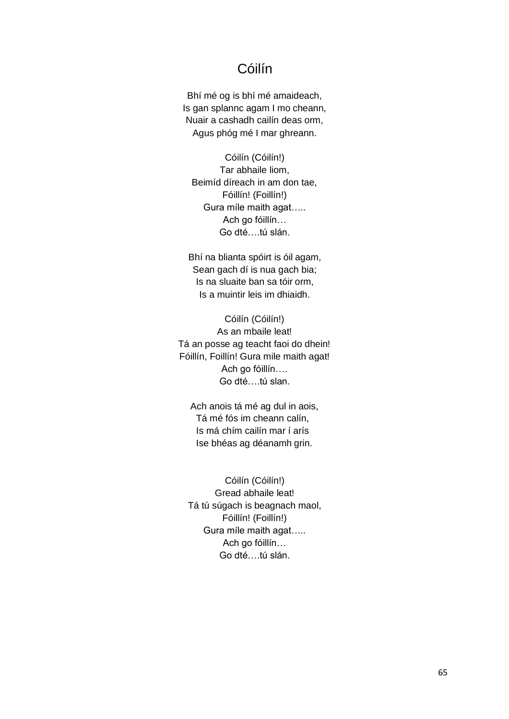## Cóilín

Bhí mé og is bhí mé amaideach, Is gan splannc agam I mo cheann, Nuair a cashadh cailín deas orm, Agus phóg mé I mar ghreann.

Cóilín (Cóilín!) Tar abhaile liom, Beimíd díreach in am don tae, Fóillín! (Foillín!) Gura míle maith agat….. Ach go fóillín… Go dté….tú slán.

Bhí na blianta spóirt is óil agam, Sean gach dí is nua gach bia; Is na sluaite ban sa tóir orm, Is a muintir leis im dhiaidh.

Cóilín (Cóilín!) As an mbaile leat! Tá an posse ag teacht faoi do dhein! Fóillín, Foillín! Gura mile maith agat! Ach go fóillín…. Go dté….tú slan.

Ach anois tá mé ag dul in aois, Tá mé fós im cheann calín, Is má chím cailín mar í arís Ise bhéas ag déanamh grin.

Cóilín (Cóilín!) Gread abhaile leat! Tá tú súgach is beagnach maol, Fóillín! (Foillín!) Gura míle maith agat….. Ach go fóillín… Go dté….tú slán.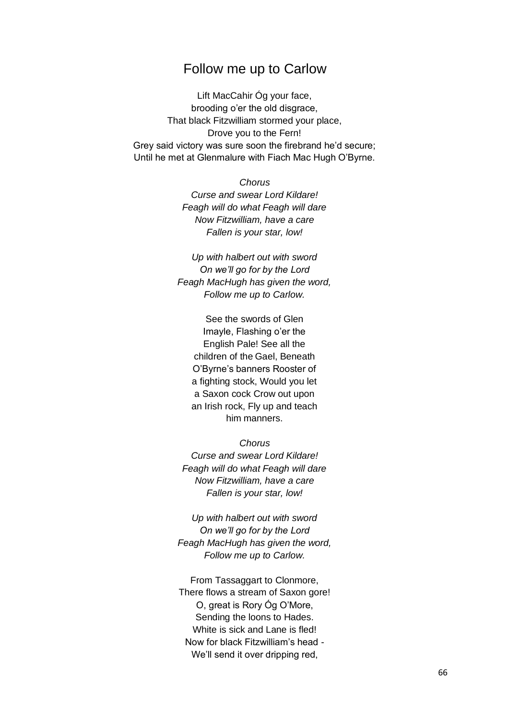### Follow me up to Carlow

Lift MacCahir Óg your face, brooding o'er the old disgrace, That black Fitzwilliam stormed your place, Drove you to the Fern! Grey said victory was sure soon the firebrand he'd secure; Until he met at Glenmalure with Fiach Mac Hugh O'Byrne.

> *Chorus Curse and swear Lord Kildare! Feagh will do what Feagh will dare Now Fitzwilliam, have a care Fallen is your star, low!*

*Up with halbert out with sword On we'll go for by the Lord Feagh MacHugh has given the word, Follow me up to Carlow.*

See the swords of Glen Imayle, Flashing o'er the English Pale! See all the children of the Gael, Beneath O'Byrne's banners Rooster of a fighting stock, Would you let a Saxon cock Crow out upon an Irish rock, Fly up and teach him manners.

*Chorus Curse and swear Lord Kildare! Feagh will do what Feagh will dare Now Fitzwilliam, have a care Fallen is your star, low!*

*Up with halbert out with sword On we'll go for by the Lord Feagh MacHugh has given the word, Follow me up to Carlow.*

From Tassaggart to Clonmore, There flows a stream of Saxon gore! O, great is Rory Óg O'More, Sending the loons to Hades. White is sick and Lane is fled! Now for black Fitzwilliam's head - We'll send it over dripping red,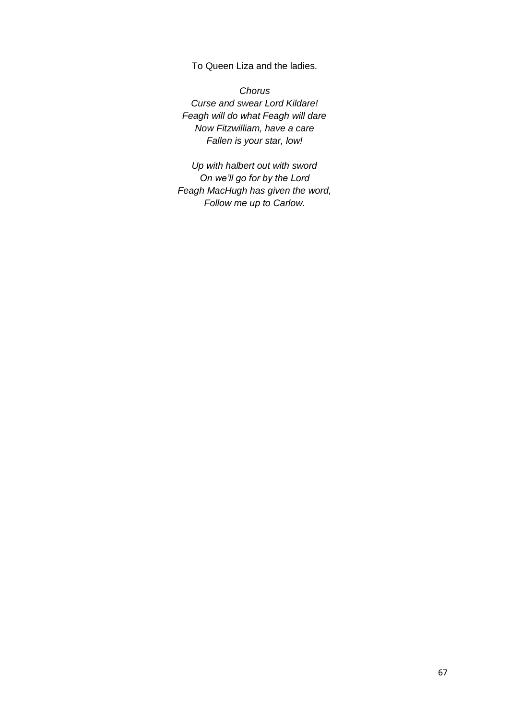To Queen Liza and the ladies.

*Chorus Curse and swear Lord Kildare! Feagh will do what Feagh will dare Now Fitzwilliam, have a care Fallen is your star, low!*

*Up with halbert out with sword On we'll go for by the Lord Feagh MacHugh has given the word, Follow me up to Carlow.*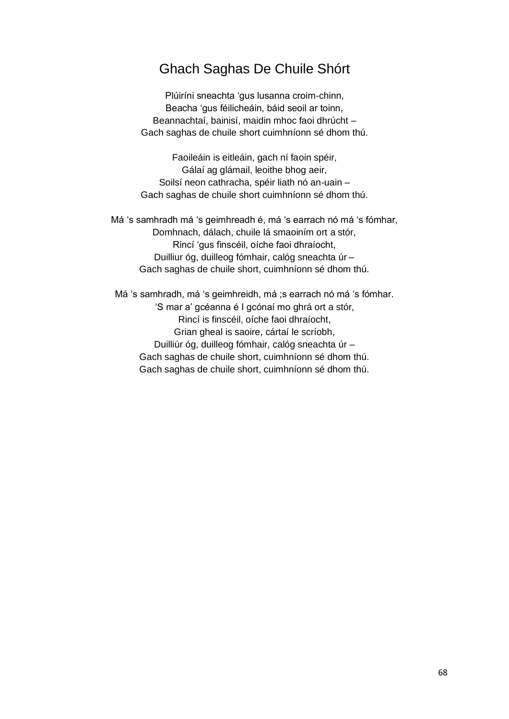# Ghach Saghas De Chuile Shórt

Plúiríni sneachta 'gus lusanna croim-chinn, Beacha 'gus féilicheáin, báid seoil ar toinn, Beannachtaí, bainisí, maidin mhoc faoi dhrúcht – Gach saghas de chuile short cuimhníonn sé dhom thú.

Faoileáin is eitleáin, gach ní faoin spéir, Gálaí ag glámail, leoithe bhog aeir, Soilsí neon cathracha, spéir liath nó an-uain – Gach saghas de chuile short cuimhníonn sé dhom thú.

Má 's samhradh má 's geimhreadh é, má 's earrach nó má 's fómhar, Domhnach, dálach, chuile lá smaoiním ort a stór, Rincí 'gus finscéil, oíche faoi dhraíocht, Duilliur óg, duilleog fómhair, calóg sneachta úr – Gach saghas de chuile short, cuimhníonn sé dhom thú.

Má 's samhradh, má 's geimhreidh, má ;s earrach nó má 's fómhar. 'S mar a' gcéanna é I gcónaí mo ghrá ort a stór, Rincí is finscéil, oíche faoi dhraíocht, Grian gheal is saoire, cártaí le scríobh, Duilliúr óg, duilleog fómhair, calóg sneachta úr – Gach saghas de chuile short, cuimhníonn sé dhom thú. Gach saghas de chuile short, cuimhníonn sé dhom thú.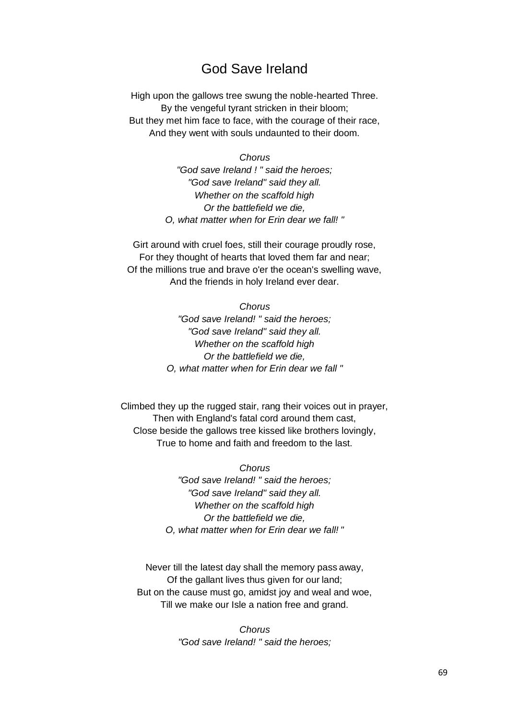## God Save Ireland

High upon the gallows tree swung the noble-hearted Three. By the vengeful tyrant stricken in their bloom; But they met him face to face, with the courage of their race, And they went with souls undaunted to their doom.

> *Chorus "God save Ireland ! " said the heroes; "God save Ireland" said they all. Whether on the scaffold high Or the battlefield we die, O, what matter when for Erin dear we fall! "*

Girt around with cruel foes, still their courage proudly rose, For they thought of hearts that loved them far and near; Of the millions true and brave o'er the ocean's swelling wave, And the friends in holy Ireland ever dear.

*Chorus*

*"God save Ireland! " said the heroes; "God save Ireland" said they all. Whether on the scaffold high Or the battlefield we die, O, what matter when for Erin dear we fall "*

Climbed they up the rugged stair, rang their voices out in prayer, Then with England's fatal cord around them cast, Close beside the gallows tree kissed like brothers lovingly, True to home and faith and freedom to the last.

> *Chorus "God save Ireland! " said the heroes; "God save Ireland" said they all. Whether on the scaffold high Or the battlefield we die, O, what matter when for Erin dear we fall! "*

Never till the latest day shall the memory pass away, Of the gallant lives thus given for our land; But on the cause must go, amidst joy and weal and woe, Till we make our Isle a nation free and grand.

> *Chorus "God save Ireland! " said the heroes;*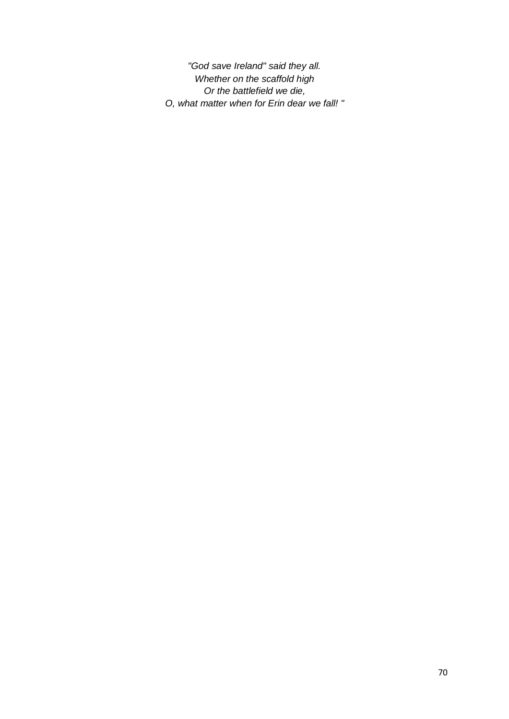*"God save Ireland" said they all. Whether on the scaffold high Or the battlefield we die, O, what matter when for Erin dear we fall! "*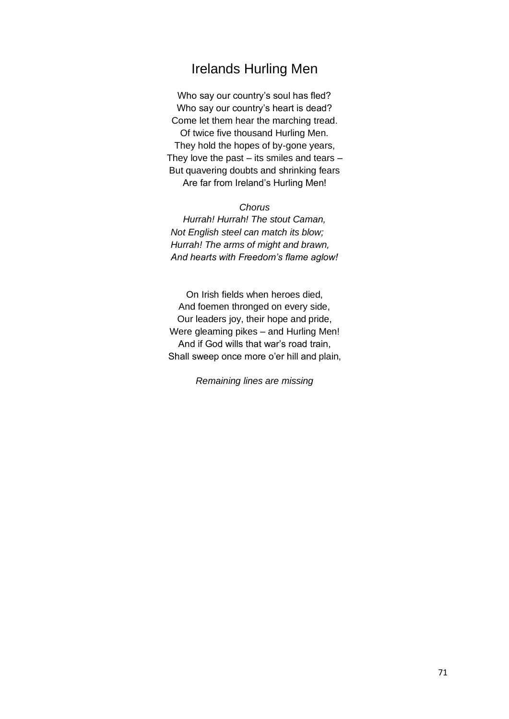# Irelands Hurling Men

Who say our country's soul has fled? Who say our country's heart is dead? Come let them hear the marching tread. Of twice five thousand Hurling Men. They hold the hopes of by-gone years, They love the past  $-$  its smiles and tears  $-$ But quavering doubts and shrinking fears Are far from Ireland's Hurling Men!

#### *Chorus*

*Hurrah! Hurrah! The stout Caman, Not English steel can match its blow; Hurrah! The arms of might and brawn, And hearts with Freedom's flame aglow!*

On Irish fields when heroes died, And foemen thronged on every side, Our leaders joy, their hope and pride, Were gleaming pikes – and Hurling Men! And if God wills that war's road train, Shall sweep once more o'er hill and plain,

*Remaining lines are missing*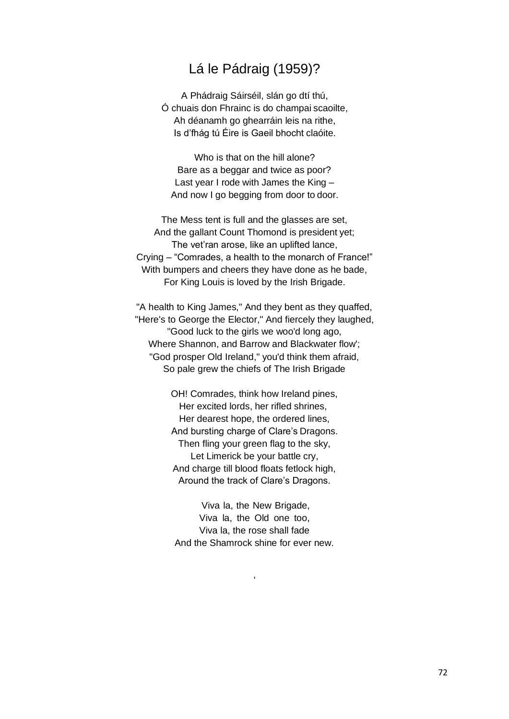# Lá le Pádraig (1959)?

A Phádraig Sáirséil, slán go dtí thú, Ó chuais don Fhrainc is do champai scaoilte, Ah déanamh go ghearráin leis na rithe, Is d'fhág tú Éire is Gaeil bhocht claóite.

Who is that on the hill alone? Bare as a beggar and twice as poor? Last year I rode with James the King – And now I go begging from door to door.

The Mess tent is full and the glasses are set, And the gallant Count Thomond is president yet; The vet'ran arose, like an uplifted lance, Crying – "Comrades, a health to the monarch of France!" With bumpers and cheers they have done as he bade, For King Louis is loved by the Irish Brigade.

"A health to King James," And they bent as they quaffed, "Here's to George the Elector," And fiercely they laughed, "Good luck to the girls we woo'd long ago, Where Shannon, and Barrow and Blackwater flow'; "God prosper Old Ireland," you'd think them afraid, So pale grew the chiefs of The Irish Brigade

> OH! Comrades, think how Ireland pines, Her excited lords, her rifled shrines, Her dearest hope, the ordered lines, And bursting charge of Clare's Dragons. Then fling your green flag to the sky, Let Limerick be your battle cry, And charge till blood floats fetlock high, Around the track of Clare's Dragons.

Viva la, the New Brigade, Viva la, the Old one too, Viva la, the rose shall fade And the Shamrock shine for ever new.

'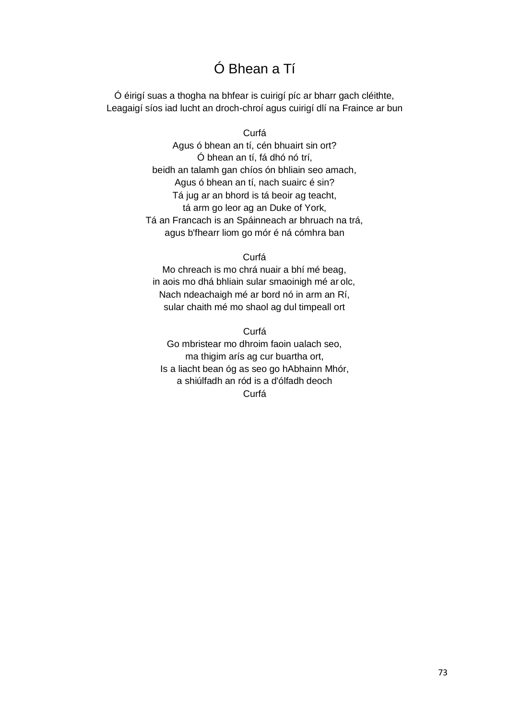# Ó Bhean a Tí

Ó éirigí suas a thogha na bhfear is cuirigí píc ar bharr gach cléithte, Leagaigí síos iad lucht an droch-chroí agus cuirigí dlí na Fraince ar bun

#### Curfá

Agus ó bhean an tí, cén bhuairt sin ort? Ó bhean an tí, fá dhó nó trí, beidh an talamh gan chíos ón bhliain seo amach, Agus ó bhean an tí, nach suairc é sin? Tá jug ar an bhord is tá beoir ag teacht, tá arm go leor ag an Duke of York, Tá an Francach is an Spáinneach ar bhruach na trá, agus b'fhearr liom go mór é ná cómhra ban

#### Curfá

Mo chreach is mo chrá nuair a bhí mé beag, in aois mo dhá bhliain sular smaoinigh mé ar olc, Nach ndeachaigh mé ar bord nó in arm an Rí, sular chaith mé mo shaol ag dul timpeall ort

Curfá

Go mbristear mo dhroim faoin ualach seo, ma thigim arís ag cur buartha ort, Is a liacht bean óg as seo go hAbhainn Mhór, a shiúlfadh an ród is a d'ólfadh deoch Curfá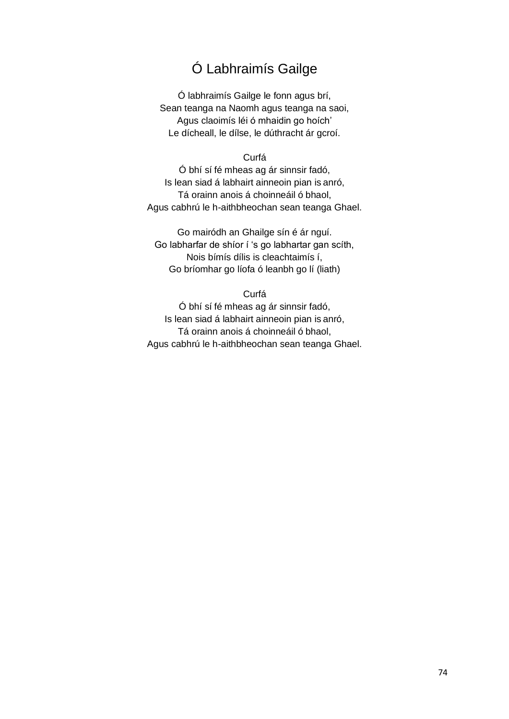# Ó Labhraimís Gailge

Ó labhraimís Gailge le fonn agus brí, Sean teanga na Naomh agus teanga na saoi, Agus claoimís léi ó mhaidin go hoích' Le dícheall, le dílse, le dúthracht ár gcroí.

#### Curfá

Ó bhí sí fé mheas ag ár sinnsir fadó, Is lean siad á labhairt ainneoin pian is anró, Tá orainn anois á choinneáil ó bhaol, Agus cabhrú le h-aithbheochan sean teanga Ghael.

Go mairódh an Ghailge sín é ár nguí. Go labharfar de shíor í 's go labhartar gan scíth, Nois bímís dílis is cleachtaimís í, Go bríomhar go líofa ó leanbh go lí (liath)

#### Curfá

Ó bhí sí fé mheas ag ár sinnsir fadó, Is lean siad á labhairt ainneoin pian is anró, Tá orainn anois á choinneáil ó bhaol, Agus cabhrú le h-aithbheochan sean teanga Ghael.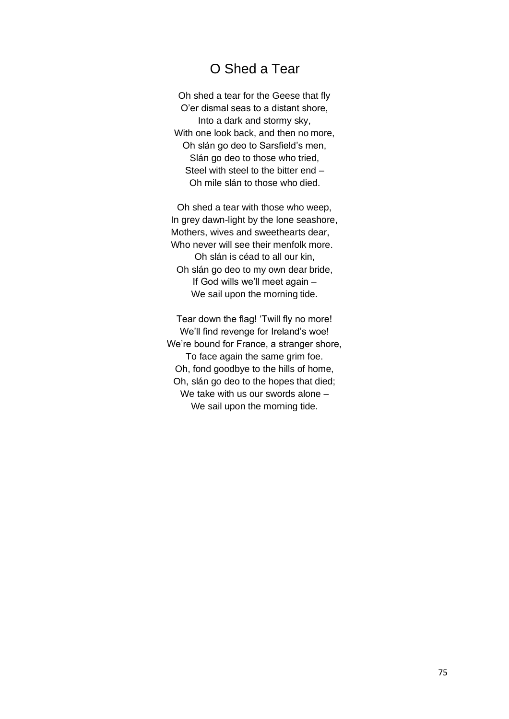### O Shed a Tear

Oh shed a tear for the Geese that fly O'er dismal seas to a distant shore, Into a dark and stormy sky, With one look back, and then no more, Oh slán go deo to Sarsfield's men, Slán go deo to those who tried, Steel with steel to the bitter end – Oh mile slán to those who died.

Oh shed a tear with those who weep, In grey dawn-light by the lone seashore, Mothers, wives and sweethearts dear, Who never will see their menfolk more. Oh slán is céad to all our kin, Oh slán go deo to my own dear bride, If God wills we'll meet again – We sail upon the morning tide.

Tear down the flag! 'Twill fly no more! We'll find revenge for Ireland's woe! We're bound for France, a stranger shore, To face again the same grim foe. Oh, fond goodbye to the hills of home, Oh, slán go deo to the hopes that died; We take with us our swords alone – We sail upon the morning tide.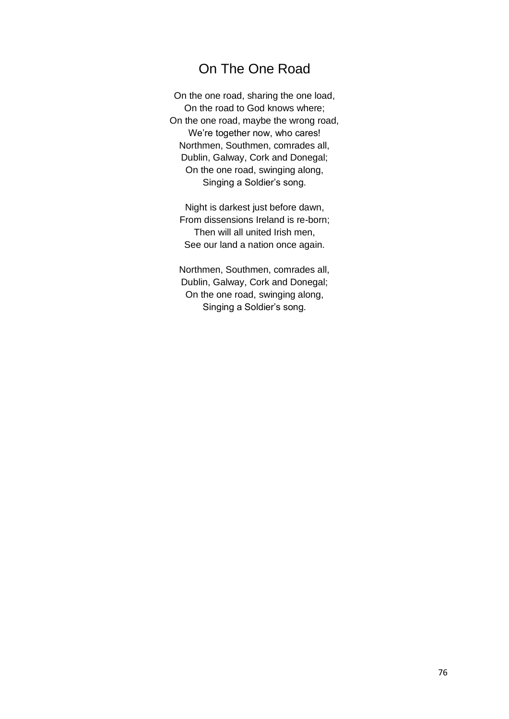## On The One Road

On the one road, sharing the one load, On the road to God knows where; On the one road, maybe the wrong road, We're together now, who cares! Northmen, Southmen, comrades all, Dublin, Galway, Cork and Donegal; On the one road, swinging along, Singing a Soldier's song.

Night is darkest just before dawn, From dissensions Ireland is re-born; Then will all united Irish men, See our land a nation once again.

Northmen, Southmen, comrades all, Dublin, Galway, Cork and Donegal; On the one road, swinging along, Singing a Soldier's song.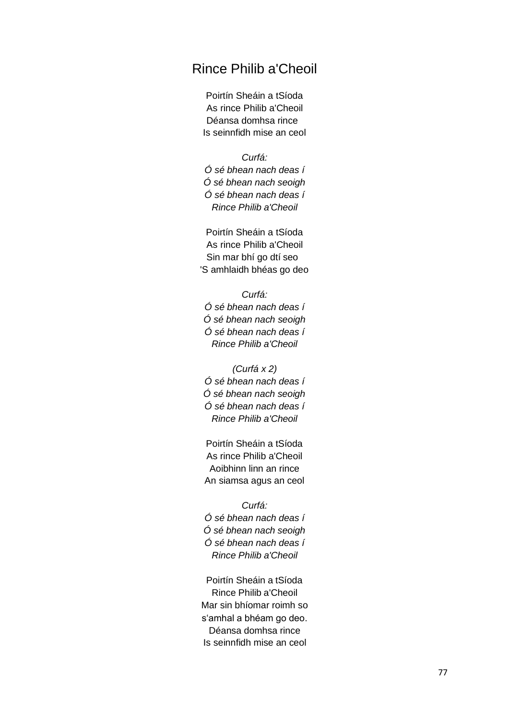## Rince Philib a'Cheoil

Poirtín Sheáin a tSíoda As rince Philib a'Cheoil Déansa domhsa rince Is seinnfidh mise an ceol

#### *Curfá:*

*Ó sé bhean nach deas í Ó sé bhean nach seoigh Ó sé bhean nach deas í Rince Philib a'Cheoil*

Poirtín Sheáin a tSíoda As rince Philib a'Cheoil Sin mar bhí go dtí seo 'S amhlaidh bhéas go deo

#### *Curfá:*

*Ó sé bhean nach deas í Ó sé bhean nach seoigh Ó sé bhean nach deas í Rince Philib a'Cheoil*

*(Curfá x 2) Ó sé bhean nach deas í Ó sé bhean nach seoigh Ó sé bhean nach deas í Rince Philib a'Cheoil*

Poirtín Sheáin a tSíoda As rince Philib a'Cheoil Aoibhinn linn an rince An siamsa agus an ceol

#### *Curfá:*

*Ó sé bhean nach deas í Ó sé bhean nach seoigh Ó sé bhean nach deas í Rince Philib a'Cheoil*

Poirtín Sheáin a tSíoda Rince Philib a'Cheoil Mar sin bhíomar roimh so s'amhal a bhéam go deo. Déansa domhsa rince Is seinnfidh mise an ceol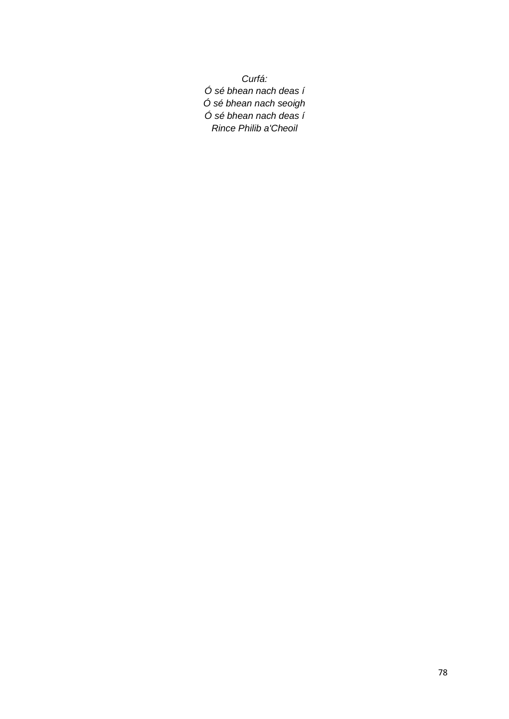*Curfá:*

*Ó sé bhean nach deas í Ó sé bhean nach seoigh Ó sé bhean nach deas í Rince Philib a'Cheoil*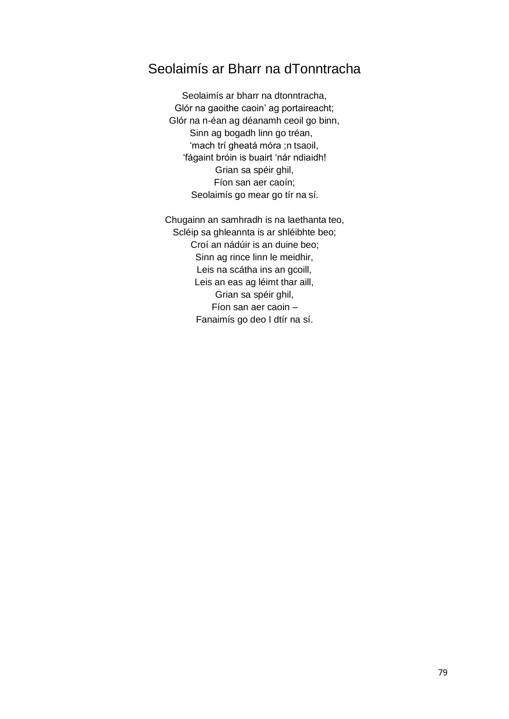## Seolaimís ar Bharr na dTonntracha

Seolaimís ar bharr na dtonntracha, Glór na gaoithe caoin' ag portaireacht; Glór na n-éan ag déanamh ceoil go binn, Sinn ag bogadh linn go tréan, 'mach trí gheatá móra ;n tsaoil, 'fágaint bróin is buairt 'nár ndiaidh! Grian sa spéir ghil, Fíon san aer caoín; Seolaimís go mear go tír na sí.

Chugainn an samhradh is na laethanta teo, Scléip sa ghleannta is ar shléibhte beo; Croí an nádúir is an duine beo; Sinn ag rince linn le meidhir, Leis na scátha ins an gcoill, Leis an eas ag léimt thar aill, Grian sa spéir ghil, Fíon san aer caoin – Fanaimís go deo I dtír na sí.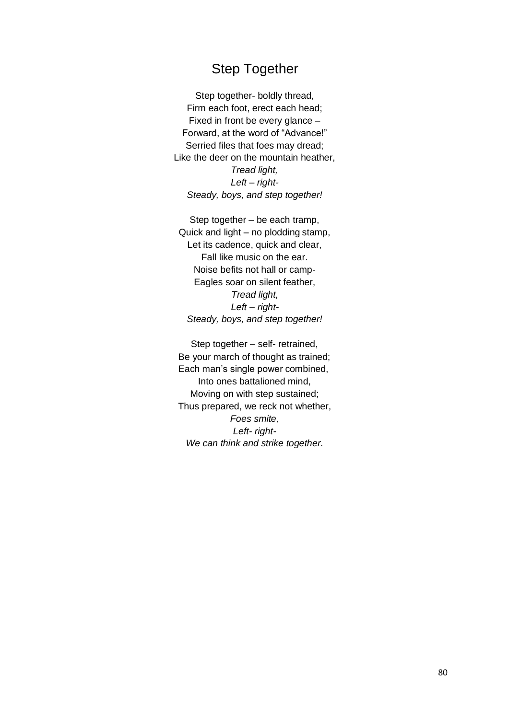## Step Together

Step together- boldly thread, Firm each foot, erect each head; Fixed in front be every glance – Forward, at the word of "Advance!" Serried files that foes may dread; Like the deer on the mountain heather, *Tread light, Left – right-Steady, boys, and step together!*

Step together – be each tramp, Quick and light – no plodding stamp, Let its cadence, quick and clear, Fall like music on the ear. Noise befits not hall or camp-Eagles soar on silent feather, *Tread light, Left – right-Steady, boys, and step together!*

Step together – self- retrained, Be your march of thought as trained; Each man's single power combined, Into ones battalioned mind, Moving on with step sustained; Thus prepared, we reck not whether, *Foes smite, Left- right-We can think and strike together.*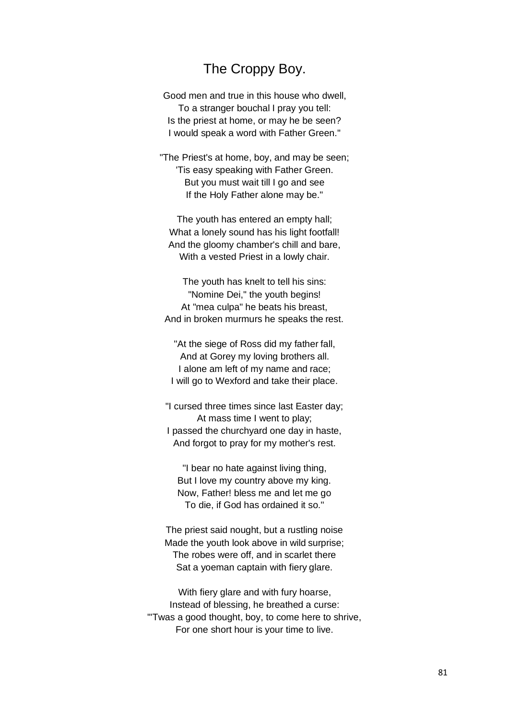## The Croppy Boy.

Good men and true in this house who dwell, To a stranger bouchal I pray you tell: Is the priest at home, or may he be seen? I would speak a word with Father Green."

"The Priest's at home, boy, and may be seen; 'Tis easy speaking with Father Green. But you must wait till I go and see If the Holy Father alone may be."

The youth has entered an empty hall; What a lonely sound has his light footfall! And the gloomy chamber's chill and bare, With a vested Priest in a lowly chair.

The youth has knelt to tell his sins: "Nomine Dei," the youth begins! At "mea culpa" he beats his breast, And in broken murmurs he speaks the rest.

"At the siege of Ross did my father fall, And at Gorey my loving brothers all. I alone am left of my name and race; I will go to Wexford and take their place.

"I cursed three times since last Easter day; At mass time I went to play; I passed the churchyard one day in haste, And forgot to pray for my mother's rest.

"I bear no hate against living thing, But I love my country above my king. Now, Father! bless me and let me go To die, if God has ordained it so."

The priest said nought, but a rustling noise Made the youth look above in wild surprise; The robes were off, and in scarlet there Sat a yoeman captain with fiery glare.

With fiery glare and with fury hoarse, Instead of blessing, he breathed a curse: "'Twas a good thought, boy, to come here to shrive, For one short hour is your time to live.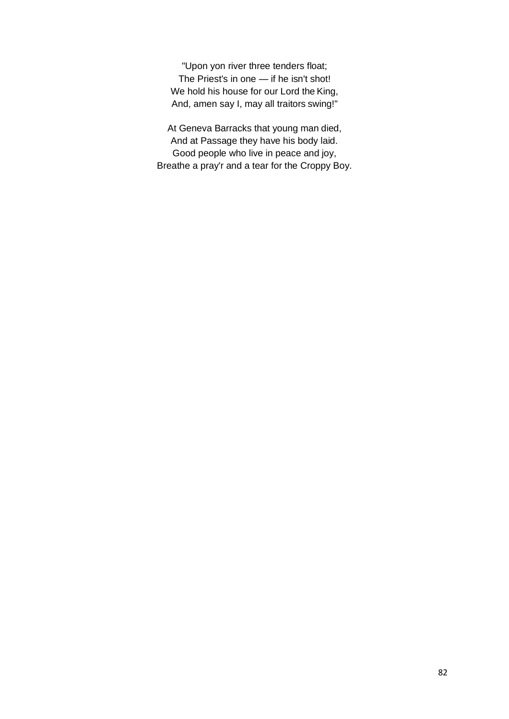"Upon yon river three tenders float; The Priest's in one — if he isn't shot! We hold his house for our Lord the King, And, amen say I, may all traitors swing!"

At Geneva Barracks that young man died, And at Passage they have his body laid. Good people who live in peace and joy, Breathe a pray'r and a tear for the Croppy Boy.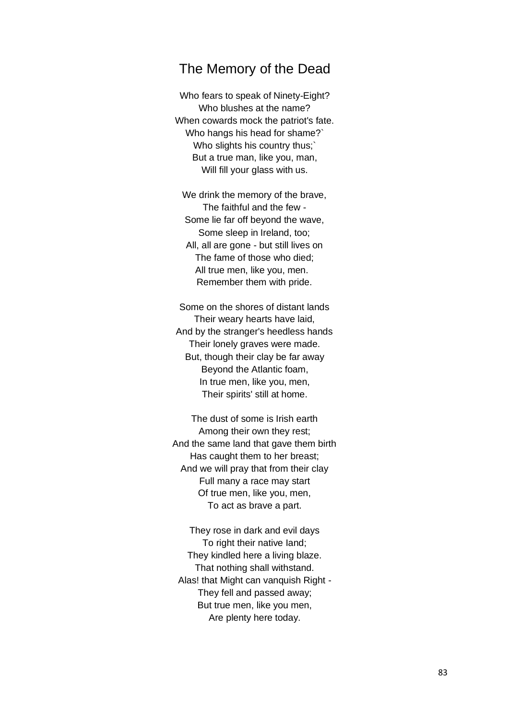### The Memory of the Dead

Who fears to speak of Ninety-Eight? Who blushes at the name? When cowards mock the patriot's fate. Who hangs his head for shame?` Who slights his country thus; But a true man, like you, man, Will fill your glass with us.

We drink the memory of the brave, The faithful and the few - Some lie far off beyond the wave, Some sleep in Ireland, too; All, all are gone - but still lives on The fame of those who died; All true men, like you, men. Remember them with pride.

Some on the shores of distant lands Their weary hearts have laid, And by the stranger's heedless hands Their lonely graves were made. But, though their clay be far away Beyond the Atlantic foam, In true men, like you, men, Their spirits' still at home.

The dust of some is Irish earth Among their own they rest; And the same land that gave them birth Has caught them to her breast; And we will pray that from their clay Full many a race may start Of true men, like you, men, To act as brave a part.

They rose in dark and evil days To right their native Iand; They kindled here a living blaze. That nothing shall withstand. Alas! that Might can vanquish Right - They fell and passed away; But true men, like you men, Are plenty here today.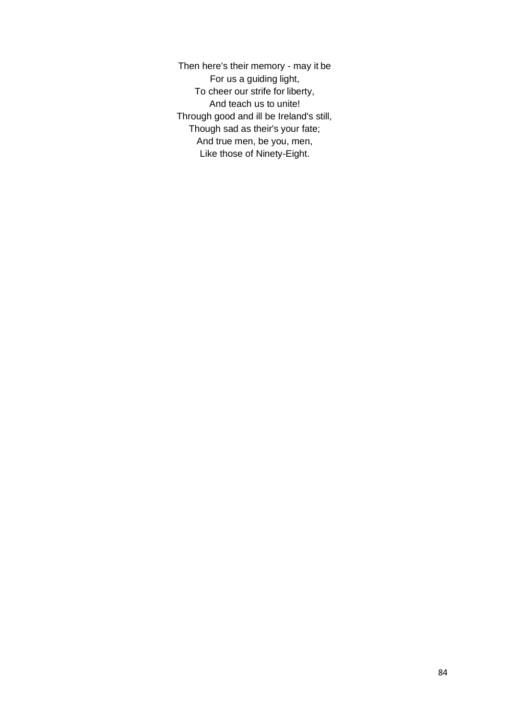Then here's their memory - may it be For us a guiding light, To cheer our strife for liberty, And teach us to unite! Through good and ill be Ireland's still, Though sad as their's your fate; And true men, be you, men, Like those of Ninety-Eight.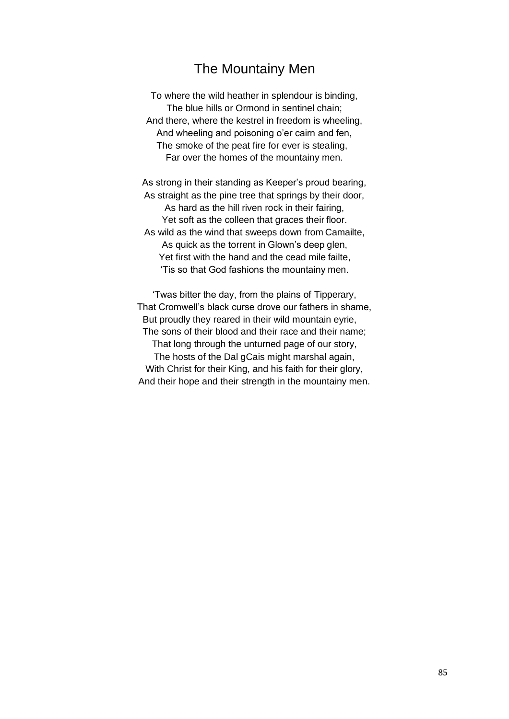## The Mountainy Men

To where the wild heather in splendour is binding, The blue hills or Ormond in sentinel chain; And there, where the kestrel in freedom is wheeling, And wheeling and poisoning o'er cairn and fen, The smoke of the peat fire for ever is stealing, Far over the homes of the mountainy men.

As strong in their standing as Keeper's proud bearing, As straight as the pine tree that springs by their door, As hard as the hill riven rock in their fairing, Yet soft as the colleen that graces their floor. As wild as the wind that sweeps down from Camailte, As quick as the torrent in Glown's deep glen, Yet first with the hand and the cead mile failte, 'Tis so that God fashions the mountainy men.

'Twas bitter the day, from the plains of Tipperary, That Cromwell's black curse drove our fathers in shame, But proudly they reared in their wild mountain eyrie, The sons of their blood and their race and their name; That long through the unturned page of our story, The hosts of the Dal gCais might marshal again, With Christ for their King, and his faith for their glory, And their hope and their strength in the mountainy men.